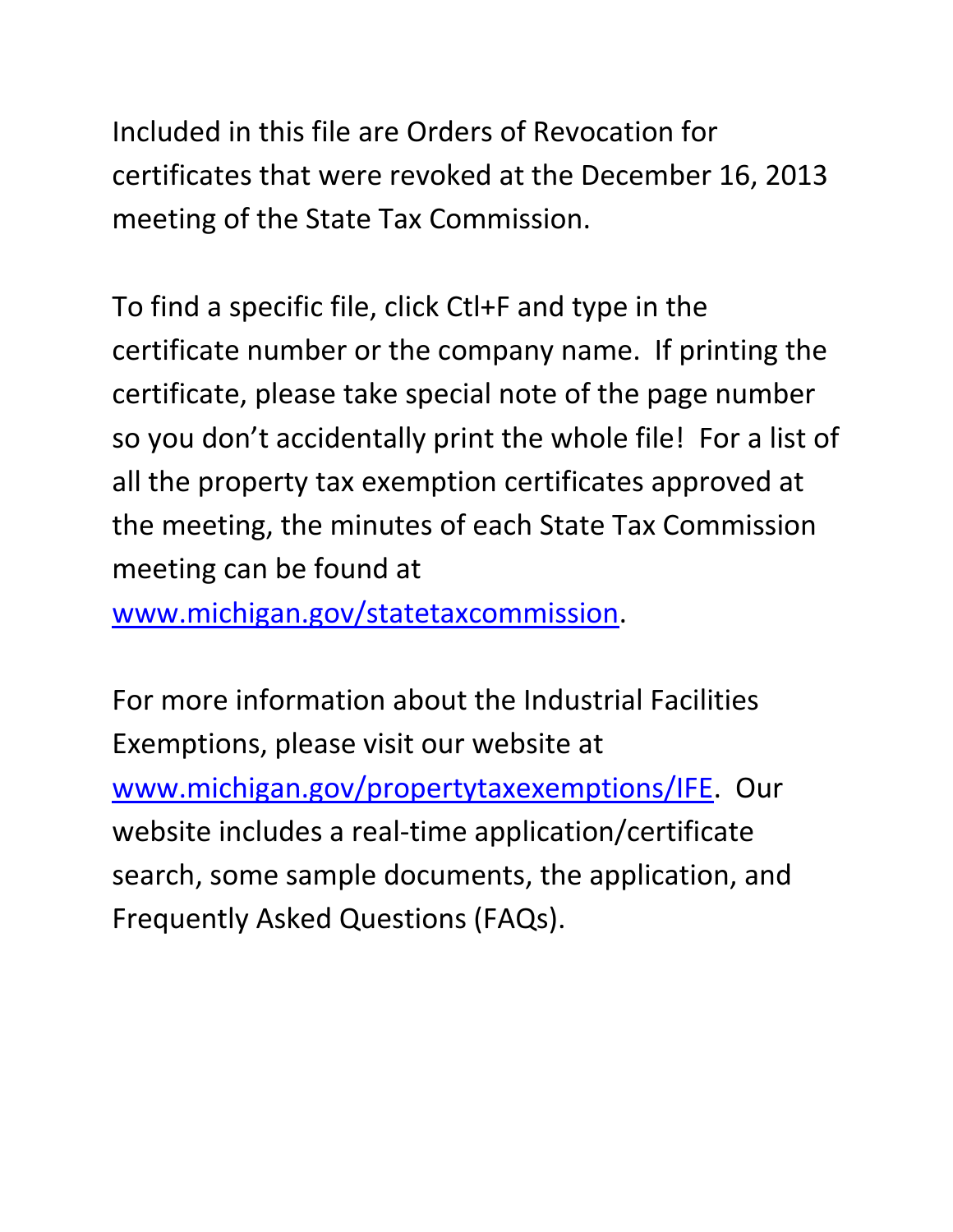Included in this file are Orders of Revocation for certificates that were revoked at the December 16, 2013 meeting of the State Tax Commission.

To find a specific file, click Ctl+F and type in the certificate number or the company name. If printing the certificate, please take special note of the page number so you don't accidentally print the whole file! For a list of all the property tax exemption certificates approved at the meeting, the minutes of each State Tax Commission meeting can be found at

[www.michigan.gov/statetaxcommission.](http://www.michigan.gov/statetaxcommission)

For more information about the Industrial Facilities Exemptions, please visit our website at [www.michigan.gov/propertytaxexemptions/IFE.](http://www.michigan.gov/taxes/0,1607,7-238-43535_53197-213175--,00.html) Our website includes a real-time application/certificate search, some sample documents, the application, and Frequently Asked Questions (FAQs).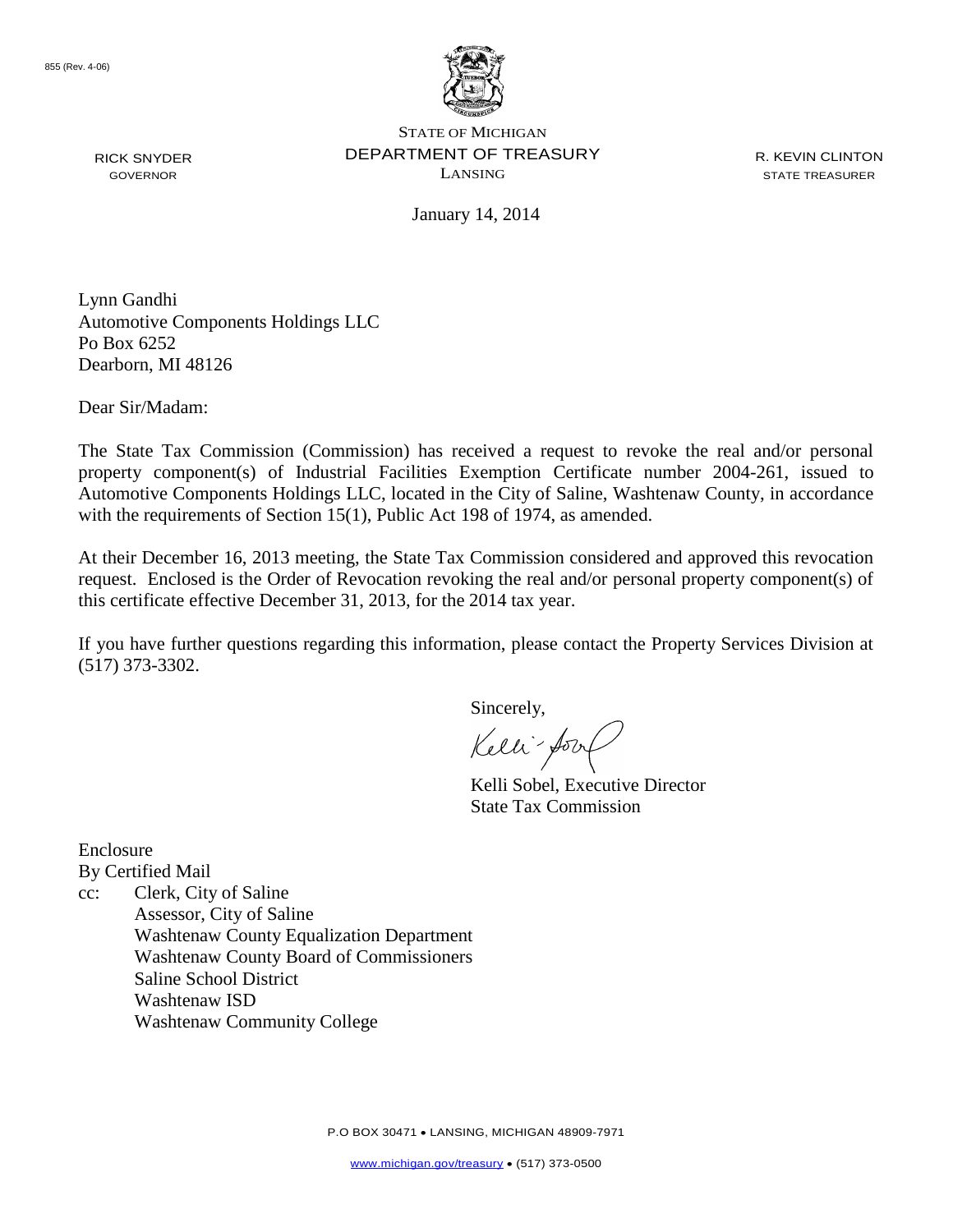

RICK SNYDER GOVERNOR

STATE OF MICHIGAN DEPARTMENT OF TREASURY LANSING

R. KEVIN CLINTON STATE TREASURER

January 14, 2014

Lynn Gandhi Automotive Components Holdings LLC Po Box 6252 Dearborn, MI 48126

Dear Sir/Madam:

The State Tax Commission (Commission) has received a request to revoke the real and/or personal property component(s) of Industrial Facilities Exemption Certificate number 2004-261, issued to Automotive Components Holdings LLC, located in the City of Saline, Washtenaw County, in accordance with the requirements of Section 15(1), Public Act 198 of 1974, as amended.

At their December 16, 2013 meeting, the State Tax Commission considered and approved this revocation request. Enclosed is the Order of Revocation revoking the real and/or personal property component(s) of this certificate effective December 31, 2013, for the 2014 tax year.

If you have further questions regarding this information, please contact the Property Services Division at (517) 373-3302.

Sincerely,

Kelli-form

Kelli Sobel, Executive Director State Tax Commission

Enclosure By Certified Mail

cc: Clerk, City of Saline Assessor, City of Saline Washtenaw County Equalization Department Washtenaw County Board of Commissioners Saline School District Washtenaw ISD Washtenaw Community College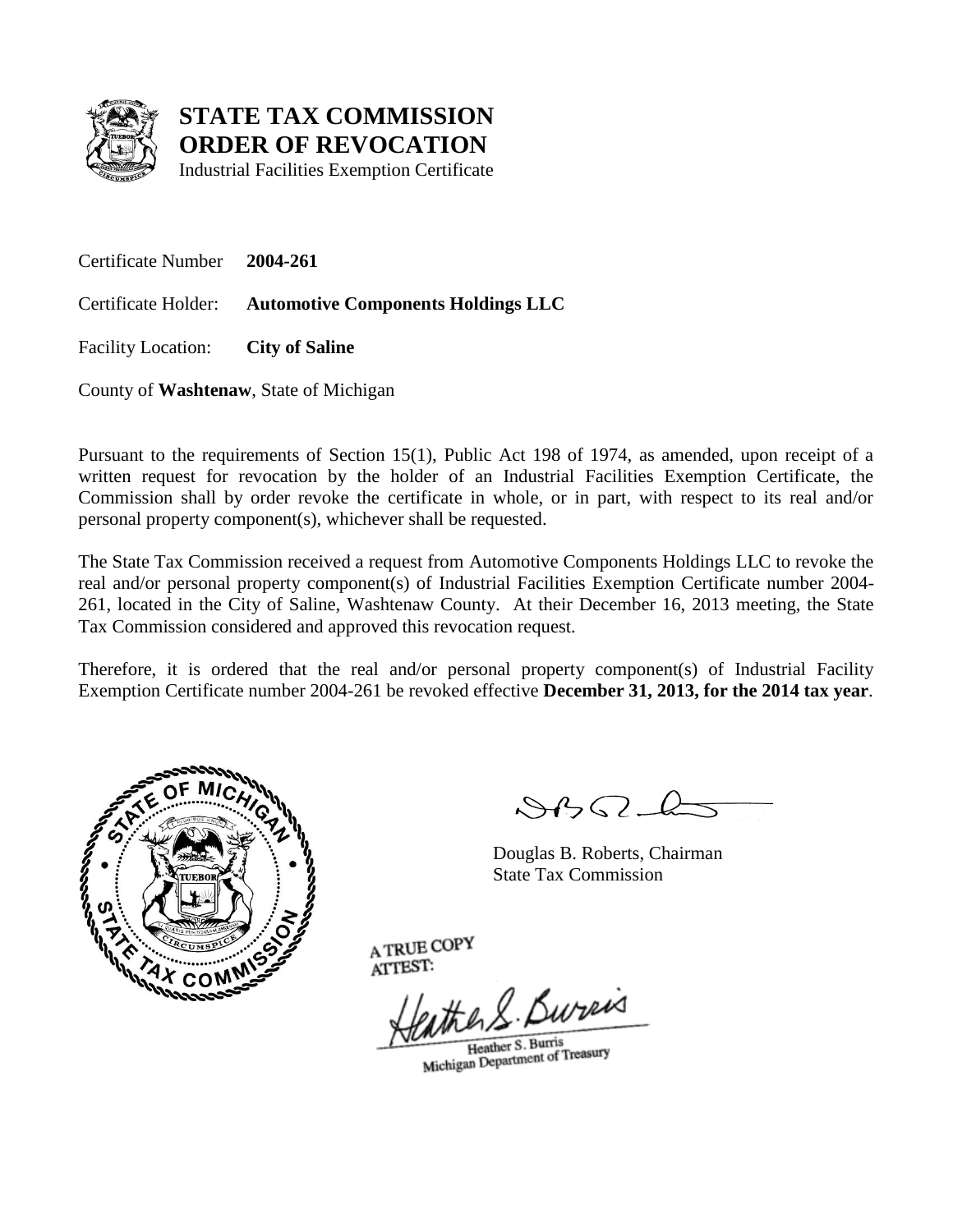

Industrial Facilities Exemption Certificate

Certificate Number **2004-261**

Certificate Holder: **Automotive Components Holdings LLC**

Facility Location: **City of Saline**

County of **Washtenaw**, State of Michigan

Pursuant to the requirements of Section 15(1), Public Act 198 of 1974, as amended, upon receipt of a written request for revocation by the holder of an Industrial Facilities Exemption Certificate, the Commission shall by order revoke the certificate in whole, or in part, with respect to its real and/or personal property component(s), whichever shall be requested.

The State Tax Commission received a request from Automotive Components Holdings LLC to revoke the real and/or personal property component(s) of Industrial Facilities Exemption Certificate number 2004- 261, located in the City of Saline, Washtenaw County. At their December 16, 2013 meeting, the State Tax Commission considered and approved this revocation request.

Therefore, it is ordered that the real and/or personal property component(s) of Industrial Facility Exemption Certificate number 2004-261 be revoked effective **December 31, 2013, for the 2014 tax year**.



 $\mathcal{A} \cap \mathcal{A} \cap \mathcal{A}$ 

Douglas B. Roberts, Chairman State Tax Commission

the R. Bureis

Heather S. Burris Heather S. Burns<br>Michigan Department of Treasury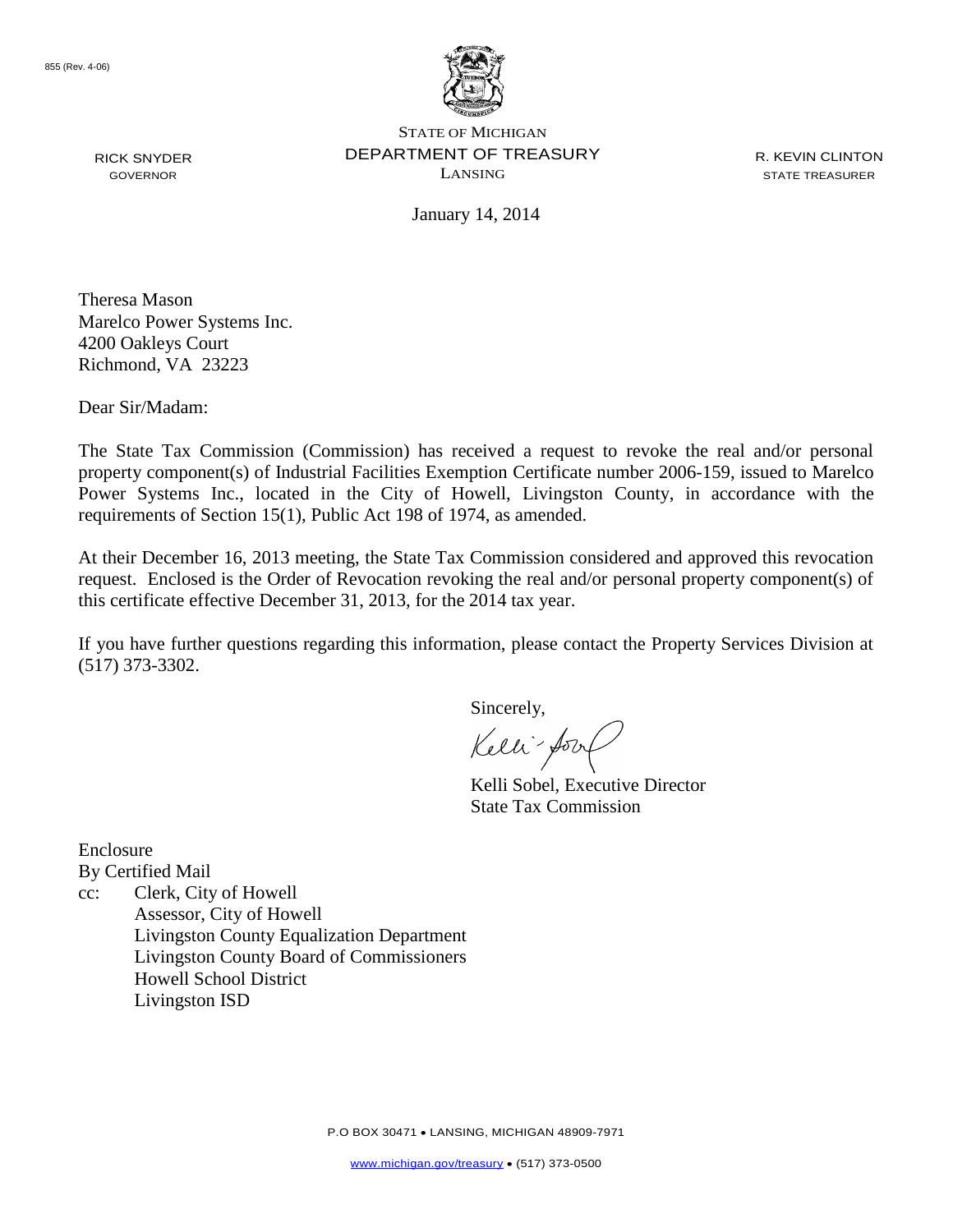

RICK SNYDER GOVERNOR

STATE OF MICHIGAN DEPARTMENT OF TREASURY LANSING

R. KEVIN CLINTON STATE TREASURER

January 14, 2014

Theresa Mason Marelco Power Systems Inc. 4200 Oakleys Court Richmond, VA 23223

Dear Sir/Madam:

The State Tax Commission (Commission) has received a request to revoke the real and/or personal property component(s) of Industrial Facilities Exemption Certificate number 2006-159, issued to Marelco Power Systems Inc., located in the City of Howell, Livingston County, in accordance with the requirements of Section 15(1), Public Act 198 of 1974, as amended.

At their December 16, 2013 meeting, the State Tax Commission considered and approved this revocation request. Enclosed is the Order of Revocation revoking the real and/or personal property component(s) of this certificate effective December 31, 2013, for the 2014 tax year.

If you have further questions regarding this information, please contact the Property Services Division at (517) 373-3302.

Sincerely,

Kelli-form

Kelli Sobel, Executive Director State Tax Commission

Enclosure

By Certified Mail

cc: Clerk, City of Howell Assessor, City of Howell Livingston County Equalization Department Livingston County Board of Commissioners Howell School District Livingston ISD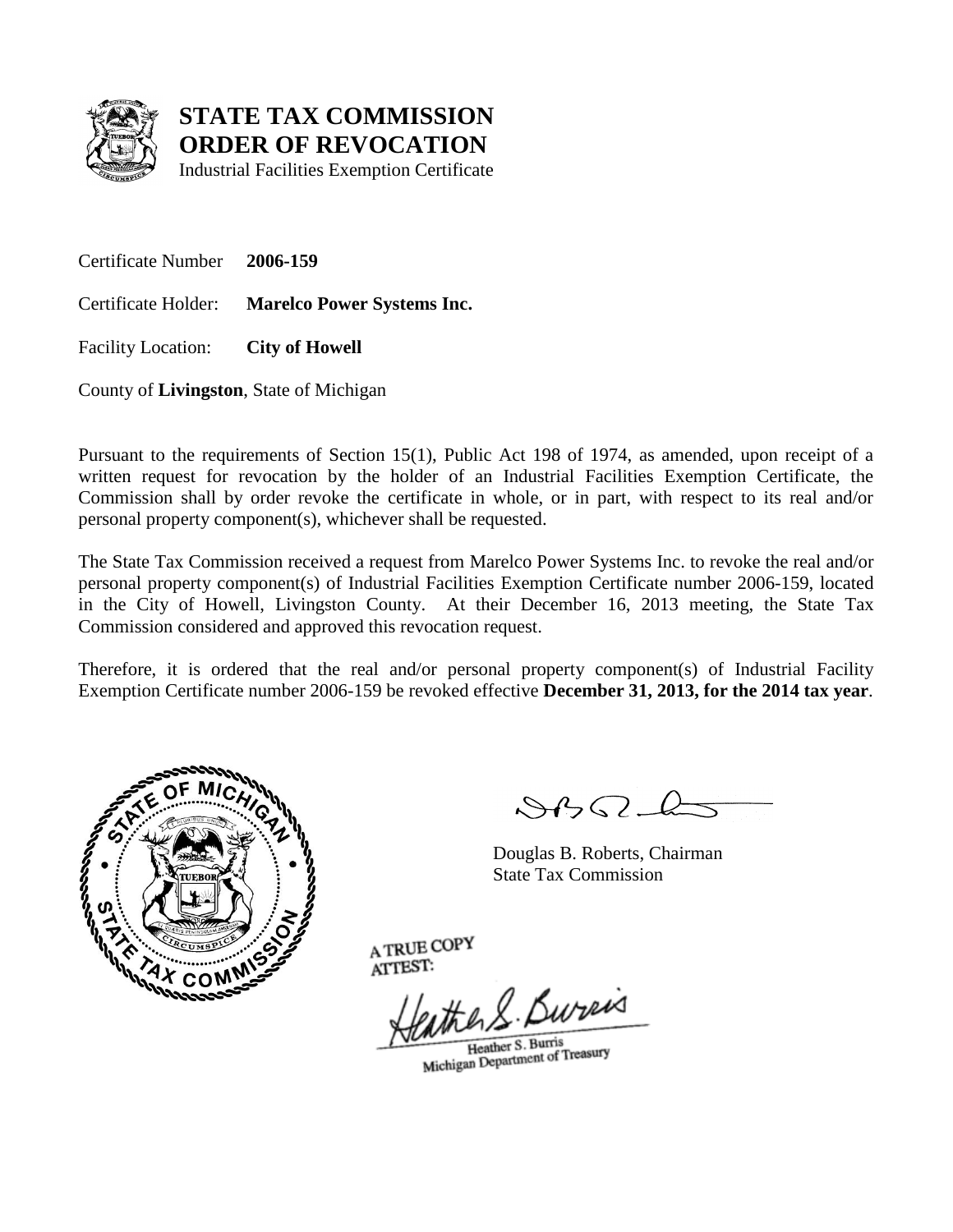

Industrial Facilities Exemption Certificate

Certificate Number **2006-159**

Certificate Holder: **Marelco Power Systems Inc.**

Facility Location: **City of Howell**

County of **Livingston**, State of Michigan

Pursuant to the requirements of Section 15(1), Public Act 198 of 1974, as amended, upon receipt of a written request for revocation by the holder of an Industrial Facilities Exemption Certificate, the Commission shall by order revoke the certificate in whole, or in part, with respect to its real and/or personal property component(s), whichever shall be requested.

The State Tax Commission received a request from Marelco Power Systems Inc. to revoke the real and/or personal property component(s) of Industrial Facilities Exemption Certificate number 2006-159, located in the City of Howell, Livingston County. At their December 16, 2013 meeting, the State Tax Commission considered and approved this revocation request.

Therefore, it is ordered that the real and/or personal property component(s) of Industrial Facility Exemption Certificate number 2006-159 be revoked effective **December 31, 2013, for the 2014 tax year**.



 $\mathcal{S}$ 

Douglas B. Roberts, Chairman State Tax Commission

the R. Bureis

Heather S. Burris Heather S. Burns<br>Michigan Department of Treasury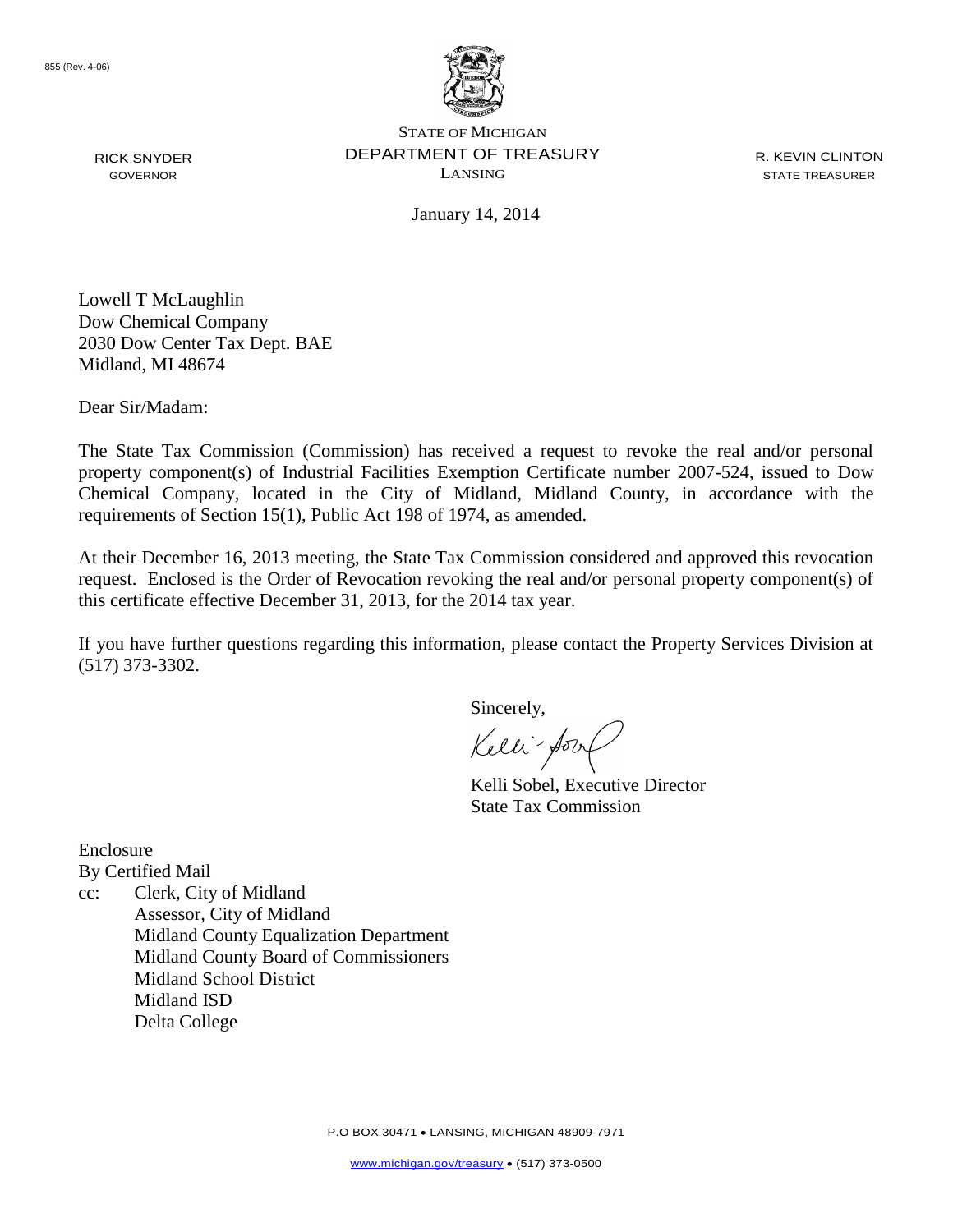

RICK SNYDER GOVERNOR

STATE OF MICHIGAN DEPARTMENT OF TREASURY LANSING

R. KEVIN CLINTON STATE TREASURER

January 14, 2014

Lowell T McLaughlin Dow Chemical Company 2030 Dow Center Tax Dept. BAE Midland, MI 48674

Dear Sir/Madam:

The State Tax Commission (Commission) has received a request to revoke the real and/or personal property component(s) of Industrial Facilities Exemption Certificate number 2007-524, issued to Dow Chemical Company, located in the City of Midland, Midland County, in accordance with the requirements of Section 15(1), Public Act 198 of 1974, as amended.

At their December 16, 2013 meeting, the State Tax Commission considered and approved this revocation request. Enclosed is the Order of Revocation revoking the real and/or personal property component(s) of this certificate effective December 31, 2013, for the 2014 tax year.

If you have further questions regarding this information, please contact the Property Services Division at (517) 373-3302.

Sincerely,

Kelli-form

Kelli Sobel, Executive Director State Tax Commission

Enclosure By Certified Mail

cc: Clerk, City of Midland Assessor, City of Midland Midland County Equalization Department Midland County Board of Commissioners Midland School District Midland ISD Delta College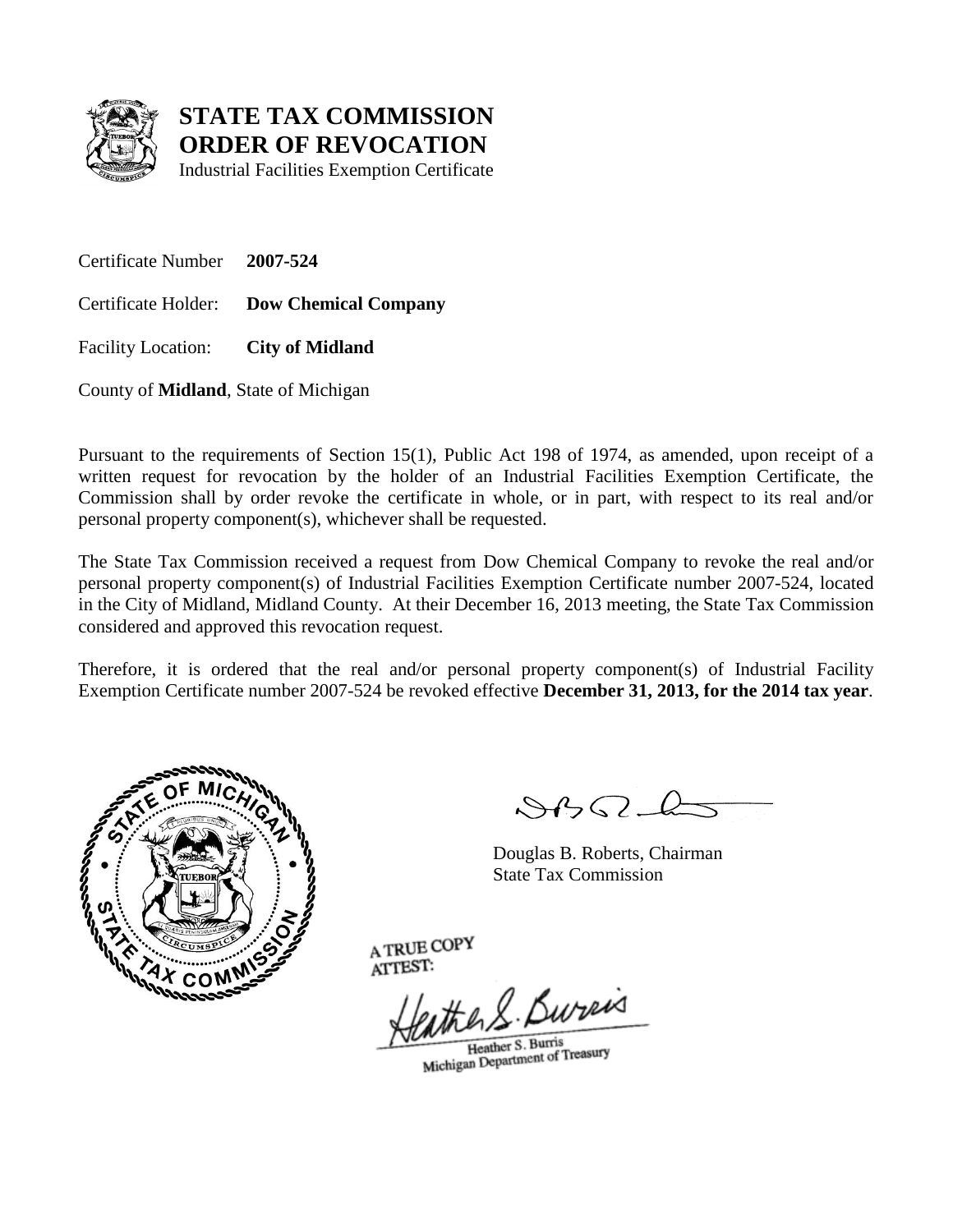

Industrial Facilities Exemption Certificate

Certificate Number **2007-524**

Certificate Holder: **Dow Chemical Company**

Facility Location: **City of Midland**

County of **Midland**, State of Michigan

Pursuant to the requirements of Section 15(1), Public Act 198 of 1974, as amended, upon receipt of a written request for revocation by the holder of an Industrial Facilities Exemption Certificate, the Commission shall by order revoke the certificate in whole, or in part, with respect to its real and/or personal property component(s), whichever shall be requested.

The State Tax Commission received a request from Dow Chemical Company to revoke the real and/or personal property component(s) of Industrial Facilities Exemption Certificate number 2007-524, located in the City of Midland, Midland County. At their December 16, 2013 meeting, the State Tax Commission considered and approved this revocation request.

Therefore, it is ordered that the real and/or personal property component(s) of Industrial Facility Exemption Certificate number 2007-524 be revoked effective **December 31, 2013, for the 2014 tax year**.



 $\mathcal{A} \cap \mathcal{A} \cap \mathcal{A}$ 

Douglas B. Roberts, Chairman State Tax Commission

He S. Bureis

Heather S. Burris Heather S. Burns<br>Michigan Department of Treasury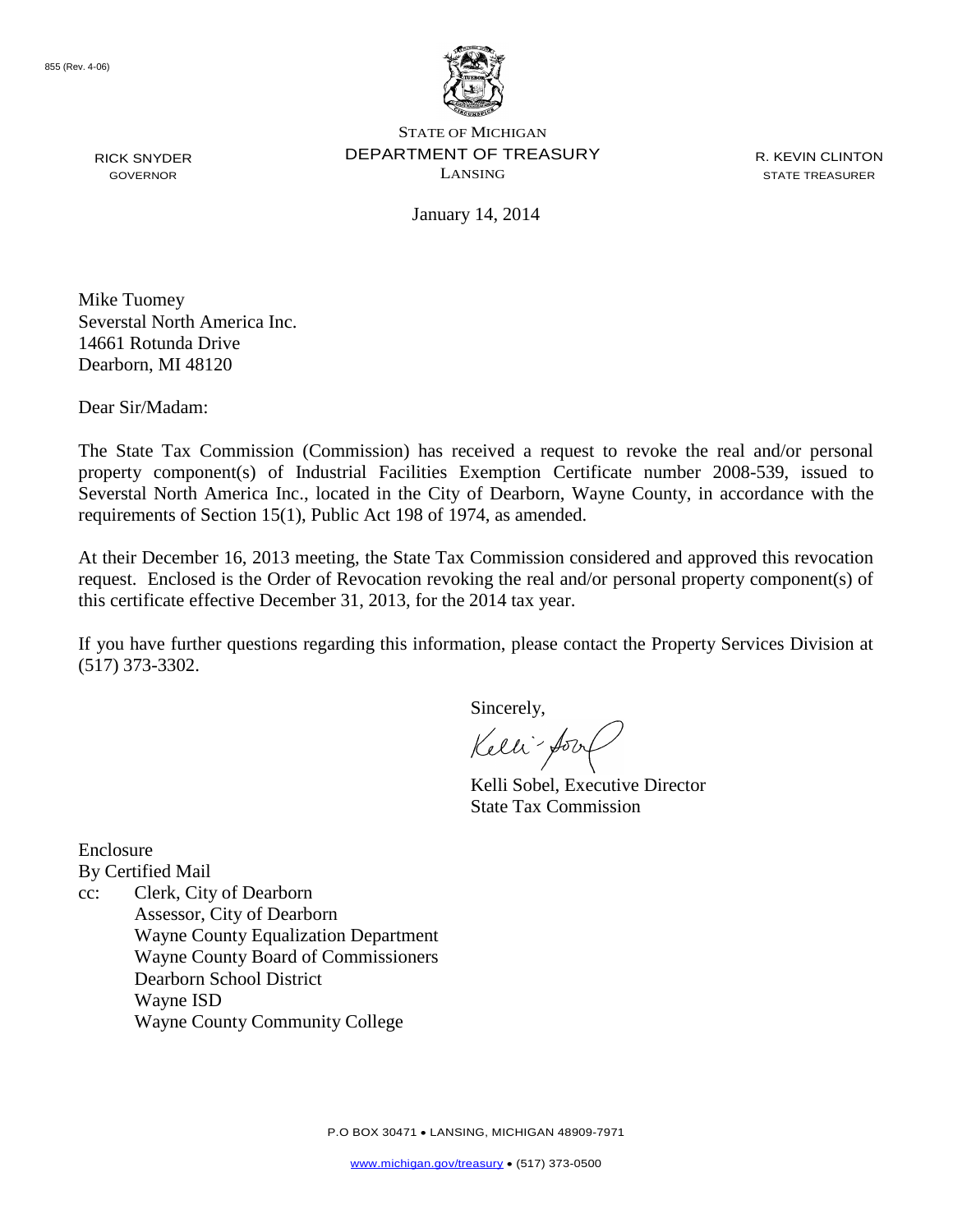

RICK SNYDER GOVERNOR

STATE OF MICHIGAN DEPARTMENT OF TREASURY LANSING

R. KEVIN CLINTON STATE TREASURER

January 14, 2014

Mike Tuomey Severstal North America Inc. 14661 Rotunda Drive Dearborn, MI 48120

Dear Sir/Madam:

The State Tax Commission (Commission) has received a request to revoke the real and/or personal property component(s) of Industrial Facilities Exemption Certificate number 2008-539, issued to Severstal North America Inc., located in the City of Dearborn, Wayne County, in accordance with the requirements of Section 15(1), Public Act 198 of 1974, as amended.

At their December 16, 2013 meeting, the State Tax Commission considered and approved this revocation request. Enclosed is the Order of Revocation revoking the real and/or personal property component(s) of this certificate effective December 31, 2013, for the 2014 tax year.

If you have further questions regarding this information, please contact the Property Services Division at (517) 373-3302.

Sincerely,

Kelli-form

Kelli Sobel, Executive Director State Tax Commission

Enclosure By Certified Mail

cc: Clerk, City of Dearborn Assessor, City of Dearborn Wayne County Equalization Department Wayne County Board of Commissioners Dearborn School District Wayne ISD Wayne County Community College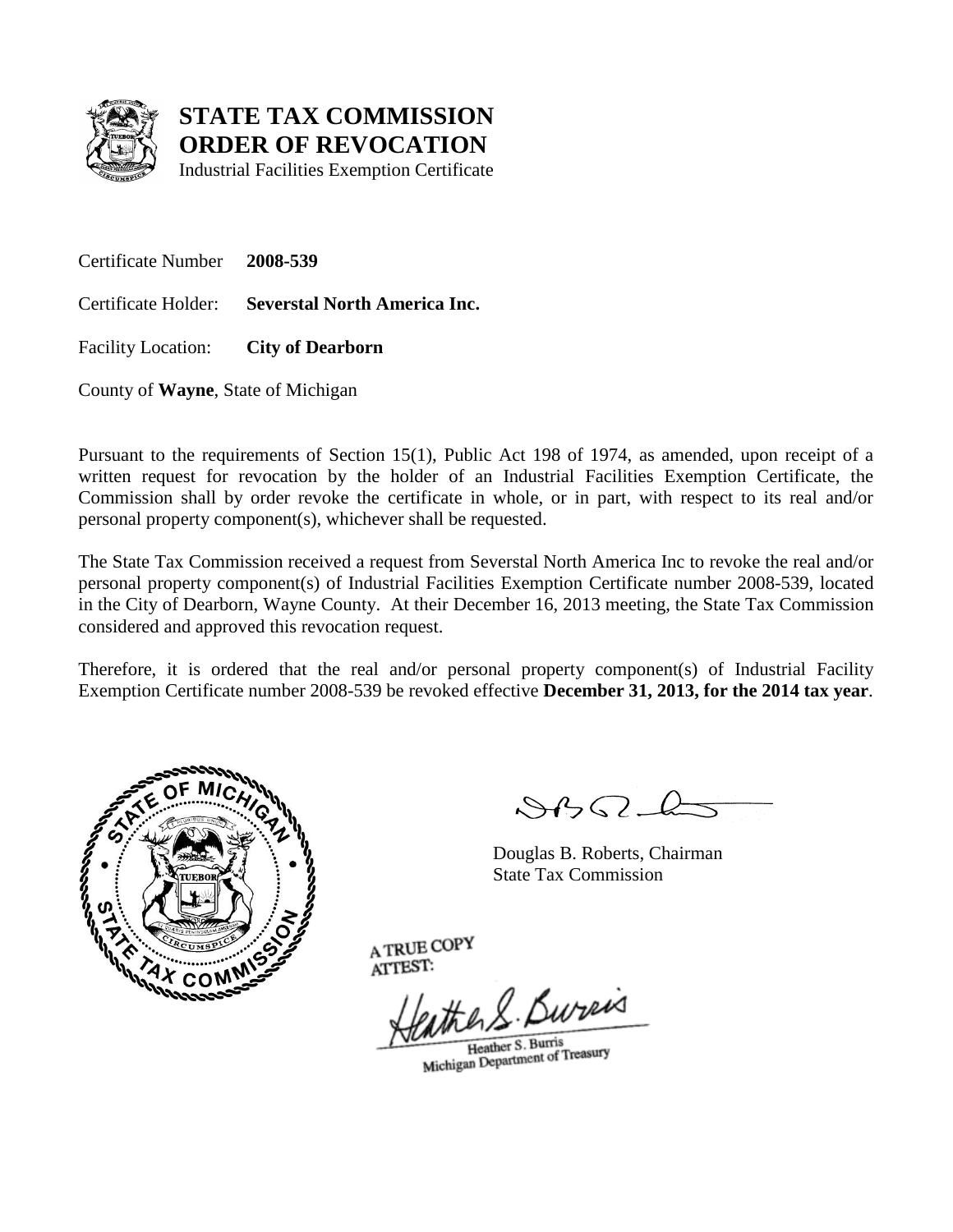

Industrial Facilities Exemption Certificate

Certificate Number **2008-539**

Certificate Holder: **Severstal North America Inc.**

Facility Location: **City of Dearborn**

County of **Wayne**, State of Michigan

Pursuant to the requirements of Section 15(1), Public Act 198 of 1974, as amended, upon receipt of a written request for revocation by the holder of an Industrial Facilities Exemption Certificate, the Commission shall by order revoke the certificate in whole, or in part, with respect to its real and/or personal property component(s), whichever shall be requested.

The State Tax Commission received a request from Severstal North America Inc to revoke the real and/or personal property component(s) of Industrial Facilities Exemption Certificate number 2008-539, located in the City of Dearborn, Wayne County. At their December 16, 2013 meeting, the State Tax Commission considered and approved this revocation request.

Therefore, it is ordered that the real and/or personal property component(s) of Industrial Facility Exemption Certificate number 2008-539 be revoked effective **December 31, 2013, for the 2014 tax year**.



 $\mathcal{A} \cap \mathcal{A} \cap \mathcal{A}$ 

Douglas B. Roberts, Chairman State Tax Commission

the R. Bureis

Heather S. Burris Heather S. Burns<br>Michigan Department of Treasury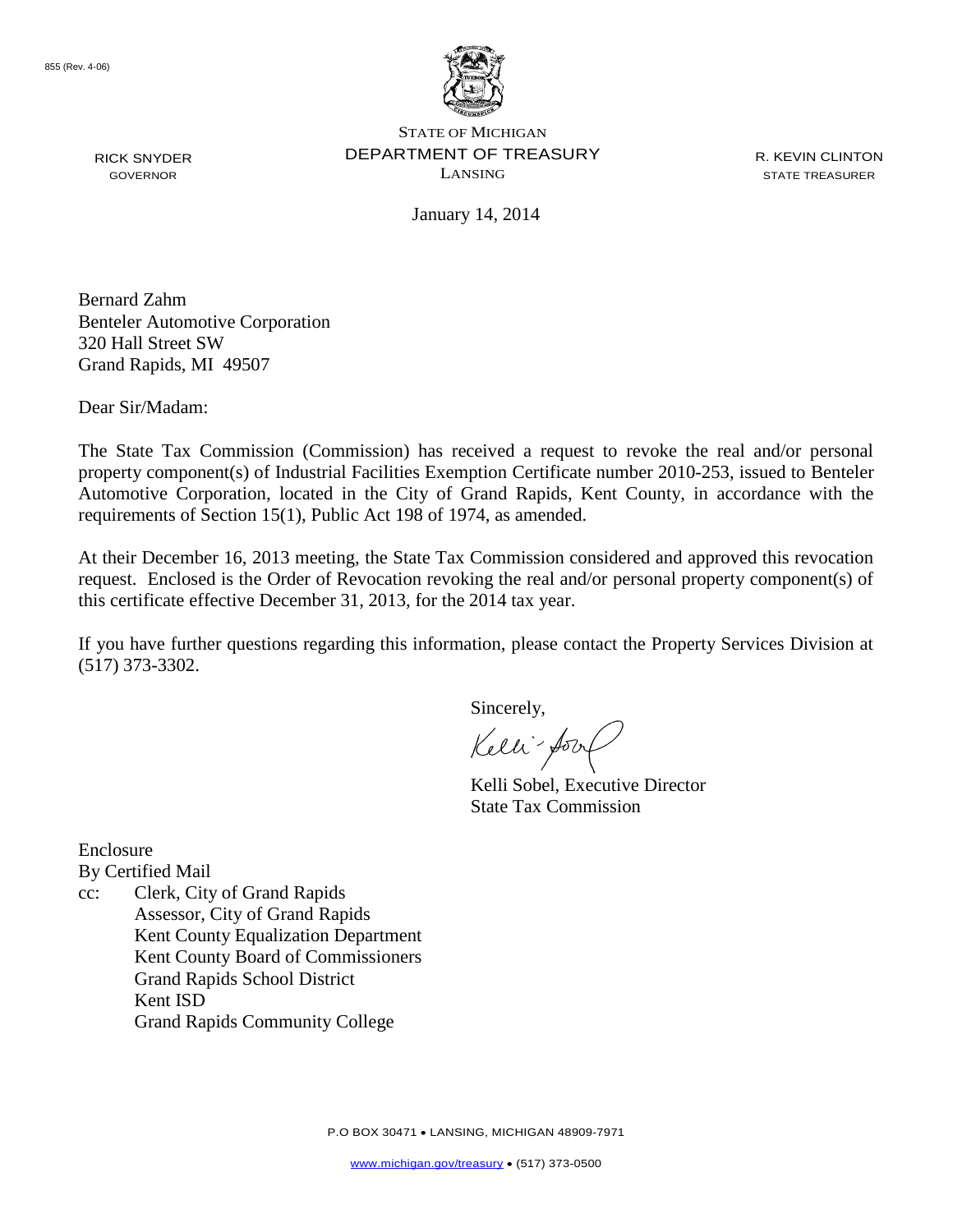

RICK SNYDER GOVERNOR

STATE OF MICHIGAN DEPARTMENT OF TREASURY LANSING

R. KEVIN CLINTON STATE TREASURER

January 14, 2014

Bernard Zahm Benteler Automotive Corporation 320 Hall Street SW Grand Rapids, MI 49507

Dear Sir/Madam:

The State Tax Commission (Commission) has received a request to revoke the real and/or personal property component(s) of Industrial Facilities Exemption Certificate number 2010-253, issued to Benteler Automotive Corporation, located in the City of Grand Rapids, Kent County, in accordance with the requirements of Section 15(1), Public Act 198 of 1974, as amended.

At their December 16, 2013 meeting, the State Tax Commission considered and approved this revocation request. Enclosed is the Order of Revocation revoking the real and/or personal property component(s) of this certificate effective December 31, 2013, for the 2014 tax year.

If you have further questions regarding this information, please contact the Property Services Division at (517) 373-3302.

Sincerely,

Kelli-form

Kelli Sobel, Executive Director State Tax Commission

Enclosure

By Certified Mail

cc: Clerk, City of Grand Rapids Assessor, City of Grand Rapids Kent County Equalization Department Kent County Board of Commissioners Grand Rapids School District Kent ISD Grand Rapids Community College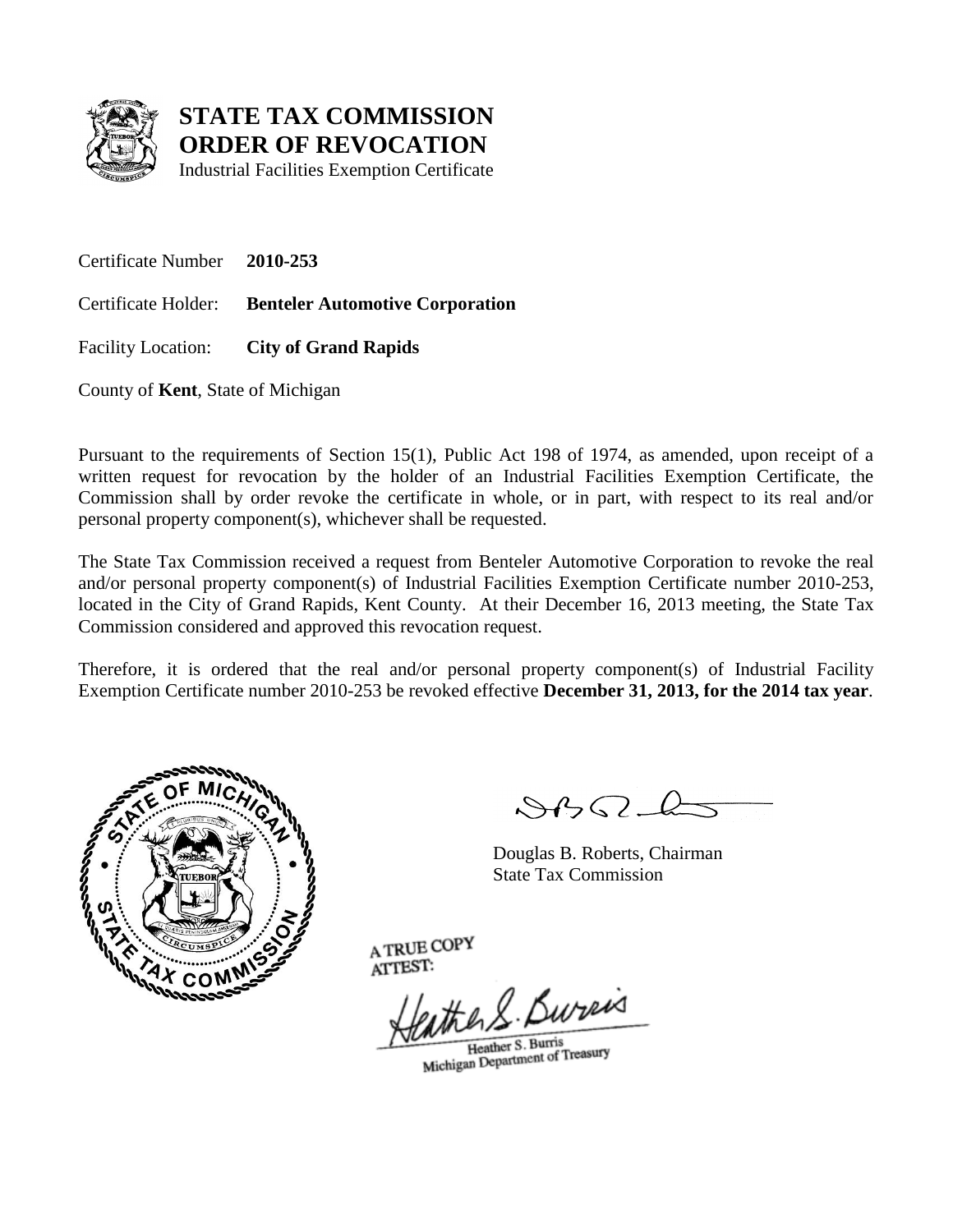

Industrial Facilities Exemption Certificate

Certificate Number **2010-253**

Certificate Holder: **Benteler Automotive Corporation**

Facility Location: **City of Grand Rapids**

County of **Kent**, State of Michigan

Pursuant to the requirements of Section 15(1), Public Act 198 of 1974, as amended, upon receipt of a written request for revocation by the holder of an Industrial Facilities Exemption Certificate, the Commission shall by order revoke the certificate in whole, or in part, with respect to its real and/or personal property component(s), whichever shall be requested.

The State Tax Commission received a request from Benteler Automotive Corporation to revoke the real and/or personal property component(s) of Industrial Facilities Exemption Certificate number 2010-253, located in the City of Grand Rapids, Kent County. At their December 16, 2013 meeting, the State Tax Commission considered and approved this revocation request.

Therefore, it is ordered that the real and/or personal property component(s) of Industrial Facility Exemption Certificate number 2010-253 be revoked effective **December 31, 2013, for the 2014 tax year**.



 $\mathcal{S}$ 

Douglas B. Roberts, Chairman State Tax Commission

the R. Bureis

Heather S. Burris Heather S. Burns<br>Michigan Department of Treasury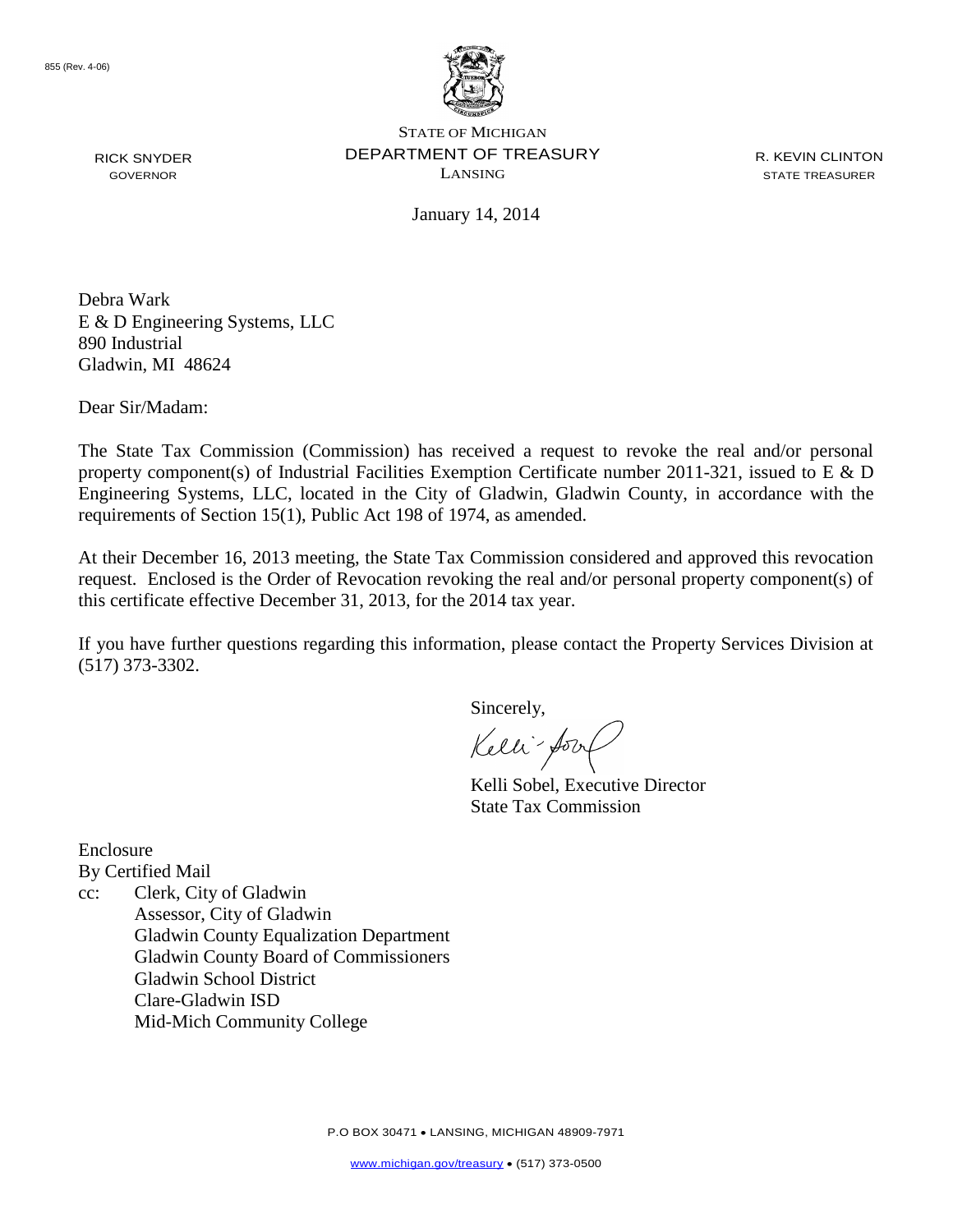

RICK SNYDER GOVERNOR

STATE OF MICHIGAN DEPARTMENT OF TREASURY LANSING

R. KEVIN CLINTON STATE TREASURER

January 14, 2014

Debra Wark E & D Engineering Systems, LLC 890 Industrial Gladwin, MI 48624

Dear Sir/Madam:

The State Tax Commission (Commission) has received a request to revoke the real and/or personal property component(s) of Industrial Facilities Exemption Certificate number 2011-321, issued to E & D Engineering Systems, LLC, located in the City of Gladwin, Gladwin County, in accordance with the requirements of Section 15(1), Public Act 198 of 1974, as amended.

At their December 16, 2013 meeting, the State Tax Commission considered and approved this revocation request. Enclosed is the Order of Revocation revoking the real and/or personal property component(s) of this certificate effective December 31, 2013, for the 2014 tax year.

If you have further questions regarding this information, please contact the Property Services Division at (517) 373-3302.

Sincerely,

Kelli-form

Kelli Sobel, Executive Director State Tax Commission

Enclosure

By Certified Mail

cc: Clerk, City of Gladwin Assessor, City of Gladwin Gladwin County Equalization Department Gladwin County Board of Commissioners Gladwin School District Clare-Gladwin ISD Mid-Mich Community College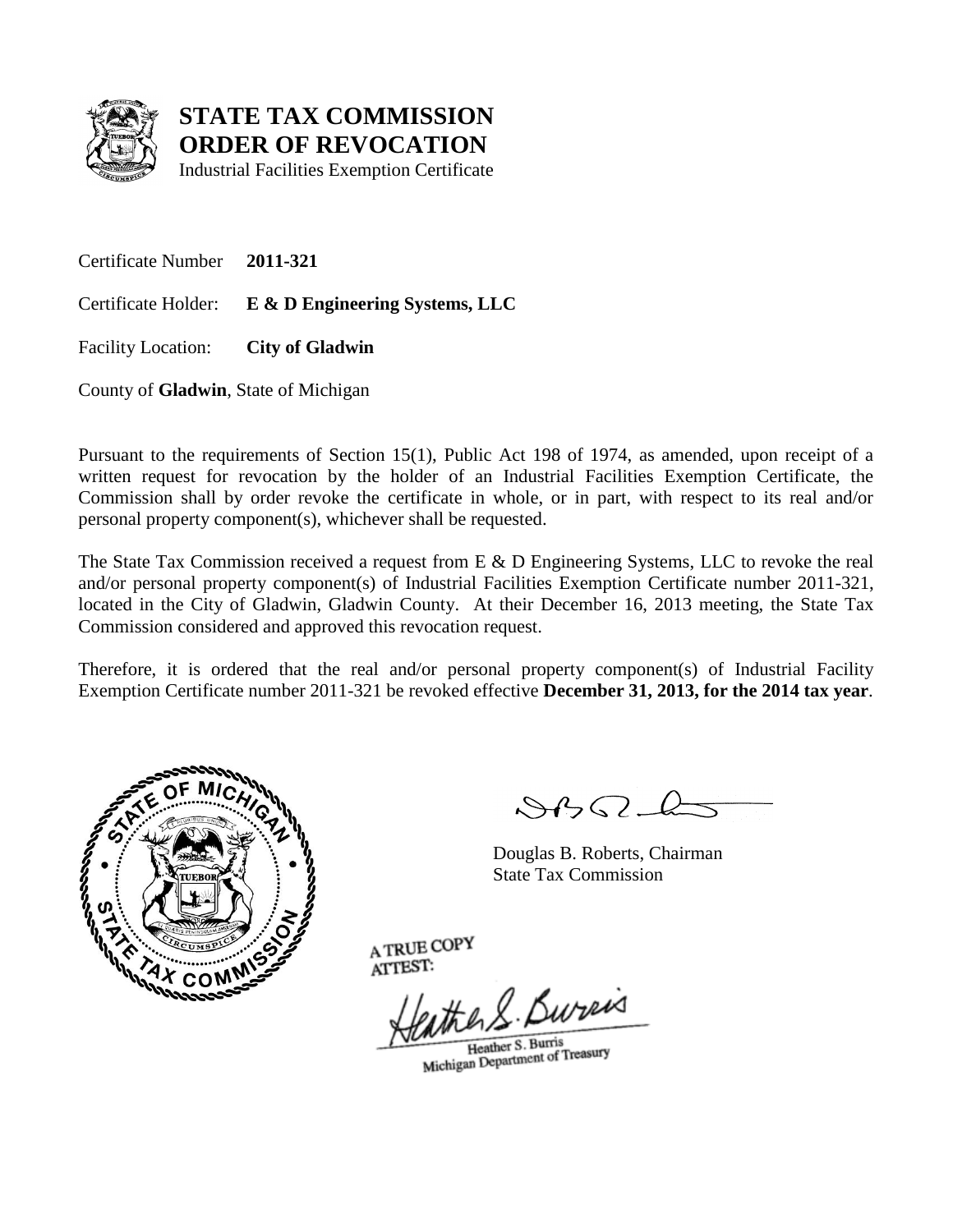

Industrial Facilities Exemption Certificate

Certificate Number **2011-321**

Certificate Holder: **E & D Engineering Systems, LLC**

Facility Location: **City of Gladwin**

County of **Gladwin**, State of Michigan

Pursuant to the requirements of Section 15(1), Public Act 198 of 1974, as amended, upon receipt of a written request for revocation by the holder of an Industrial Facilities Exemption Certificate, the Commission shall by order revoke the certificate in whole, or in part, with respect to its real and/or personal property component(s), whichever shall be requested.

The State Tax Commission received a request from E & D Engineering Systems, LLC to revoke the real and/or personal property component(s) of Industrial Facilities Exemption Certificate number 2011-321, located in the City of Gladwin, Gladwin County. At their December 16, 2013 meeting, the State Tax Commission considered and approved this revocation request.

Therefore, it is ordered that the real and/or personal property component(s) of Industrial Facility Exemption Certificate number 2011-321 be revoked effective **December 31, 2013, for the 2014 tax year**.



 $\mathcal{A} \cap \mathcal{A} \cap \mathcal{A}$ 

Douglas B. Roberts, Chairman State Tax Commission

He S. Bureis

Heather S. Burris Heather S. Burns<br>Michigan Department of Treasury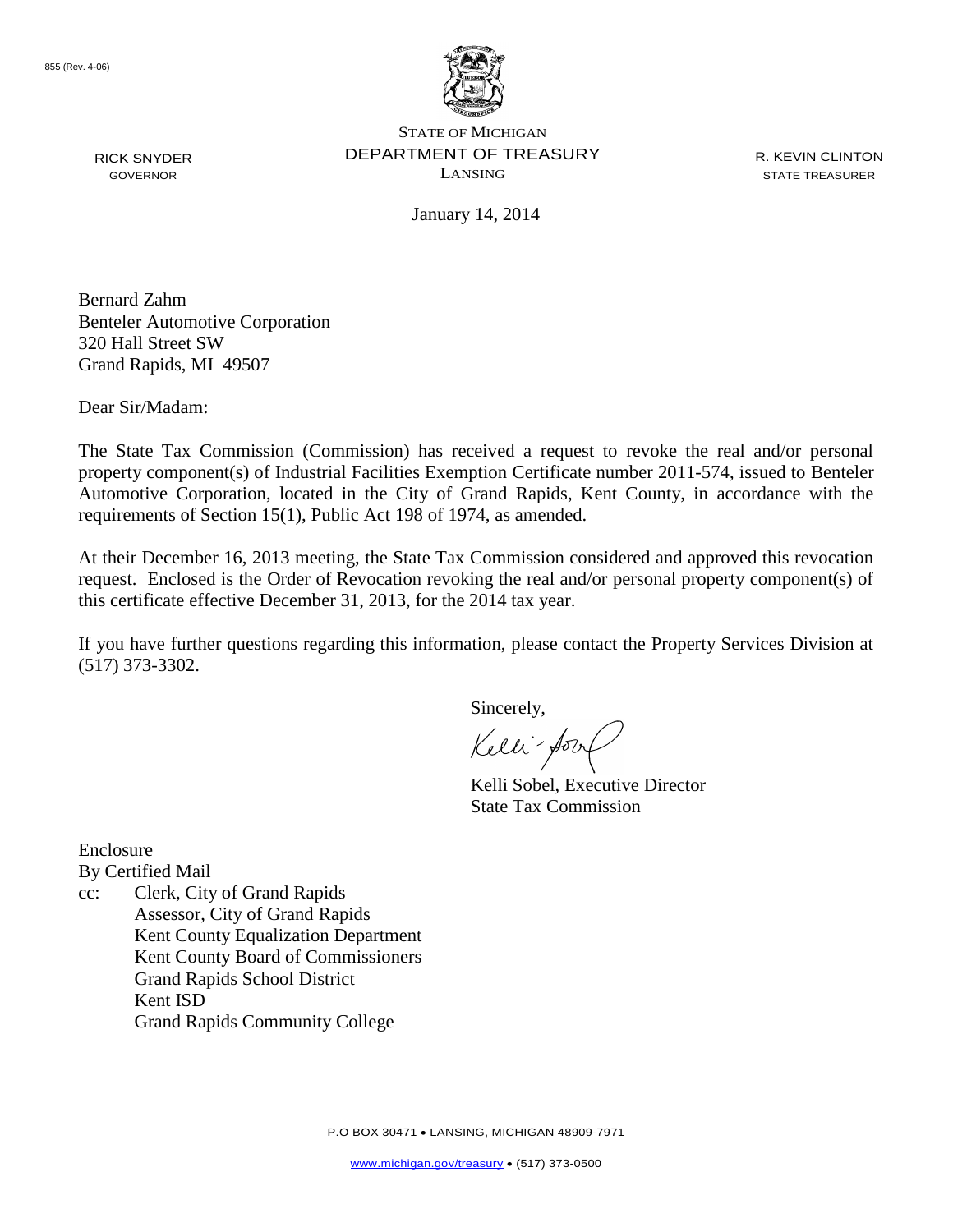

R. KEVIN CLINTON STATE TREASURER

January 14, 2014

Bernard Zahm Benteler Automotive Corporation 320 Hall Street SW Grand Rapids, MI 49507

Dear Sir/Madam:

RICK SNYDER GOVERNOR

The State Tax Commission (Commission) has received a request to revoke the real and/or personal property component(s) of Industrial Facilities Exemption Certificate number 2011-574, issued to Benteler Automotive Corporation, located in the City of Grand Rapids, Kent County, in accordance with the requirements of Section 15(1), Public Act 198 of 1974, as amended.

At their December 16, 2013 meeting, the State Tax Commission considered and approved this revocation request. Enclosed is the Order of Revocation revoking the real and/or personal property component(s) of this certificate effective December 31, 2013, for the 2014 tax year.

If you have further questions regarding this information, please contact the Property Services Division at (517) 373-3302.

Sincerely,

Kelli-form

Kelli Sobel, Executive Director State Tax Commission

Enclosure

By Certified Mail

cc: Clerk, City of Grand Rapids Assessor, City of Grand Rapids Kent County Equalization Department Kent County Board of Commissioners Grand Rapids School District Kent ISD Grand Rapids Community College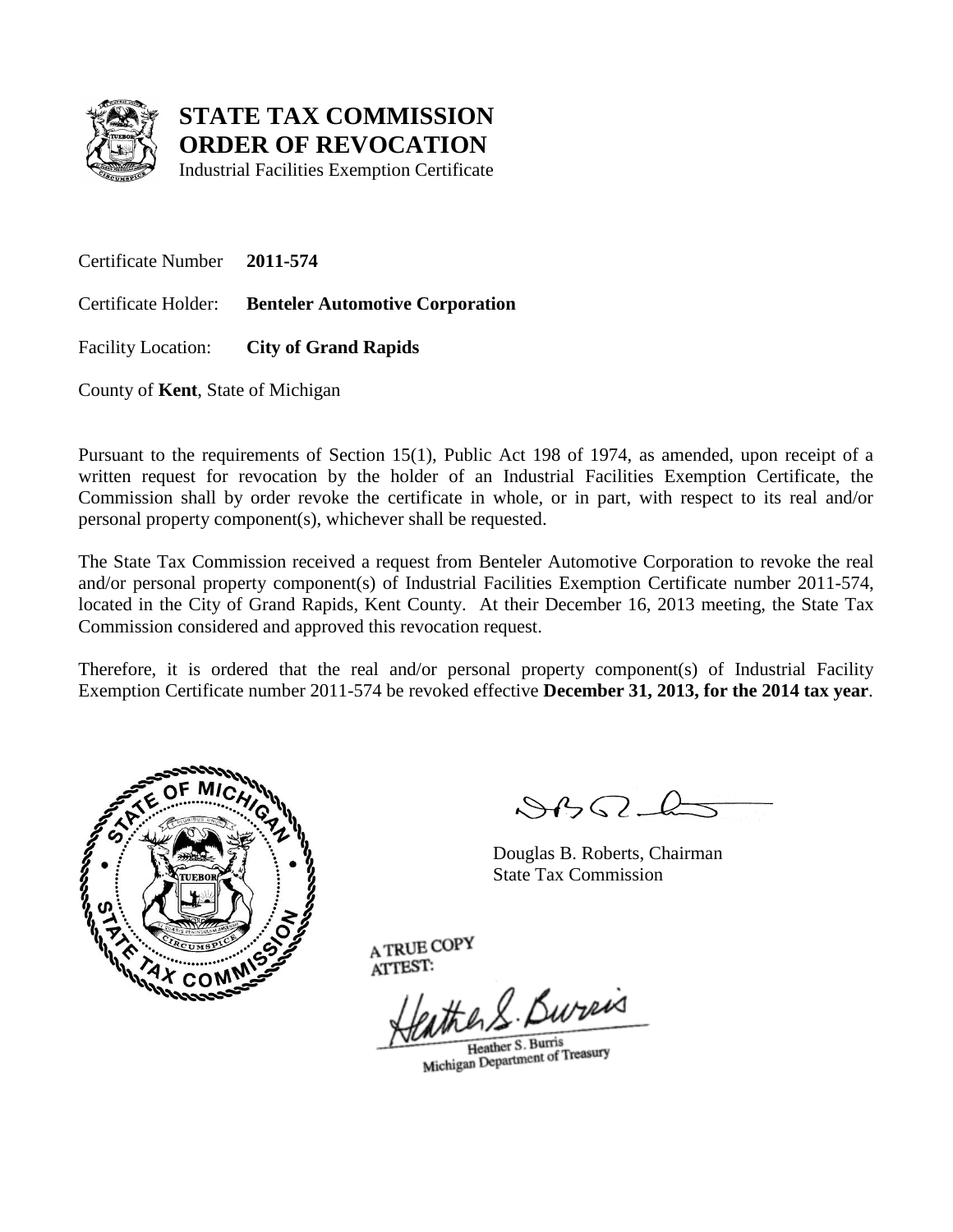

Industrial Facilities Exemption Certificate

Certificate Number **2011-574**

Certificate Holder: **Benteler Automotive Corporation**

Facility Location: **City of Grand Rapids**

County of **Kent**, State of Michigan

Pursuant to the requirements of Section 15(1), Public Act 198 of 1974, as amended, upon receipt of a written request for revocation by the holder of an Industrial Facilities Exemption Certificate, the Commission shall by order revoke the certificate in whole, or in part, with respect to its real and/or personal property component(s), whichever shall be requested.

The State Tax Commission received a request from Benteler Automotive Corporation to revoke the real and/or personal property component(s) of Industrial Facilities Exemption Certificate number 2011-574, located in the City of Grand Rapids, Kent County. At their December 16, 2013 meeting, the State Tax Commission considered and approved this revocation request.

Therefore, it is ordered that the real and/or personal property component(s) of Industrial Facility Exemption Certificate number 2011-574 be revoked effective **December 31, 2013, for the 2014 tax year**.



 $\mathcal{S}$ 

Douglas B. Roberts, Chairman State Tax Commission

the R. Bureis

Heather S. Burris Heather S. Burns<br>Michigan Department of Treasury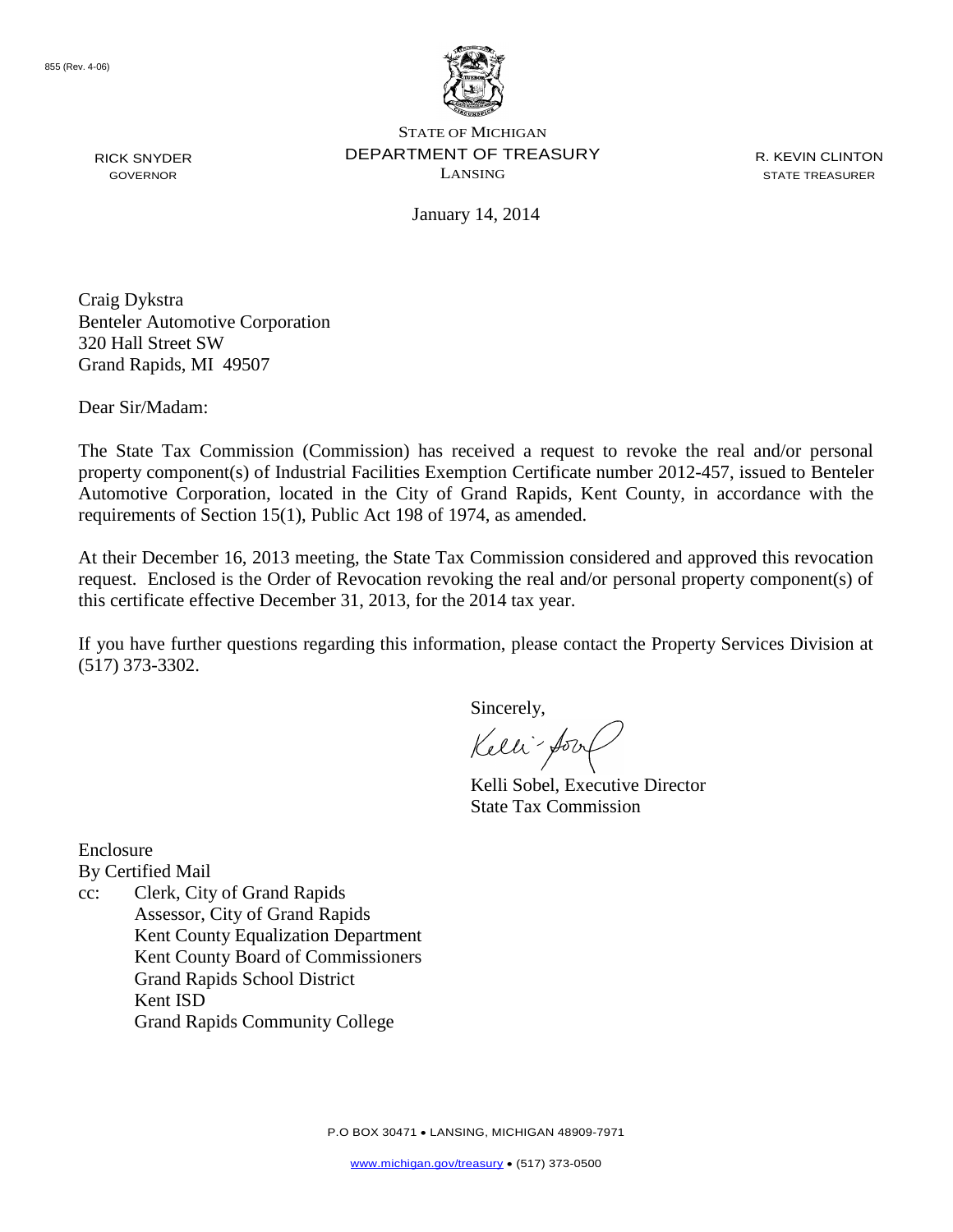

R. KEVIN CLINTON STATE TREASURER

January 14, 2014

Craig Dykstra Benteler Automotive Corporation 320 Hall Street SW Grand Rapids, MI 49507

Dear Sir/Madam:

The State Tax Commission (Commission) has received a request to revoke the real and/or personal property component(s) of Industrial Facilities Exemption Certificate number 2012-457, issued to Benteler Automotive Corporation, located in the City of Grand Rapids, Kent County, in accordance with the requirements of Section 15(1), Public Act 198 of 1974, as amended.

At their December 16, 2013 meeting, the State Tax Commission considered and approved this revocation request. Enclosed is the Order of Revocation revoking the real and/or personal property component(s) of this certificate effective December 31, 2013, for the 2014 tax year.

If you have further questions regarding this information, please contact the Property Services Division at (517) 373-3302.

Sincerely,

Kelli-form

Kelli Sobel, Executive Director State Tax Commission

Enclosure

By Certified Mail

cc: Clerk, City of Grand Rapids Assessor, City of Grand Rapids Kent County Equalization Department Kent County Board of Commissioners Grand Rapids School District Kent ISD Grand Rapids Community College

RICK SNYDER GOVERNOR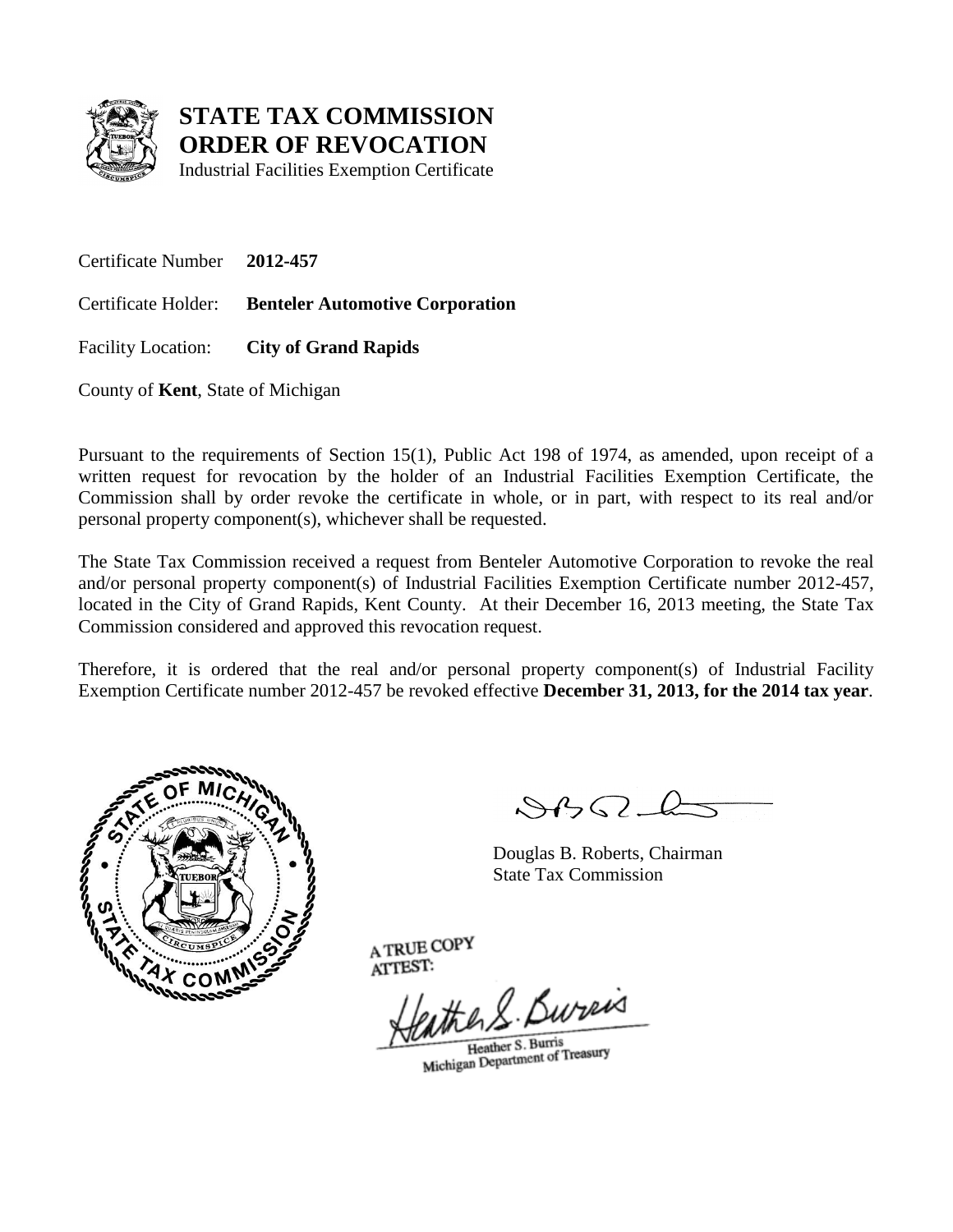

Industrial Facilities Exemption Certificate

Certificate Number **2012-457**

Certificate Holder: **Benteler Automotive Corporation**

Facility Location: **City of Grand Rapids**

County of **Kent**, State of Michigan

Pursuant to the requirements of Section 15(1), Public Act 198 of 1974, as amended, upon receipt of a written request for revocation by the holder of an Industrial Facilities Exemption Certificate, the Commission shall by order revoke the certificate in whole, or in part, with respect to its real and/or personal property component(s), whichever shall be requested.

The State Tax Commission received a request from Benteler Automotive Corporation to revoke the real and/or personal property component(s) of Industrial Facilities Exemption Certificate number 2012-457, located in the City of Grand Rapids, Kent County. At their December 16, 2013 meeting, the State Tax Commission considered and approved this revocation request.

Therefore, it is ordered that the real and/or personal property component(s) of Industrial Facility Exemption Certificate number 2012-457 be revoked effective **December 31, 2013, for the 2014 tax year**.



 $\mathcal{S}$ 

Douglas B. Roberts, Chairman State Tax Commission

the R. Bureis

Heather S. Burris Heather S. Burns<br>Michigan Department of Treasury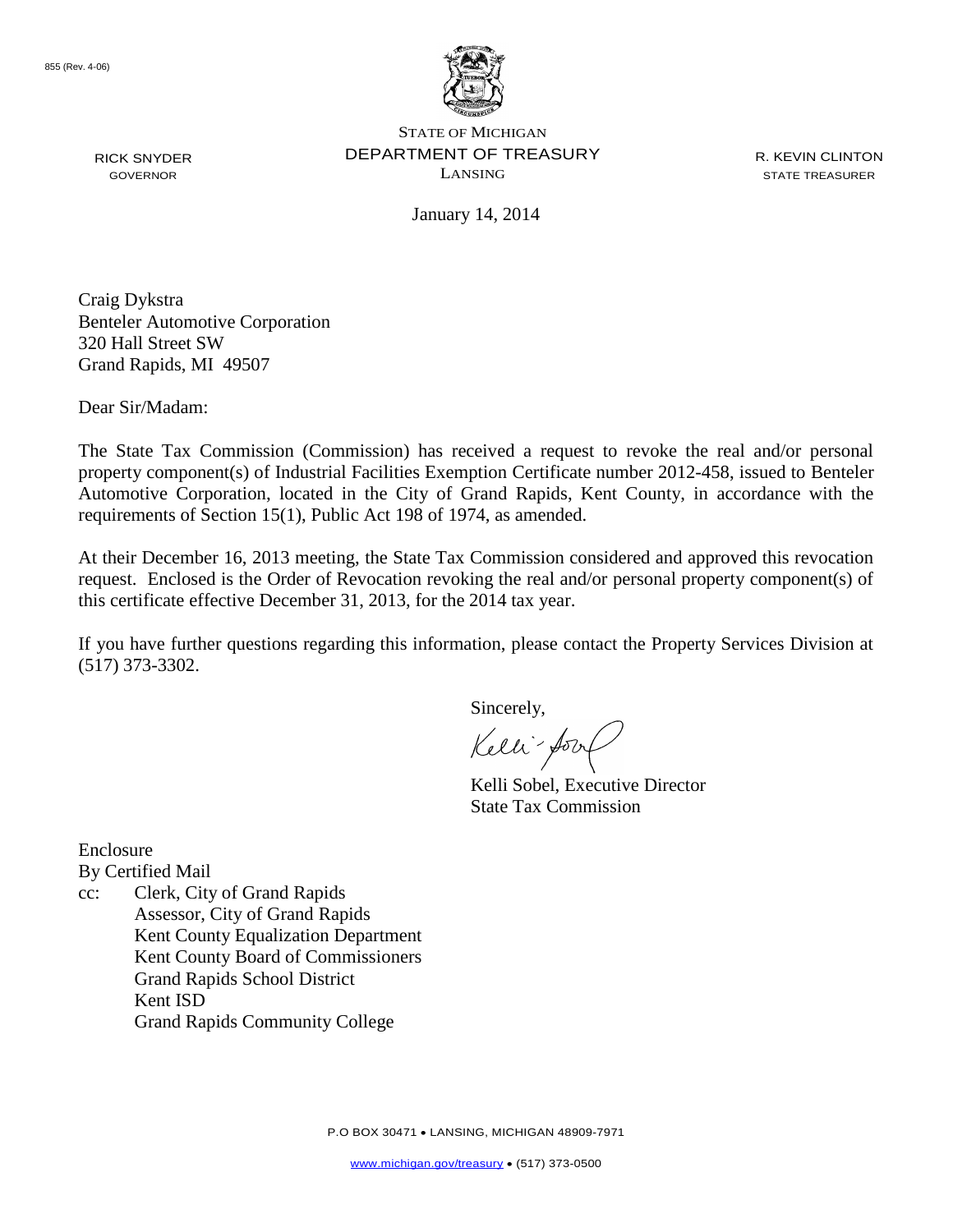

R. KEVIN CLINTON STATE TREASURER

January 14, 2014

Craig Dykstra Benteler Automotive Corporation 320 Hall Street SW Grand Rapids, MI 49507

Dear Sir/Madam:

The State Tax Commission (Commission) has received a request to revoke the real and/or personal property component(s) of Industrial Facilities Exemption Certificate number 2012-458, issued to Benteler Automotive Corporation, located in the City of Grand Rapids, Kent County, in accordance with the requirements of Section 15(1), Public Act 198 of 1974, as amended.

At their December 16, 2013 meeting, the State Tax Commission considered and approved this revocation request. Enclosed is the Order of Revocation revoking the real and/or personal property component(s) of this certificate effective December 31, 2013, for the 2014 tax year.

If you have further questions regarding this information, please contact the Property Services Division at (517) 373-3302.

Sincerely,

Kelli-form

Kelli Sobel, Executive Director State Tax Commission

Enclosure

By Certified Mail

cc: Clerk, City of Grand Rapids Assessor, City of Grand Rapids Kent County Equalization Department Kent County Board of Commissioners Grand Rapids School District Kent ISD Grand Rapids Community College

RICK SNYDER GOVERNOR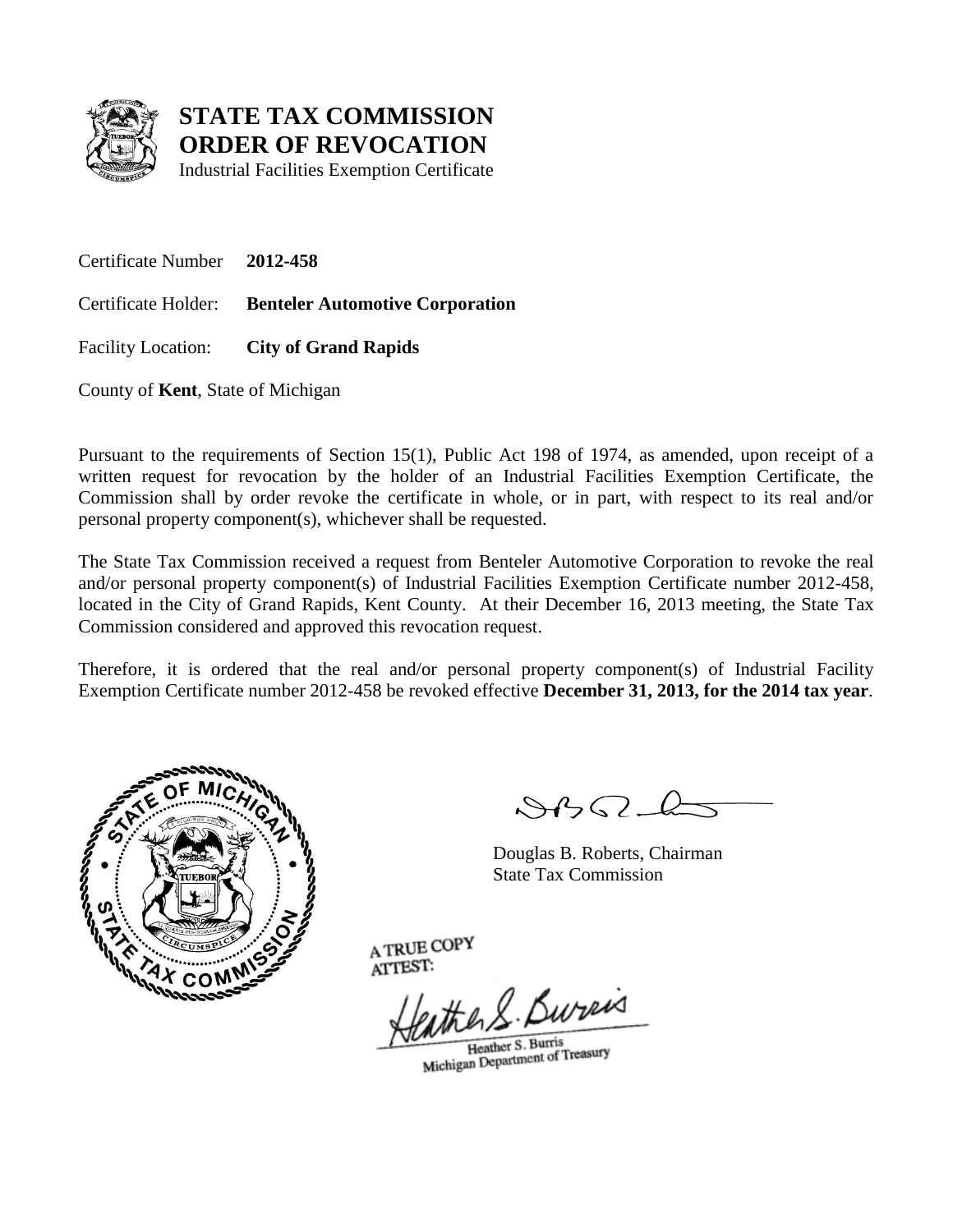

Industrial Facilities Exemption Certificate

Certificate Number **2012-458**

Certificate Holder: **Benteler Automotive Corporation**

Facility Location: **City of Grand Rapids**

County of **Kent**, State of Michigan

Pursuant to the requirements of Section 15(1), Public Act 198 of 1974, as amended, upon receipt of a written request for revocation by the holder of an Industrial Facilities Exemption Certificate, the Commission shall by order revoke the certificate in whole, or in part, with respect to its real and/or personal property component(s), whichever shall be requested.

The State Tax Commission received a request from Benteler Automotive Corporation to revoke the real and/or personal property component(s) of Industrial Facilities Exemption Certificate number 2012-458, located in the City of Grand Rapids, Kent County. At their December 16, 2013 meeting, the State Tax Commission considered and approved this revocation request.

Therefore, it is ordered that the real and/or personal property component(s) of Industrial Facility Exemption Certificate number 2012-458 be revoked effective **December 31, 2013, for the 2014 tax year**.



 $\mathcal{S}$ 

Douglas B. Roberts, Chairman State Tax Commission

the R. Bureis

Heather S. Burris Heather S. Burns<br>Michigan Department of Treasury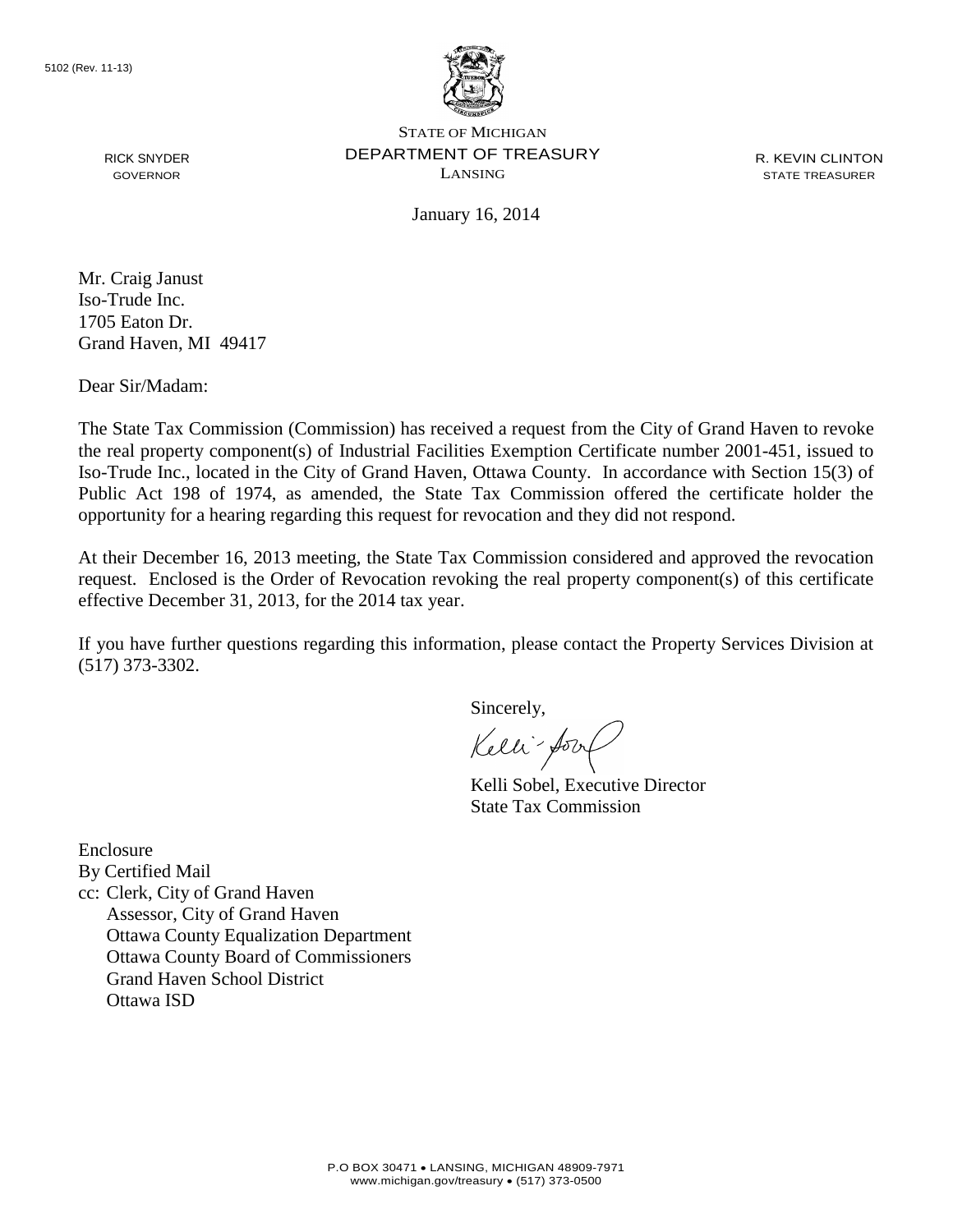

R. KEVIN CLINTON STATE TREASURER

January 16, 2014

RICK SNYDER GOVERNOR

Mr. Craig Janust Iso-Trude Inc. 1705 Eaton Dr. Grand Haven, MI 49417

Dear Sir/Madam:

The State Tax Commission (Commission) has received a request from the City of Grand Haven to revoke the real property component(s) of Industrial Facilities Exemption Certificate number 2001-451, issued to Iso-Trude Inc., located in the City of Grand Haven, Ottawa County. In accordance with Section 15(3) of Public Act 198 of 1974, as amended, the State Tax Commission offered the certificate holder the opportunity for a hearing regarding this request for revocation and they did not respond.

At their December 16, 2013 meeting, the State Tax Commission considered and approved the revocation request. Enclosed is the Order of Revocation revoking the real property component(s) of this certificate effective December 31, 2013, for the 2014 tax year.

If you have further questions regarding this information, please contact the Property Services Division at (517) 373-3302.

Sincerely,

Kelli-Sort

Kelli Sobel, Executive Director State Tax Commission

Enclosure By Certified Mail cc: Clerk, City of Grand Haven Assessor, City of Grand Haven Ottawa County Equalization Department Ottawa County Board of Commissioners Grand Haven School District Ottawa ISD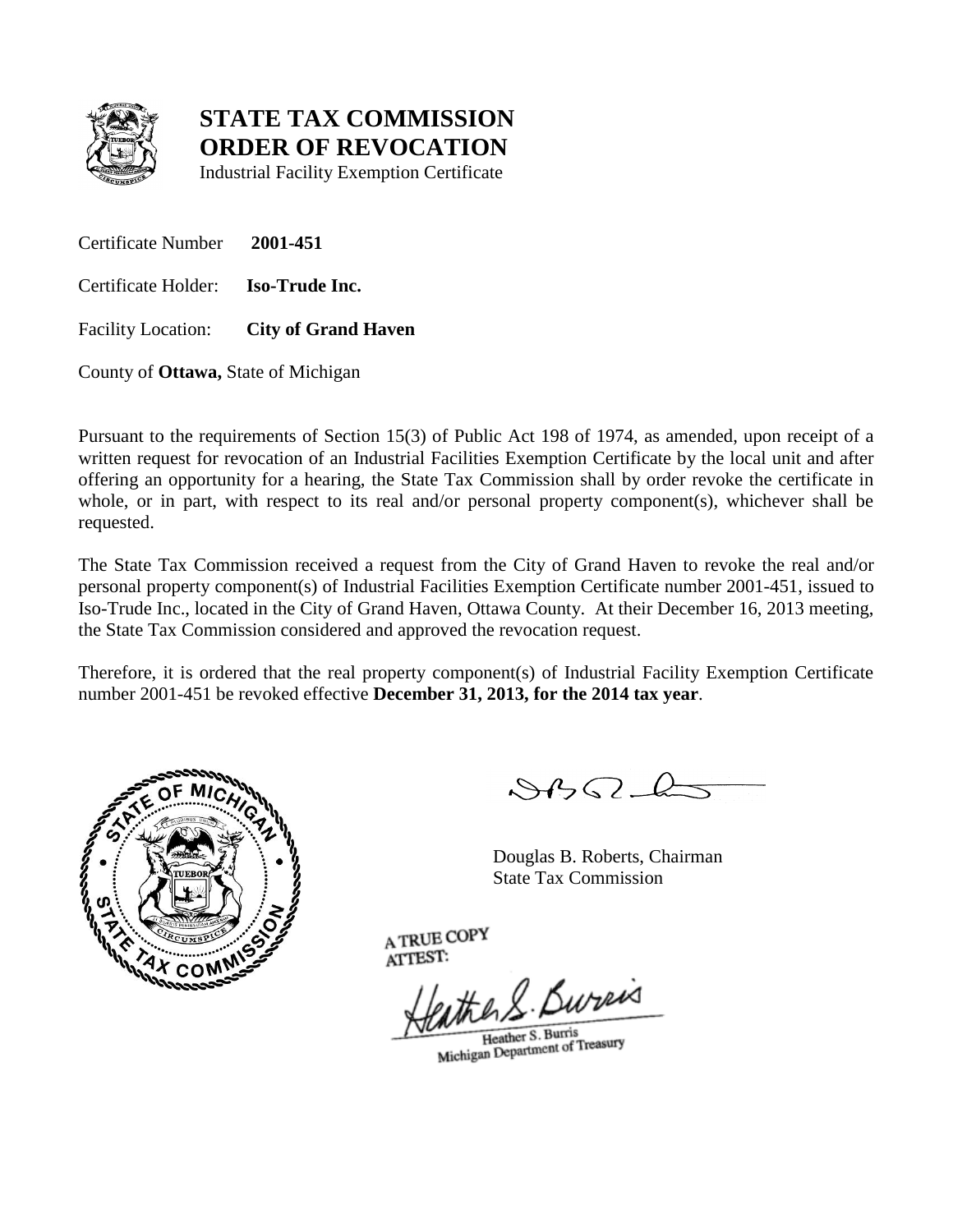

Industrial Facility Exemption Certificate

Certificate Number **2001-451**

Certificate Holder: **Iso-Trude Inc.**

Facility Location: **City of Grand Haven**

County of **Ottawa,** State of Michigan

Pursuant to the requirements of Section 15(3) of Public Act 198 of 1974, as amended, upon receipt of a written request for revocation of an Industrial Facilities Exemption Certificate by the local unit and after offering an opportunity for a hearing, the State Tax Commission shall by order revoke the certificate in whole, or in part, with respect to its real and/or personal property component(s), whichever shall be requested.

The State Tax Commission received a request from the City of Grand Haven to revoke the real and/or personal property component(s) of Industrial Facilities Exemption Certificate number 2001-451, issued to Iso-Trude Inc., located in the City of Grand Haven, Ottawa County. At their December 16, 2013 meeting, the State Tax Commission considered and approved the revocation request.

Therefore, it is ordered that the real property component(s) of Industrial Facility Exemption Certificate number 2001-451 be revoked effective **December 31, 2013, for the 2014 tax year**.



 $882 - 6$ 

Douglas B. Roberts, Chairman State Tax Commission

eather S. Bureas

Heather S. Burris Heather S. Burris<br>Michigan Department of Treasury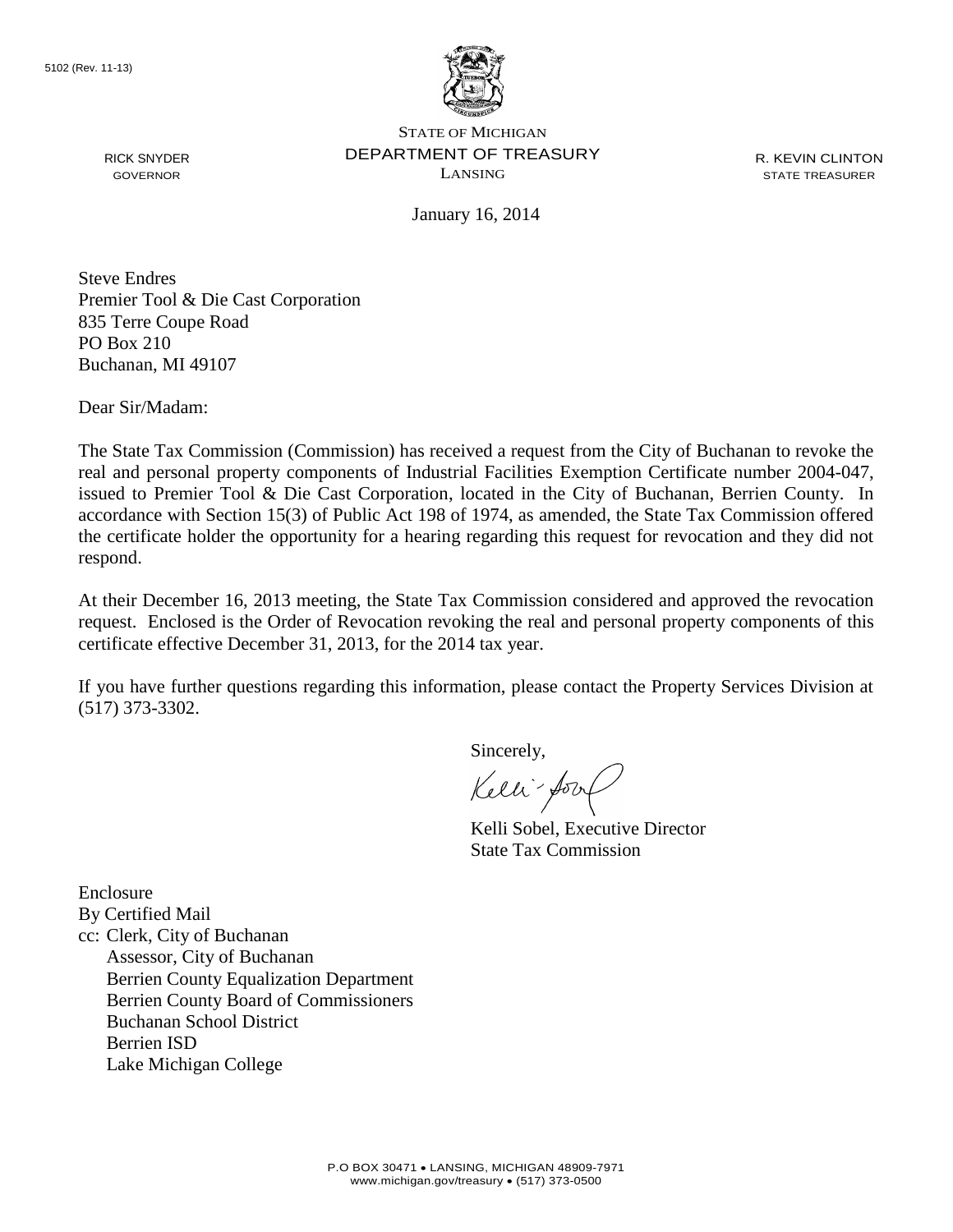

R. KEVIN CLINTON STATE TREASURER

January 16, 2014

Steve Endres Premier Tool & Die Cast Corporation 835 Terre Coupe Road PO Box 210 Buchanan, MI 49107

Dear Sir/Madam:

RICK SNYDER GOVERNOR

The State Tax Commission (Commission) has received a request from the City of Buchanan to revoke the real and personal property components of Industrial Facilities Exemption Certificate number 2004-047, issued to Premier Tool & Die Cast Corporation, located in the City of Buchanan, Berrien County. In accordance with Section 15(3) of Public Act 198 of 1974, as amended, the State Tax Commission offered the certificate holder the opportunity for a hearing regarding this request for revocation and they did not respond.

At their December 16, 2013 meeting, the State Tax Commission considered and approved the revocation request. Enclosed is the Order of Revocation revoking the real and personal property components of this certificate effective December 31, 2013, for the 2014 tax year.

If you have further questions regarding this information, please contact the Property Services Division at (517) 373-3302.

Sincerely,

Kelli-Sort

Kelli Sobel, Executive Director State Tax Commission

Enclosure By Certified Mail cc: Clerk, City of Buchanan Assessor, City of Buchanan Berrien County Equalization Department Berrien County Board of Commissioners Buchanan School District Berrien ISD Lake Michigan College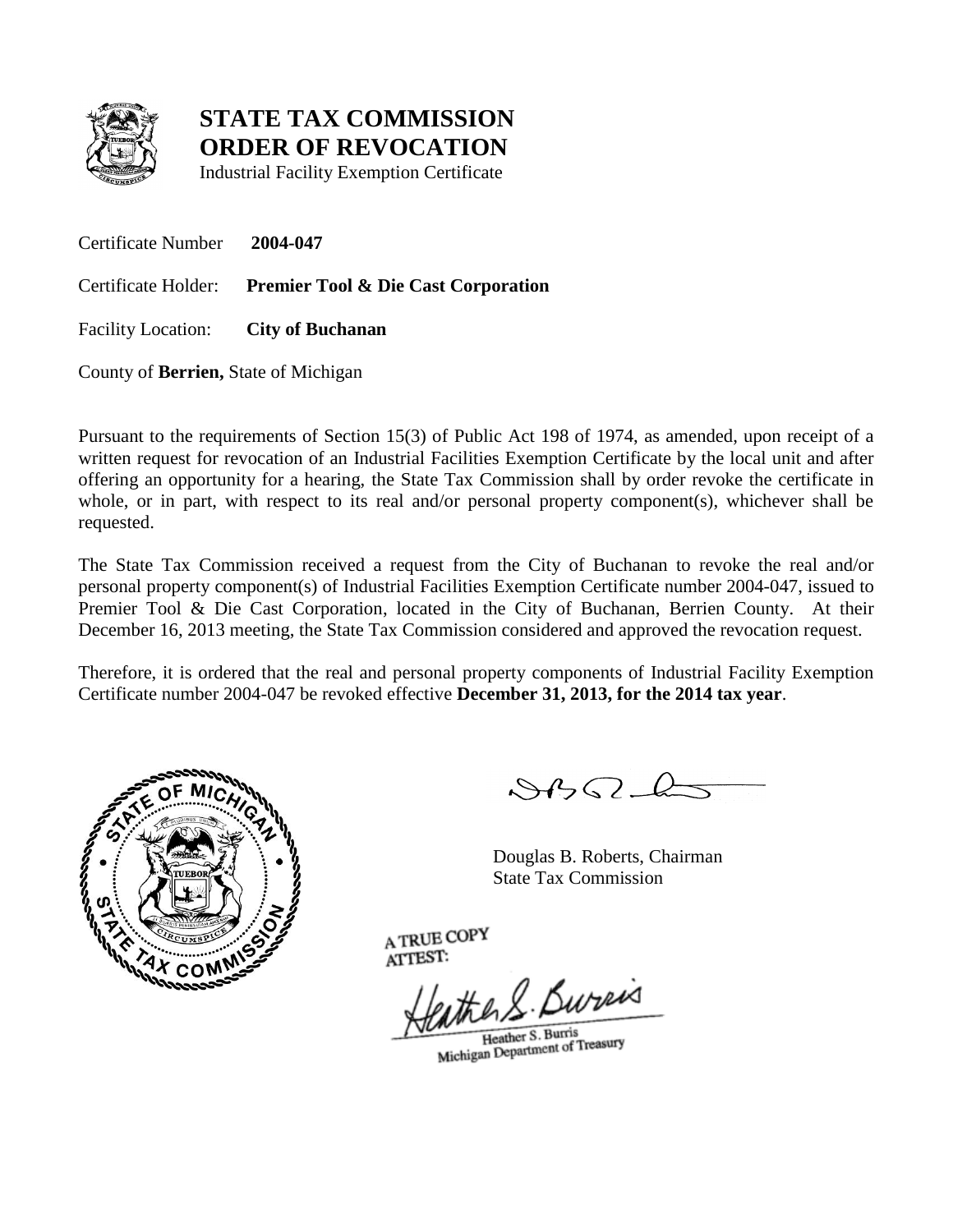

Industrial Facility Exemption Certificate

Certificate Number **2004-047** Certificate Holder: **Premier Tool & Die Cast Corporation** Facility Location: **City of Buchanan**

County of **Berrien,** State of Michigan

Pursuant to the requirements of Section 15(3) of Public Act 198 of 1974, as amended, upon receipt of a written request for revocation of an Industrial Facilities Exemption Certificate by the local unit and after offering an opportunity for a hearing, the State Tax Commission shall by order revoke the certificate in whole, or in part, with respect to its real and/or personal property component(s), whichever shall be requested.

The State Tax Commission received a request from the City of Buchanan to revoke the real and/or personal property component(s) of Industrial Facilities Exemption Certificate number 2004-047, issued to Premier Tool & Die Cast Corporation, located in the City of Buchanan, Berrien County. At their December 16, 2013 meeting, the State Tax Commission considered and approved the revocation request.

Therefore, it is ordered that the real and personal property components of Industrial Facility Exemption Certificate number 2004-047 be revoked effective **December 31, 2013, for the 2014 tax year**.



 $882L$ 

Douglas B. Roberts, Chairman State Tax Commission

eather S. Bureas

Heather S. Burris Heather S. Burris<br>Michigan Department of Treasury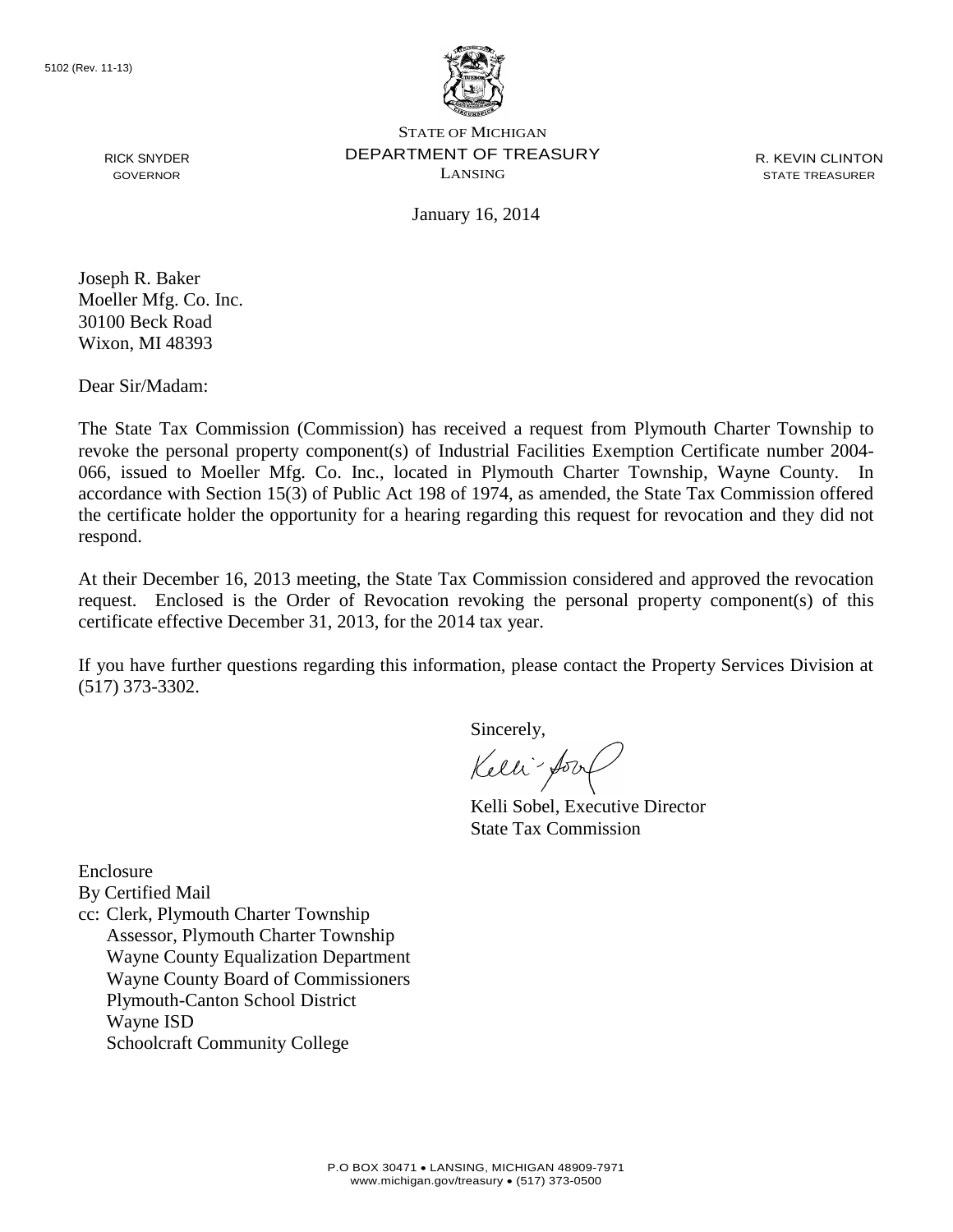

R. KEVIN CLINTON STATE TREASURER

January 16, 2014

Joseph R. Baker Moeller Mfg. Co. Inc. 30100 Beck Road Wixon, MI 48393

RICK SNYDER GOVERNOR

Dear Sir/Madam:

The State Tax Commission (Commission) has received a request from Plymouth Charter Township to revoke the personal property component(s) of Industrial Facilities Exemption Certificate number 2004- 066, issued to Moeller Mfg. Co. Inc., located in Plymouth Charter Township, Wayne County. In accordance with Section 15(3) of Public Act 198 of 1974, as amended, the State Tax Commission offered the certificate holder the opportunity for a hearing regarding this request for revocation and they did not respond.

At their December 16, 2013 meeting, the State Tax Commission considered and approved the revocation request. Enclosed is the Order of Revocation revoking the personal property component(s) of this certificate effective December 31, 2013, for the 2014 tax year.

If you have further questions regarding this information, please contact the Property Services Division at (517) 373-3302.

Sincerely,

Kelli-Soort

Kelli Sobel, Executive Director State Tax Commission

Enclosure

By Certified Mail

cc: Clerk, Plymouth Charter Township Assessor, Plymouth Charter Township Wayne County Equalization Department Wayne County Board of Commissioners Plymouth-Canton School District Wayne ISD Schoolcraft Community College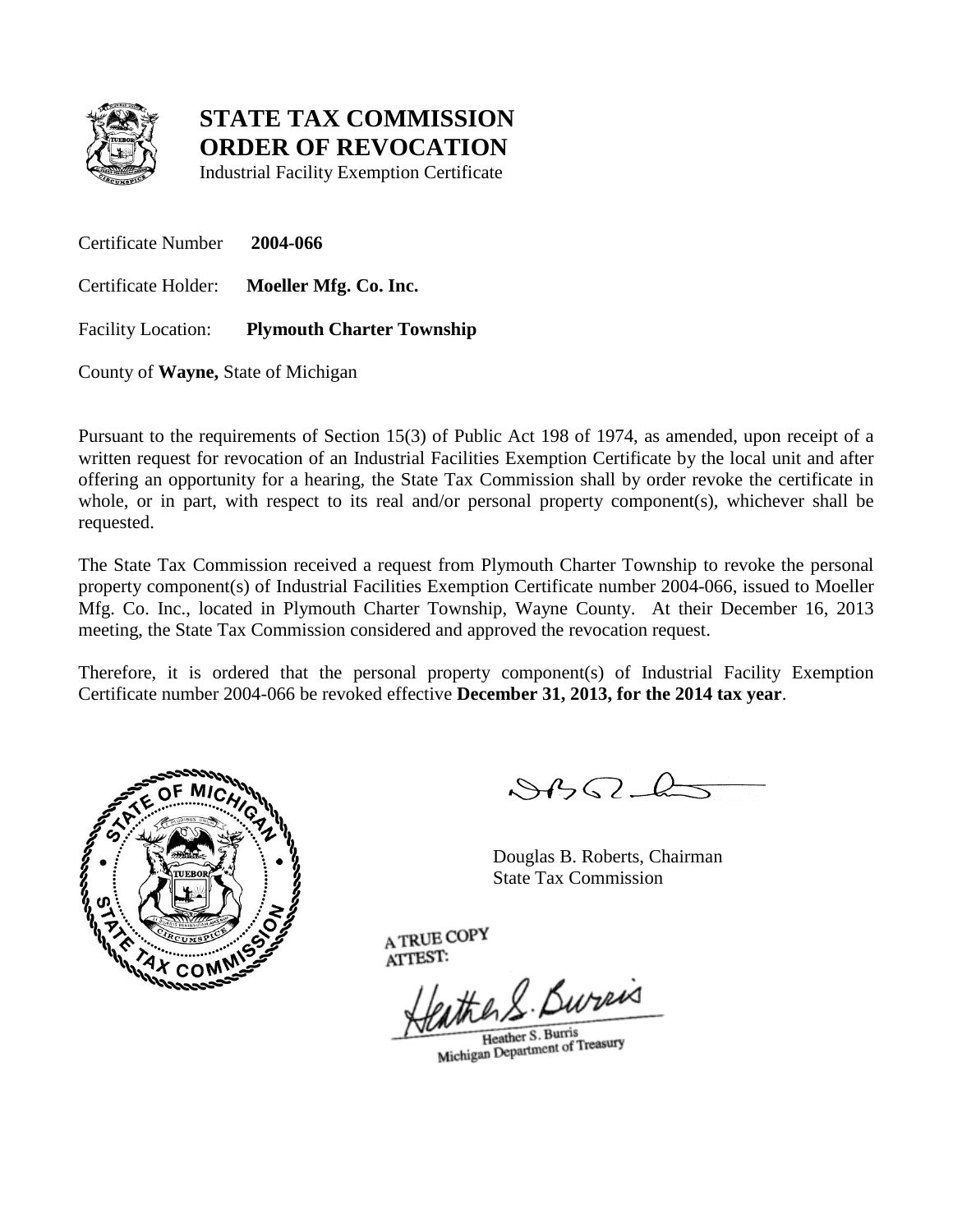

Industrial Facility Exemption Certificate

Certificate Number **2004-066** Certificate Holder: **Moeller Mfg. Co. Inc.** Facility Location: **Plymouth Charter Township**

County of **Wayne,** State of Michigan

Pursuant to the requirements of Section 15(3) of Public Act 198 of 1974, as amended, upon receipt of a written request for revocation of an Industrial Facilities Exemption Certificate by the local unit and after offering an opportunity for a hearing, the State Tax Commission shall by order revoke the certificate in whole, or in part, with respect to its real and/or personal property component(s), whichever shall be requested.

The State Tax Commission received a request from Plymouth Charter Township to revoke the personal property component(s) of Industrial Facilities Exemption Certificate number 2004-066, issued to Moeller Mfg. Co. Inc., located in Plymouth Charter Township, Wayne County. At their December 16, 2013 meeting, the State Tax Commission considered and approved the revocation request.

Therefore, it is ordered that the personal property component(s) of Industrial Facility Exemption Certificate number 2004-066 be revoked effective **December 31, 2013, for the 2014 tax year**.



 $882L$ 

Douglas B. Roberts, Chairman State Tax Commission

eather S. Bureis

Heather S. Burris Heather S. Burris<br>Michigan Department of Treasury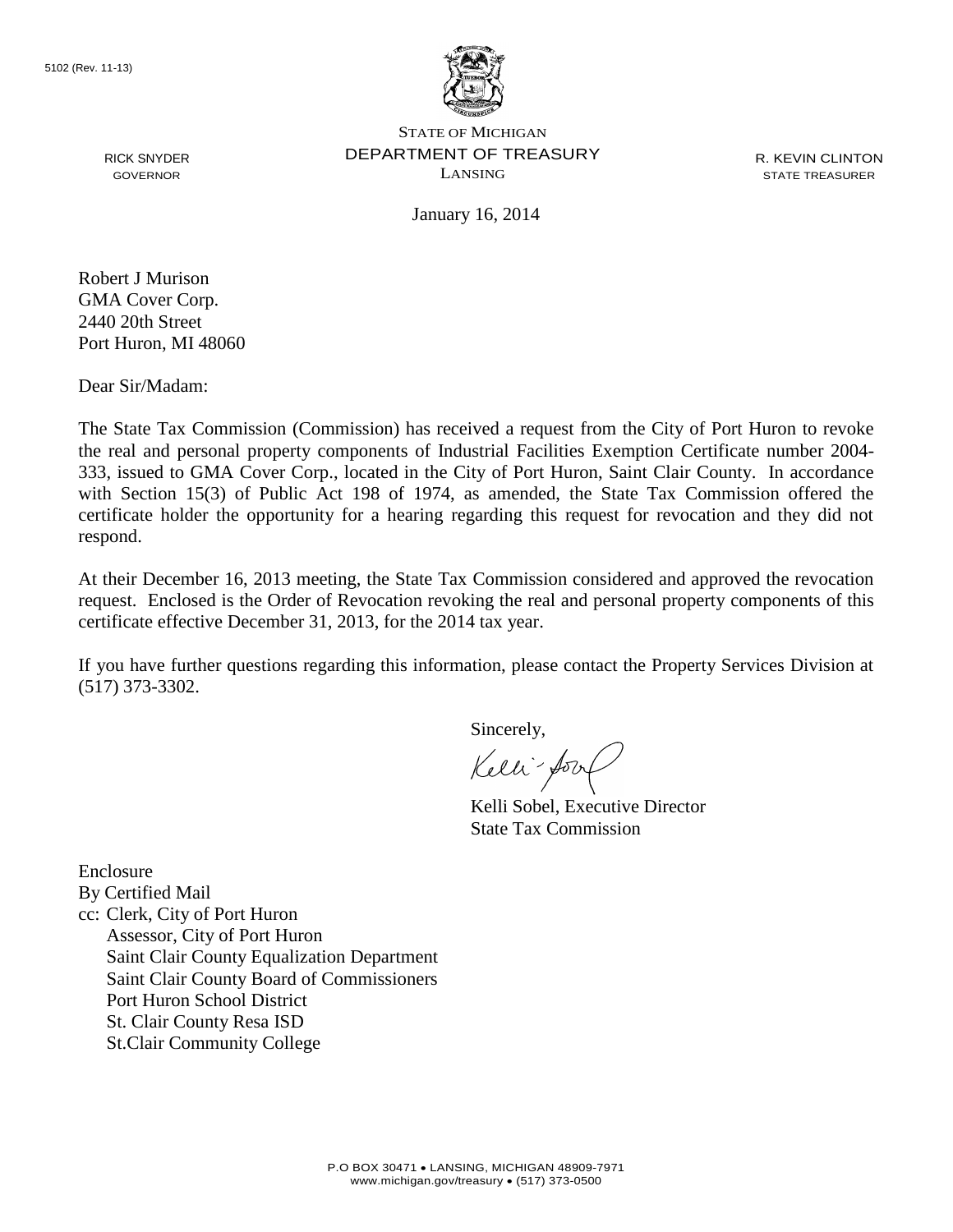5102 (Rev. 11-13)



STATE OF MICHIGAN DEPARTMENT OF TREASURY LANSING

R. KEVIN CLINTON STATE TREASURER

January 16, 2014

RICK SNYDER GOVERNOR

Robert J Murison GMA Cover Corp. 2440 20th Street Port Huron, MI 48060

Dear Sir/Madam:

The State Tax Commission (Commission) has received a request from the City of Port Huron to revoke the real and personal property components of Industrial Facilities Exemption Certificate number 2004- 333, issued to GMA Cover Corp., located in the City of Port Huron, Saint Clair County. In accordance with Section 15(3) of Public Act 198 of 1974, as amended, the State Tax Commission offered the certificate holder the opportunity for a hearing regarding this request for revocation and they did not respond.

At their December 16, 2013 meeting, the State Tax Commission considered and approved the revocation request. Enclosed is the Order of Revocation revoking the real and personal property components of this certificate effective December 31, 2013, for the 2014 tax year.

If you have further questions regarding this information, please contact the Property Services Division at (517) 373-3302.

Sincerely,

Kelli-Sort

Kelli Sobel, Executive Director State Tax Commission

Enclosure By Certified Mail cc: Clerk, City of Port Huron Assessor, City of Port Huron Saint Clair County Equalization Department Saint Clair County Board of Commissioners Port Huron School District St. Clair County Resa ISD St.Clair Community College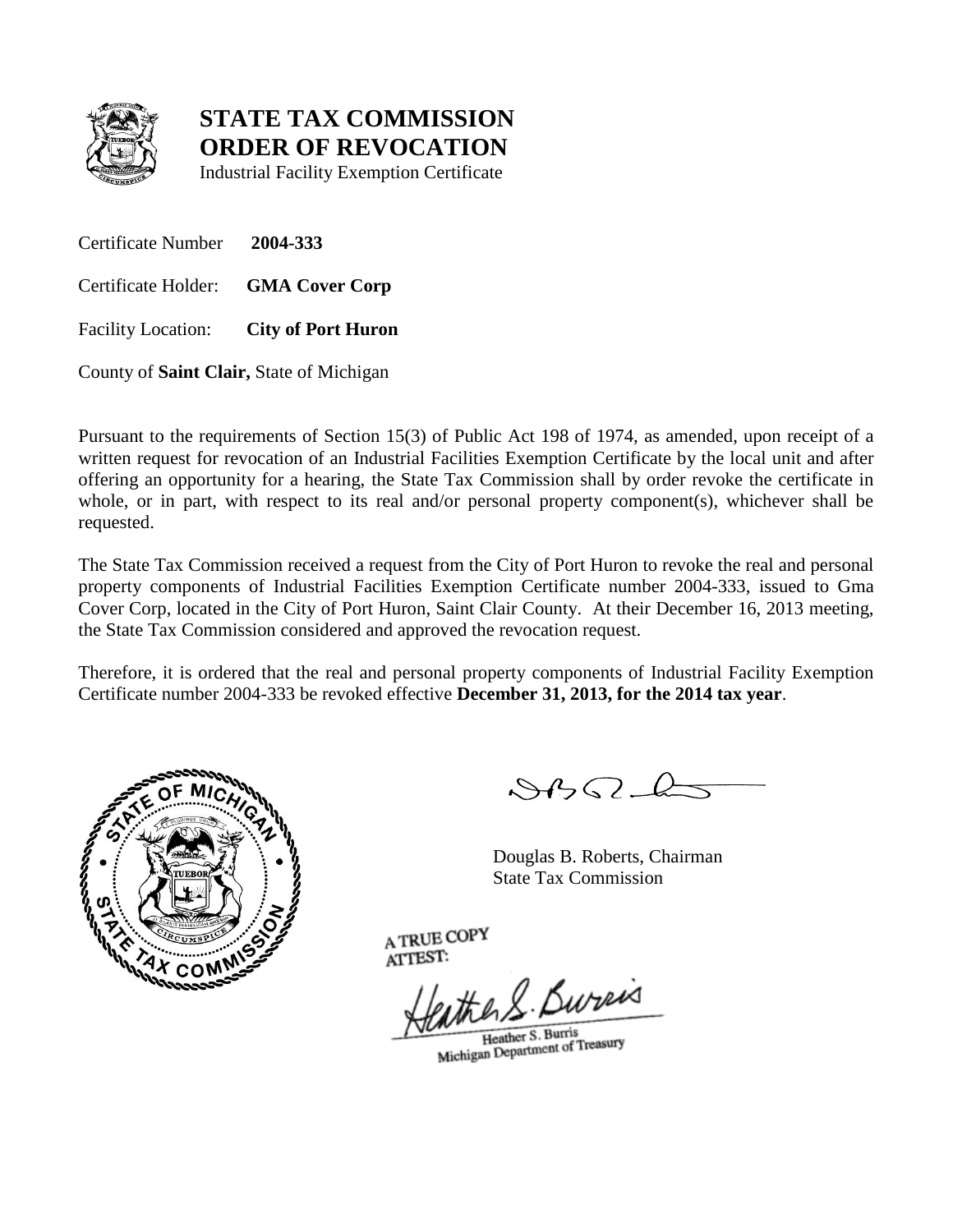

Industrial Facility Exemption Certificate

Certificate Number **2004-333** Certificate Holder: **GMA Cover Corp** Facility Location: **City of Port Huron**

County of **Saint Clair,** State of Michigan

Pursuant to the requirements of Section 15(3) of Public Act 198 of 1974, as amended, upon receipt of a written request for revocation of an Industrial Facilities Exemption Certificate by the local unit and after offering an opportunity for a hearing, the State Tax Commission shall by order revoke the certificate in whole, or in part, with respect to its real and/or personal property component(s), whichever shall be requested.

The State Tax Commission received a request from the City of Port Huron to revoke the real and personal property components of Industrial Facilities Exemption Certificate number 2004-333, issued to Gma Cover Corp, located in the City of Port Huron, Saint Clair County. At their December 16, 2013 meeting, the State Tax Commission considered and approved the revocation request.

Therefore, it is ordered that the real and personal property components of Industrial Facility Exemption Certificate number 2004-333 be revoked effective **December 31, 2013, for the 2014 tax year**.



 $882L$ 

Douglas B. Roberts, Chairman State Tax Commission

eather S. Bureas

Heather S. Burris Heather S. Burris<br>Michigan Department of Treasury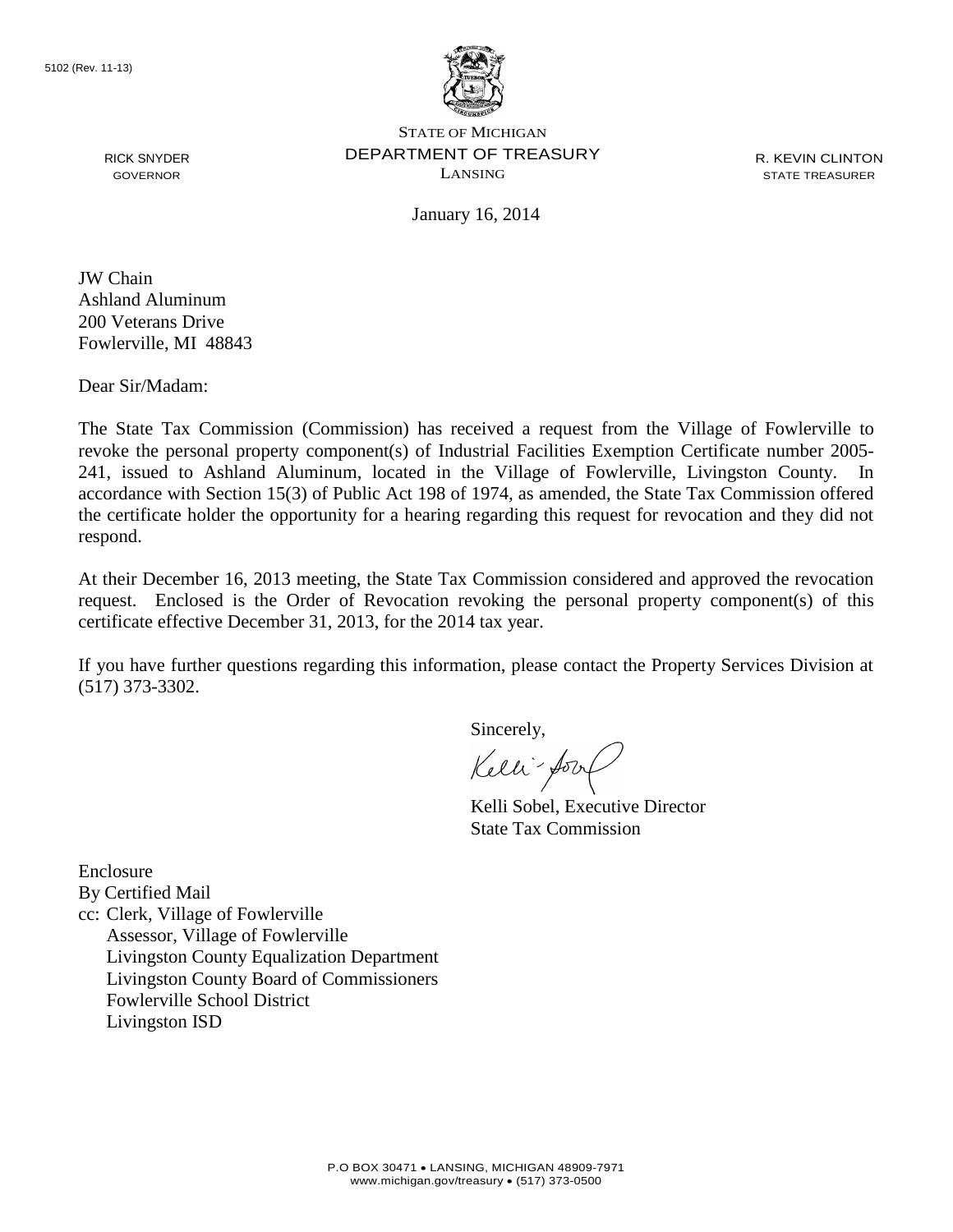

R. KEVIN CLINTON STATE TREASURER

January 16, 2014

RICK SNYDER GOVERNOR

JW Chain Ashland Aluminum 200 Veterans Drive Fowlerville, MI 48843

Dear Sir/Madam:

The State Tax Commission (Commission) has received a request from the Village of Fowlerville to revoke the personal property component(s) of Industrial Facilities Exemption Certificate number 2005- 241, issued to Ashland Aluminum, located in the Village of Fowlerville, Livingston County. In accordance with Section 15(3) of Public Act 198 of 1974, as amended, the State Tax Commission offered the certificate holder the opportunity for a hearing regarding this request for revocation and they did not respond.

At their December 16, 2013 meeting, the State Tax Commission considered and approved the revocation request. Enclosed is the Order of Revocation revoking the personal property component(s) of this certificate effective December 31, 2013, for the 2014 tax year.

If you have further questions regarding this information, please contact the Property Services Division at (517) 373-3302.

Sincerely,

Kelli-Soort

Kelli Sobel, Executive Director State Tax Commission

Enclosure By Certified Mail cc: Clerk, Village of Fowlerville Assessor, Village of Fowlerville Livingston County Equalization Department Livingston County Board of Commissioners Fowlerville School District Livingston ISD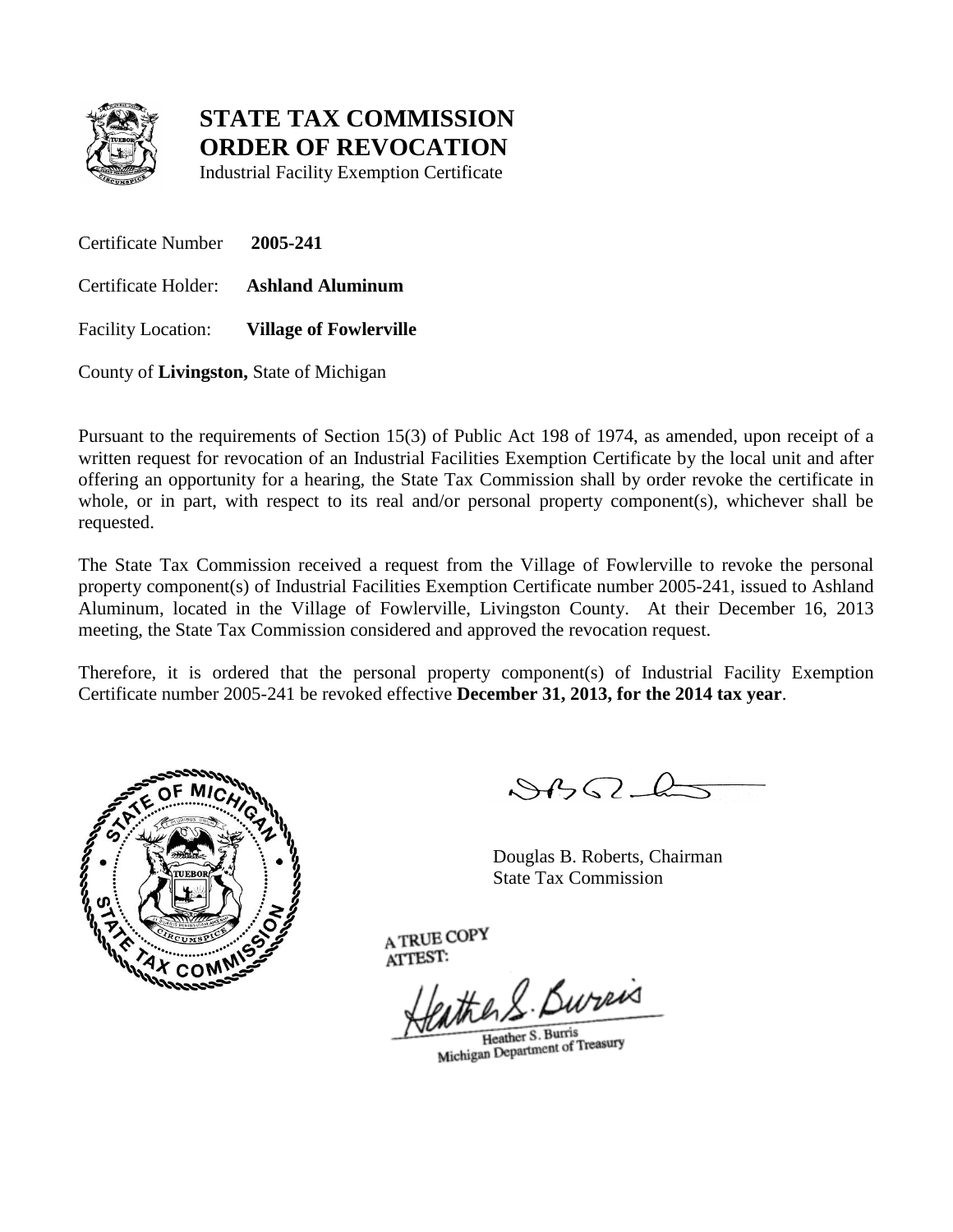

Industrial Facility Exemption Certificate

Certificate Number **2005-241** Certificate Holder: **Ashland Aluminum** Facility Location: **Village of Fowlerville**

County of **Livingston,** State of Michigan

Pursuant to the requirements of Section 15(3) of Public Act 198 of 1974, as amended, upon receipt of a written request for revocation of an Industrial Facilities Exemption Certificate by the local unit and after offering an opportunity for a hearing, the State Tax Commission shall by order revoke the certificate in whole, or in part, with respect to its real and/or personal property component(s), whichever shall be requested.

The State Tax Commission received a request from the Village of Fowlerville to revoke the personal property component(s) of Industrial Facilities Exemption Certificate number 2005-241, issued to Ashland Aluminum, located in the Village of Fowlerville, Livingston County. At their December 16, 2013 meeting, the State Tax Commission considered and approved the revocation request.

Therefore, it is ordered that the personal property component(s) of Industrial Facility Exemption Certificate number 2005-241 be revoked effective **December 31, 2013, for the 2014 tax year**.



 $882L$ 

Douglas B. Roberts, Chairman State Tax Commission

eather S. Bureis

Heather S. Burris Heather S. Burris<br>Michigan Department of Treasury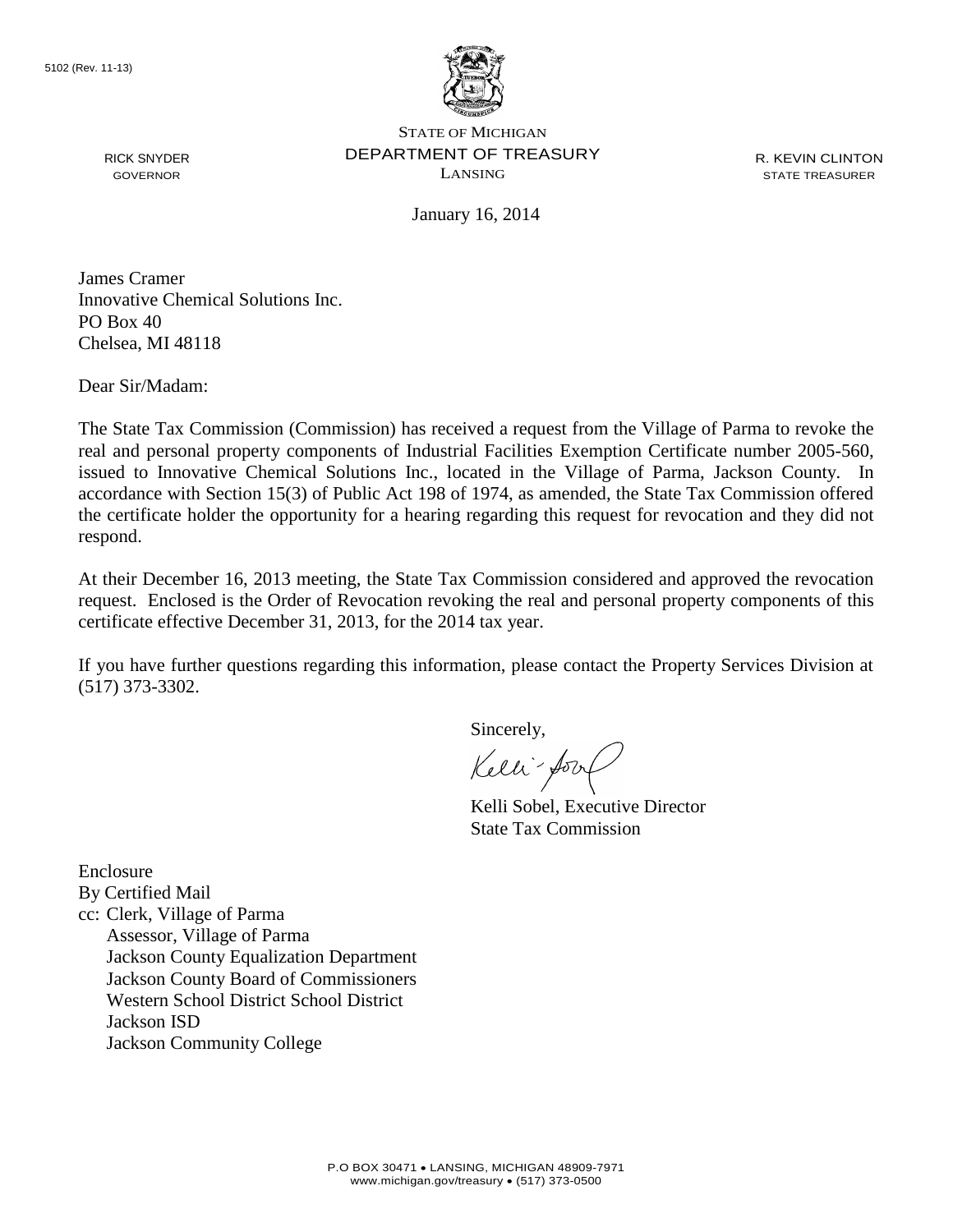

R. KEVIN CLINTON STATE TREASURER

January 16, 2014

James Cramer Innovative Chemical Solutions Inc. PO Box 40 Chelsea, MI 48118

Dear Sir/Madam:

RICK SNYDER GOVERNOR

The State Tax Commission (Commission) has received a request from the Village of Parma to revoke the real and personal property components of Industrial Facilities Exemption Certificate number 2005-560, issued to Innovative Chemical Solutions Inc., located in the Village of Parma, Jackson County. In accordance with Section 15(3) of Public Act 198 of 1974, as amended, the State Tax Commission offered the certificate holder the opportunity for a hearing regarding this request for revocation and they did not respond.

At their December 16, 2013 meeting, the State Tax Commission considered and approved the revocation request. Enclosed is the Order of Revocation revoking the real and personal property components of this certificate effective December 31, 2013, for the 2014 tax year.

If you have further questions regarding this information, please contact the Property Services Division at (517) 373-3302.

Sincerely,

Kelli-Soort

Kelli Sobel, Executive Director State Tax Commission

Enclosure By Certified Mail cc: Clerk, Village of Parma Assessor, Village of Parma Jackson County Equalization Department Jackson County Board of Commissioners Western School District School District Jackson ISD Jackson Community College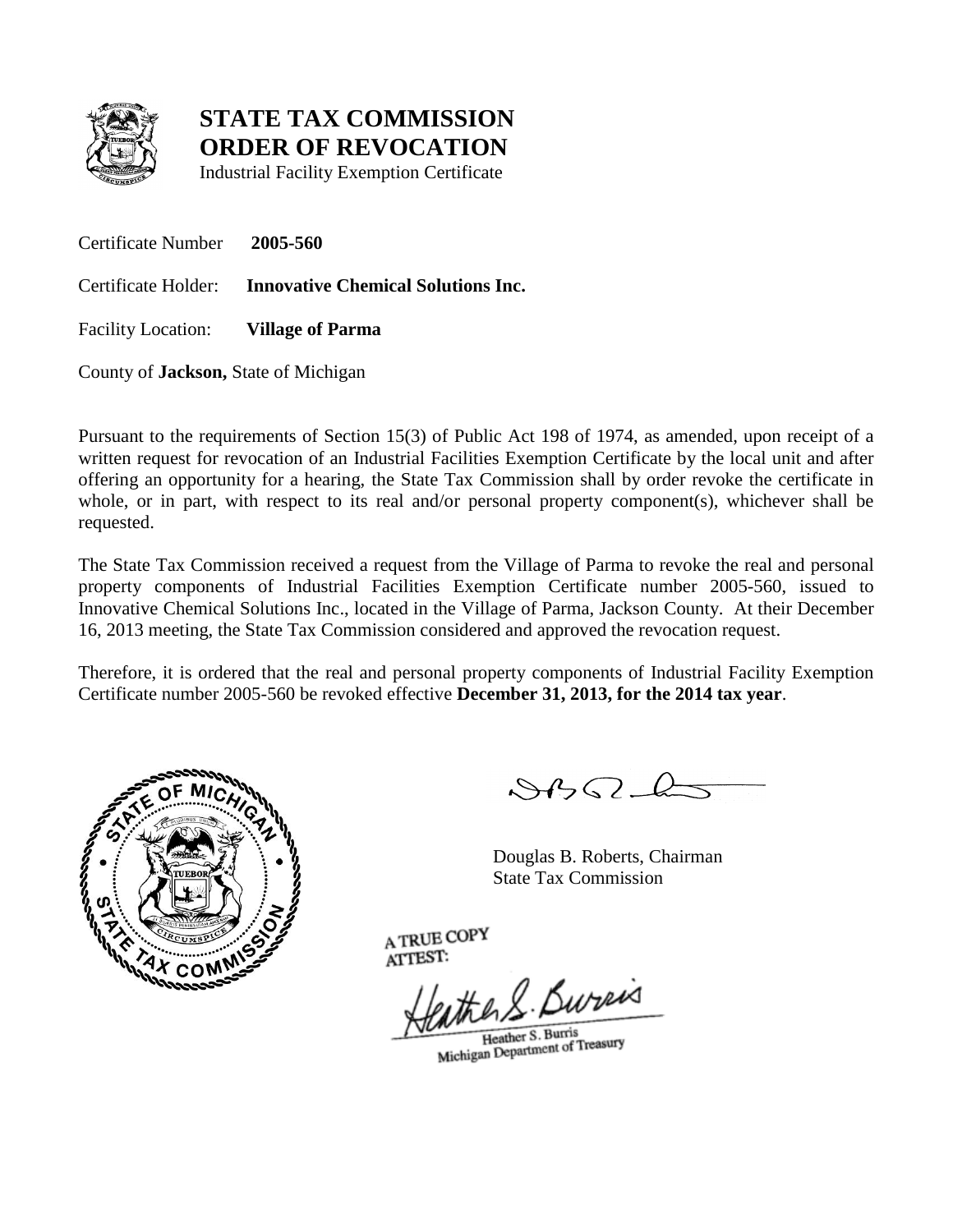

Industrial Facility Exemption Certificate

Certificate Number **2005-560** Certificate Holder: **Innovative Chemical Solutions Inc.** Facility Location: **Village of Parma**

County of **Jackson,** State of Michigan

Pursuant to the requirements of Section 15(3) of Public Act 198 of 1974, as amended, upon receipt of a written request for revocation of an Industrial Facilities Exemption Certificate by the local unit and after offering an opportunity for a hearing, the State Tax Commission shall by order revoke the certificate in whole, or in part, with respect to its real and/or personal property component(s), whichever shall be requested.

The State Tax Commission received a request from the Village of Parma to revoke the real and personal property components of Industrial Facilities Exemption Certificate number 2005-560, issued to Innovative Chemical Solutions Inc., located in the Village of Parma, Jackson County. At their December 16, 2013 meeting, the State Tax Commission considered and approved the revocation request.

Therefore, it is ordered that the real and personal property components of Industrial Facility Exemption Certificate number 2005-560 be revoked effective **December 31, 2013, for the 2014 tax year**.



 $882L$ 

Douglas B. Roberts, Chairman State Tax Commission

eather S. Bureas

Heather S. Burris Heather S. Burris<br>Michigan Department of Treasury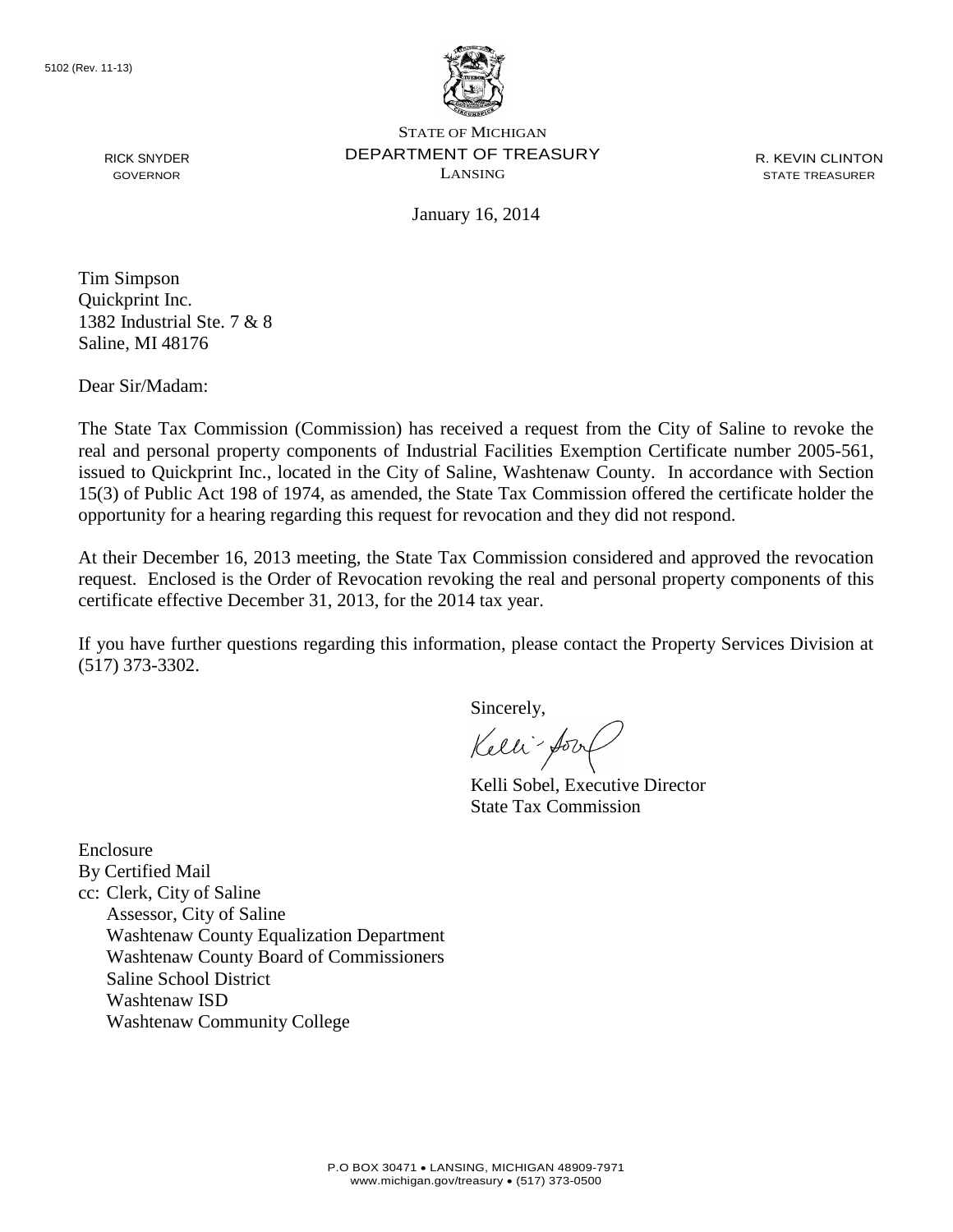

R. KEVIN CLINTON STATE TREASURER

January 16, 2014

Tim Simpson Quickprint Inc. 1382 Industrial Ste. 7 & 8 Saline, MI 48176

Dear Sir/Madam:

RICK SNYDER GOVERNOR

The State Tax Commission (Commission) has received a request from the City of Saline to revoke the real and personal property components of Industrial Facilities Exemption Certificate number 2005-561, issued to Quickprint Inc., located in the City of Saline, Washtenaw County. In accordance with Section 15(3) of Public Act 198 of 1974, as amended, the State Tax Commission offered the certificate holder the opportunity for a hearing regarding this request for revocation and they did not respond.

At their December 16, 2013 meeting, the State Tax Commission considered and approved the revocation request. Enclosed is the Order of Revocation revoking the real and personal property components of this certificate effective December 31, 2013, for the 2014 tax year.

If you have further questions regarding this information, please contact the Property Services Division at (517) 373-3302.

Sincerely,

Kelli-Sort

Kelli Sobel, Executive Director State Tax Commission

Enclosure By Certified Mail cc: Clerk, City of Saline Assessor, City of Saline Washtenaw County Equalization Department Washtenaw County Board of Commissioners Saline School District Washtenaw ISD Washtenaw Community College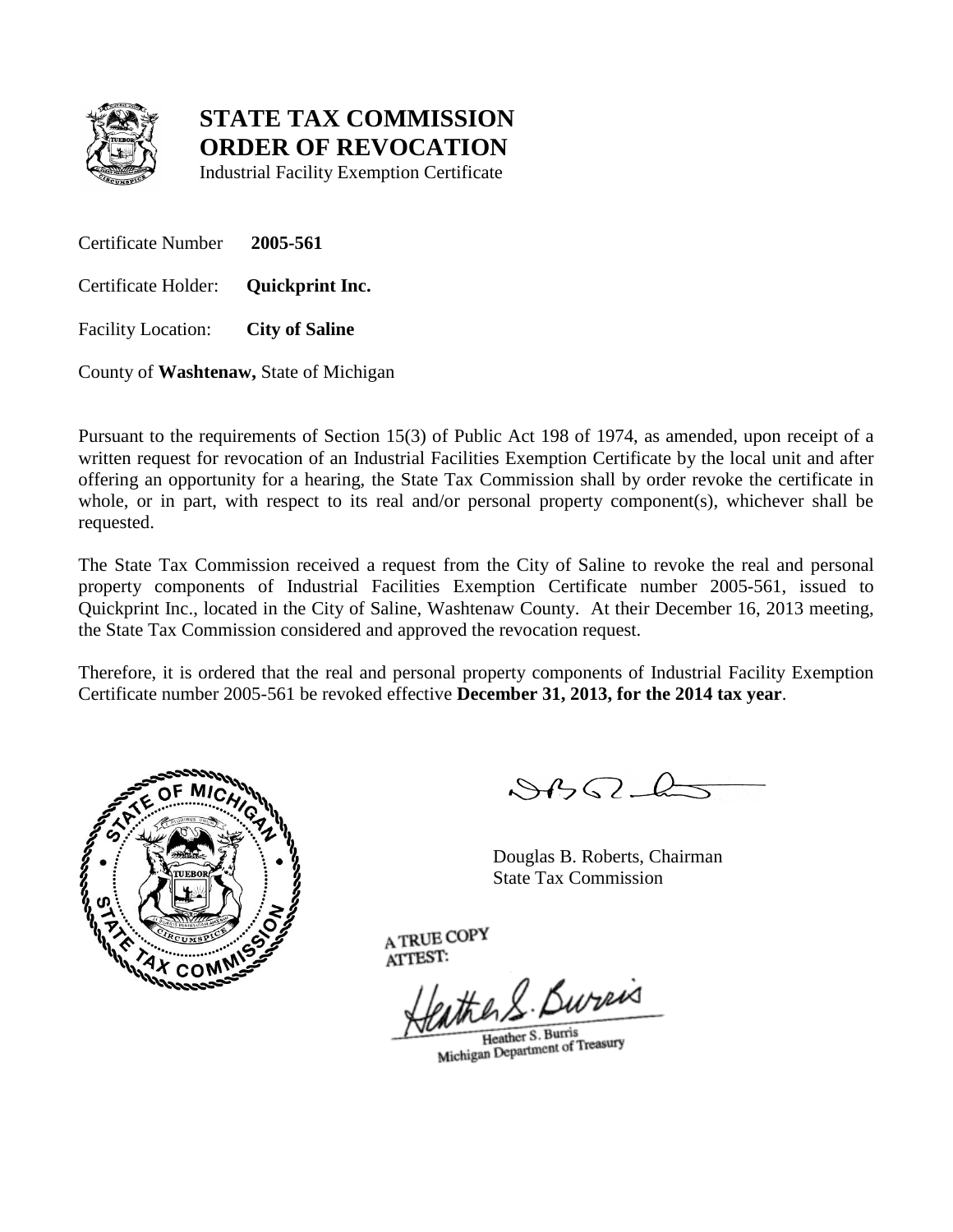

Industrial Facility Exemption Certificate

Certificate Number **2005-561**

Certificate Holder: **Quickprint Inc.**

Facility Location: **City of Saline**

County of **Washtenaw,** State of Michigan

Pursuant to the requirements of Section 15(3) of Public Act 198 of 1974, as amended, upon receipt of a written request for revocation of an Industrial Facilities Exemption Certificate by the local unit and after offering an opportunity for a hearing, the State Tax Commission shall by order revoke the certificate in whole, or in part, with respect to its real and/or personal property component(s), whichever shall be requested.

The State Tax Commission received a request from the City of Saline to revoke the real and personal property components of Industrial Facilities Exemption Certificate number 2005-561, issued to Quickprint Inc., located in the City of Saline, Washtenaw County. At their December 16, 2013 meeting, the State Tax Commission considered and approved the revocation request.

Therefore, it is ordered that the real and personal property components of Industrial Facility Exemption Certificate number 2005-561 be revoked effective **December 31, 2013, for the 2014 tax year**.



 $882L$ 

Douglas B. Roberts, Chairman State Tax Commission

eather S. Bureas

Heather S. Burris Heather S. Burris<br>Michigan Department of Treasury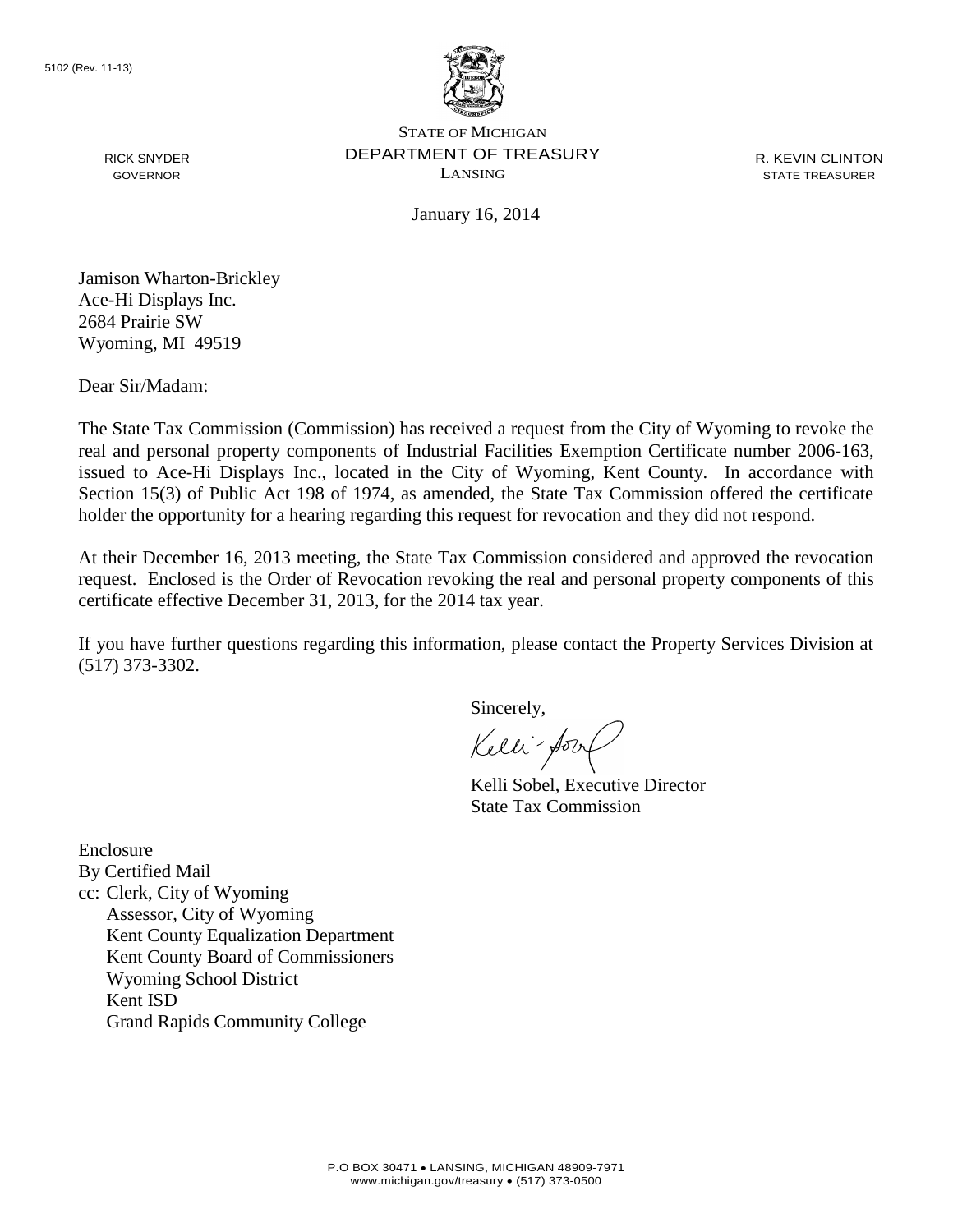

R. KEVIN CLINTON STATE TREASURER

January 16, 2014

Jamison Wharton-Brickley Ace-Hi Displays Inc. 2684 Prairie SW Wyoming, MI 49519

Dear Sir/Madam:

RICK SNYDER GOVERNOR

The State Tax Commission (Commission) has received a request from the City of Wyoming to revoke the real and personal property components of Industrial Facilities Exemption Certificate number 2006-163, issued to Ace-Hi Displays Inc., located in the City of Wyoming, Kent County. In accordance with Section 15(3) of Public Act 198 of 1974, as amended, the State Tax Commission offered the certificate holder the opportunity for a hearing regarding this request for revocation and they did not respond.

At their December 16, 2013 meeting, the State Tax Commission considered and approved the revocation request. Enclosed is the Order of Revocation revoking the real and personal property components of this certificate effective December 31, 2013, for the 2014 tax year.

If you have further questions regarding this information, please contact the Property Services Division at (517) 373-3302.

Sincerely,

Kelli-Sort

Kelli Sobel, Executive Director State Tax Commission

Enclosure By Certified Mail cc: Clerk, City of Wyoming Assessor, City of Wyoming Kent County Equalization Department Kent County Board of Commissioners Wyoming School District Kent ISD Grand Rapids Community College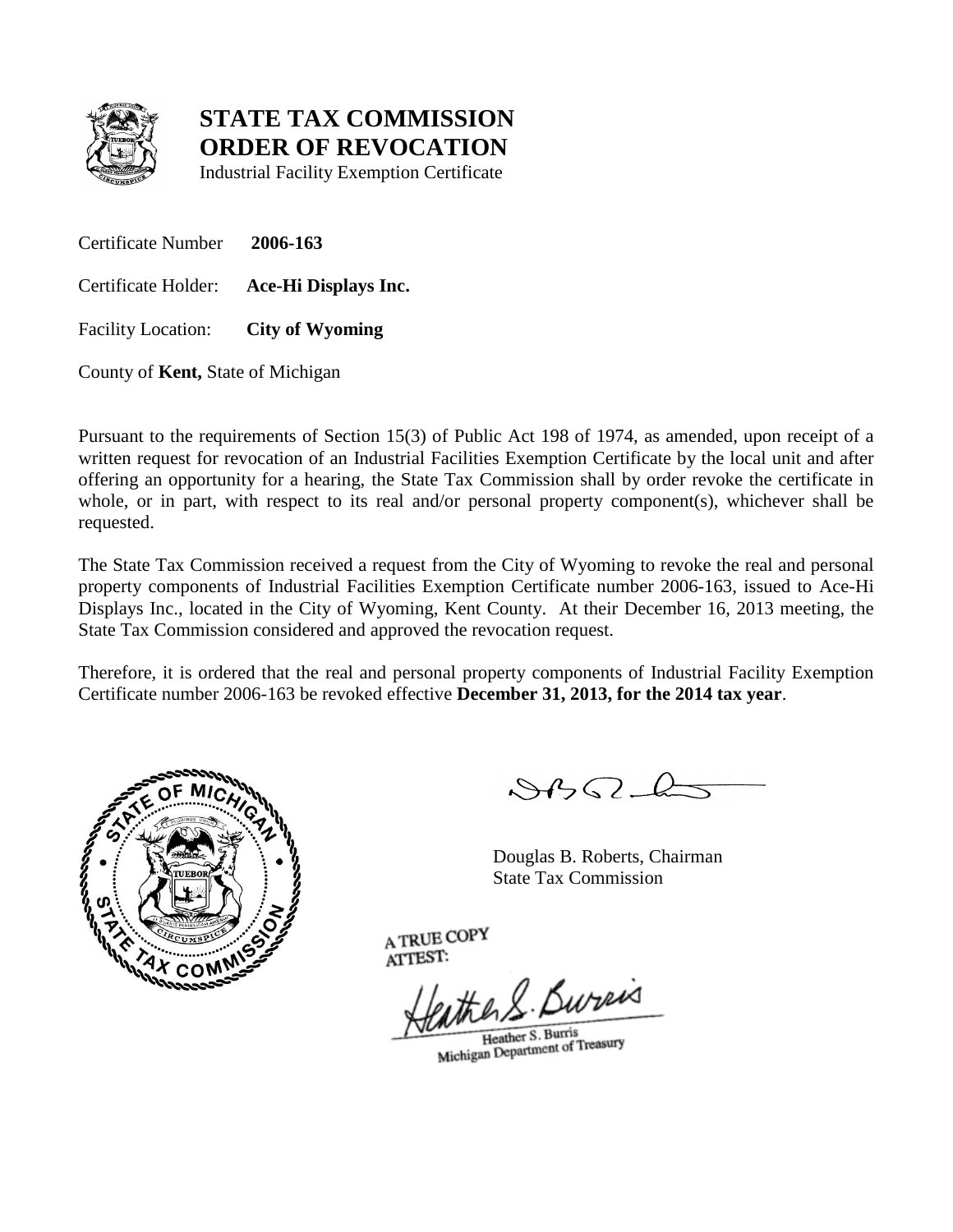

Industrial Facility Exemption Certificate

Certificate Number **2006-163** Certificate Holder: **Ace-Hi Displays Inc.** Facility Location: **City of Wyoming**

County of **Kent,** State of Michigan

Pursuant to the requirements of Section 15(3) of Public Act 198 of 1974, as amended, upon receipt of a written request for revocation of an Industrial Facilities Exemption Certificate by the local unit and after offering an opportunity for a hearing, the State Tax Commission shall by order revoke the certificate in whole, or in part, with respect to its real and/or personal property component(s), whichever shall be requested.

The State Tax Commission received a request from the City of Wyoming to revoke the real and personal property components of Industrial Facilities Exemption Certificate number 2006-163, issued to Ace-Hi Displays Inc., located in the City of Wyoming, Kent County. At their December 16, 2013 meeting, the State Tax Commission considered and approved the revocation request.

Therefore, it is ordered that the real and personal property components of Industrial Facility Exemption Certificate number 2006-163 be revoked effective **December 31, 2013, for the 2014 tax year**.



 $882L$ 

Douglas B. Roberts, Chairman State Tax Commission

eather S. Bureas

Heather S. Burris Heather S. Burris<br>Michigan Department of Treasury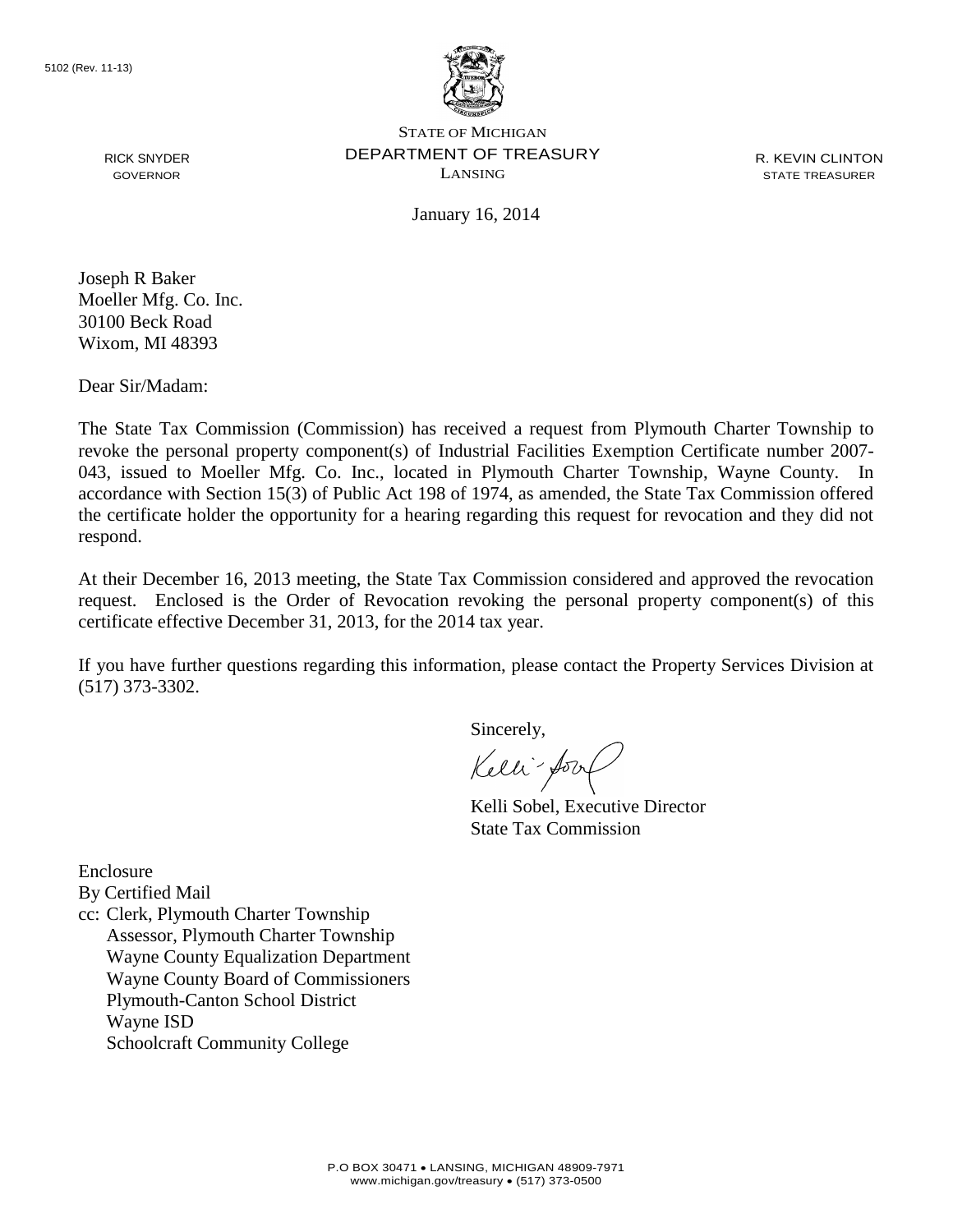

R. KEVIN CLINTON STATE TREASURER

January 16, 2014

Joseph R Baker Moeller Mfg. Co. Inc. 30100 Beck Road Wixom, MI 48393

RICK SNYDER GOVERNOR

Dear Sir/Madam:

The State Tax Commission (Commission) has received a request from Plymouth Charter Township to revoke the personal property component(s) of Industrial Facilities Exemption Certificate number 2007- 043, issued to Moeller Mfg. Co. Inc., located in Plymouth Charter Township, Wayne County. In accordance with Section 15(3) of Public Act 198 of 1974, as amended, the State Tax Commission offered the certificate holder the opportunity for a hearing regarding this request for revocation and they did not respond.

At their December 16, 2013 meeting, the State Tax Commission considered and approved the revocation request. Enclosed is the Order of Revocation revoking the personal property component(s) of this certificate effective December 31, 2013, for the 2014 tax year.

If you have further questions regarding this information, please contact the Property Services Division at (517) 373-3302.

Sincerely,

Kelli-Soort

Kelli Sobel, Executive Director State Tax Commission

Enclosure

By Certified Mail

cc: Clerk, Plymouth Charter Township Assessor, Plymouth Charter Township Wayne County Equalization Department Wayne County Board of Commissioners Plymouth-Canton School District Wayne ISD Schoolcraft Community College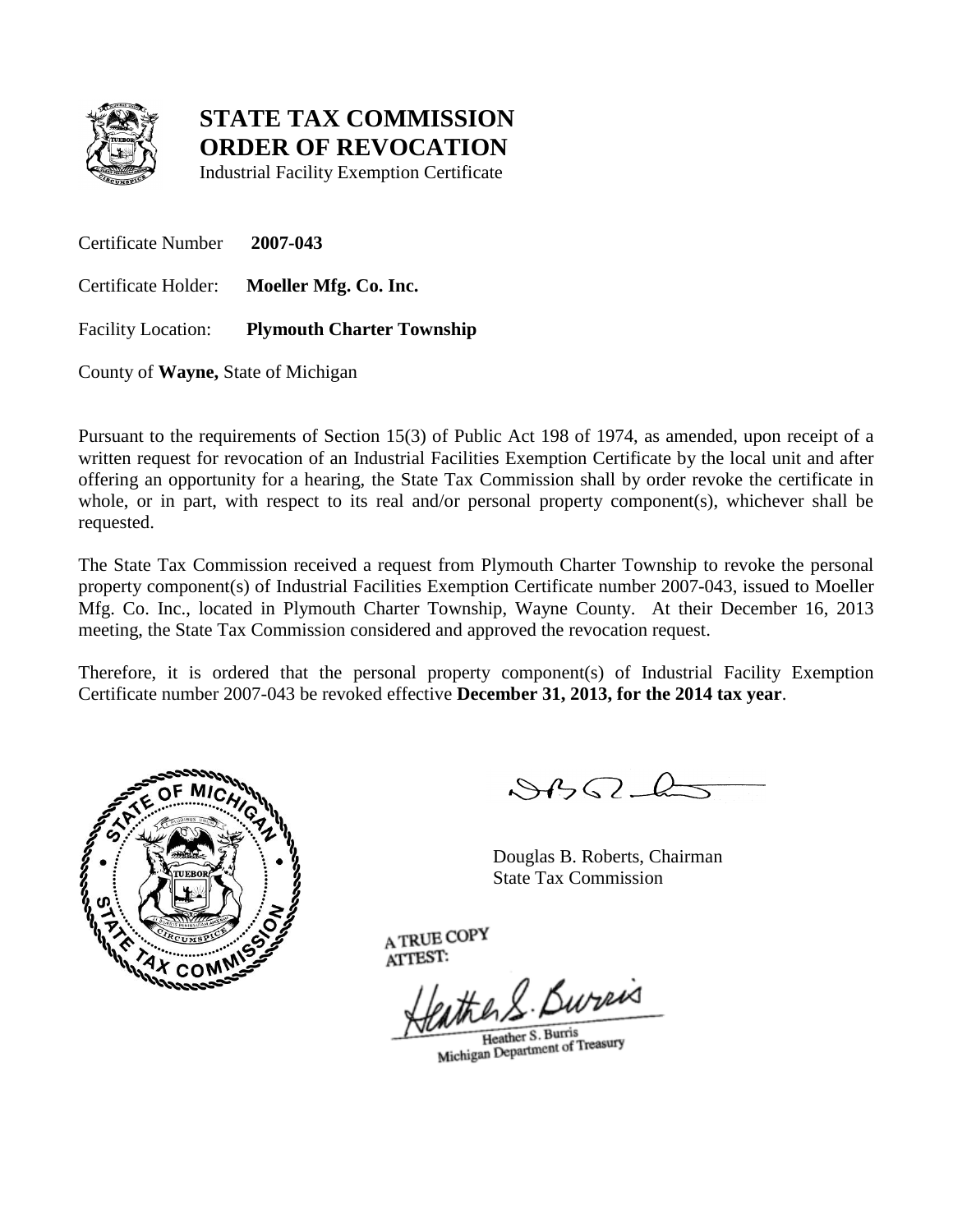

Industrial Facility Exemption Certificate

Certificate Number **2007-043** Certificate Holder: **Moeller Mfg. Co. Inc.** Facility Location: **Plymouth Charter Township**

County of **Wayne,** State of Michigan

Pursuant to the requirements of Section 15(3) of Public Act 198 of 1974, as amended, upon receipt of a written request for revocation of an Industrial Facilities Exemption Certificate by the local unit and after offering an opportunity for a hearing, the State Tax Commission shall by order revoke the certificate in whole, or in part, with respect to its real and/or personal property component(s), whichever shall be requested.

The State Tax Commission received a request from Plymouth Charter Township to revoke the personal property component(s) of Industrial Facilities Exemption Certificate number 2007-043, issued to Moeller Mfg. Co. Inc., located in Plymouth Charter Township, Wayne County. At their December 16, 2013 meeting, the State Tax Commission considered and approved the revocation request.

Therefore, it is ordered that the personal property component(s) of Industrial Facility Exemption Certificate number 2007-043 be revoked effective **December 31, 2013, for the 2014 tax year**.



 $882L$ 

Douglas B. Roberts, Chairman State Tax Commission

eather S. Bureis

Heather S. Burris Heather S. Burris<br>Michigan Department of Treasury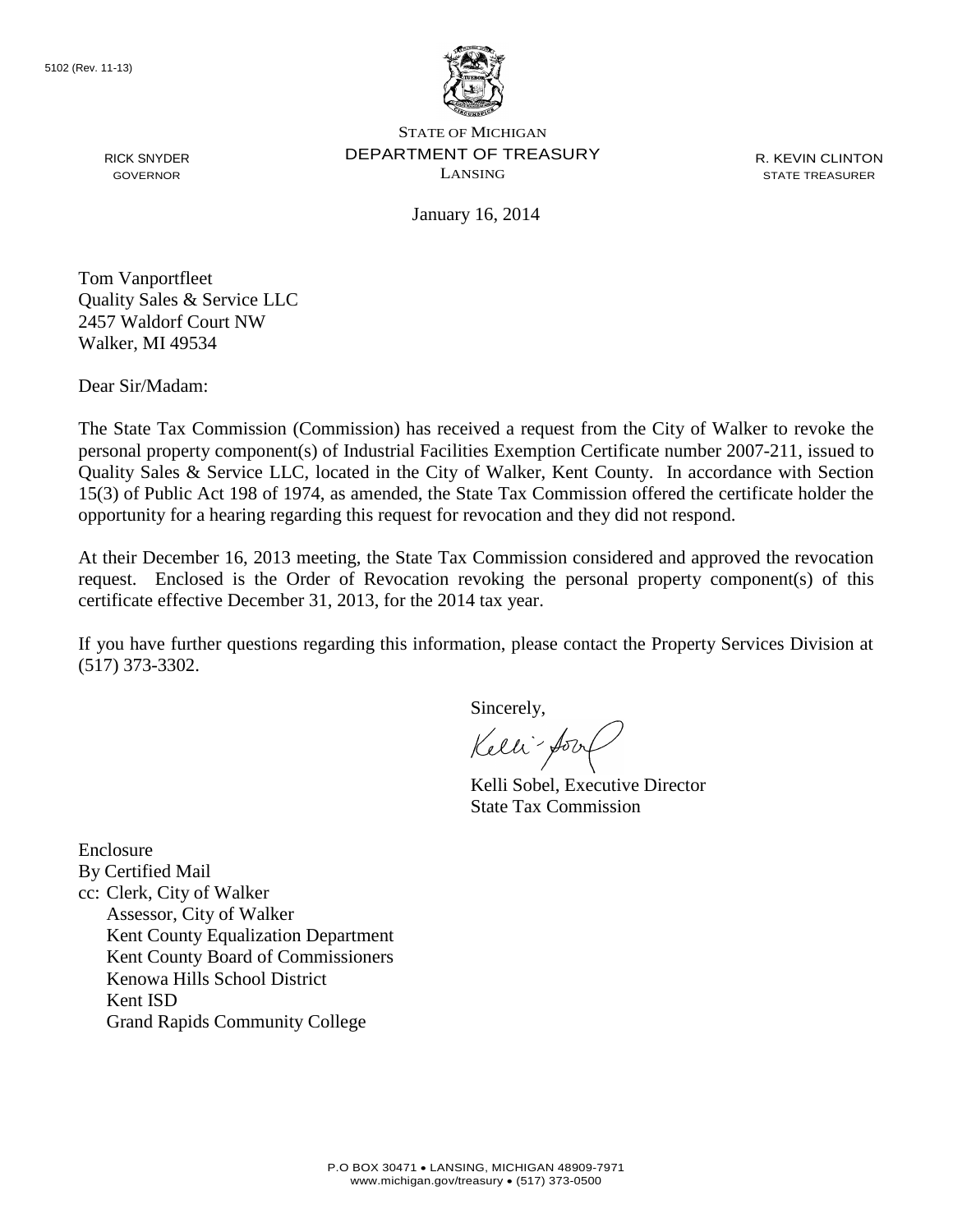

R. KEVIN CLINTON STATE TREASURER

January 16, 2014

Tom Vanportfleet Quality Sales & Service LLC 2457 Waldorf Court NW Walker, MI 49534

Dear Sir/Madam:

RICK SNYDER GOVERNOR

The State Tax Commission (Commission) has received a request from the City of Walker to revoke the personal property component(s) of Industrial Facilities Exemption Certificate number 2007-211, issued to Quality Sales & Service LLC, located in the City of Walker, Kent County. In accordance with Section 15(3) of Public Act 198 of 1974, as amended, the State Tax Commission offered the certificate holder the opportunity for a hearing regarding this request for revocation and they did not respond.

At their December 16, 2013 meeting, the State Tax Commission considered and approved the revocation request. Enclosed is the Order of Revocation revoking the personal property component(s) of this certificate effective December 31, 2013, for the 2014 tax year.

If you have further questions regarding this information, please contact the Property Services Division at (517) 373-3302.

Sincerely,

Kelli-Sort

Kelli Sobel, Executive Director State Tax Commission

Enclosure By Certified Mail cc: Clerk, City of Walker Assessor, City of Walker Kent County Equalization Department Kent County Board of Commissioners Kenowa Hills School District Kent ISD Grand Rapids Community College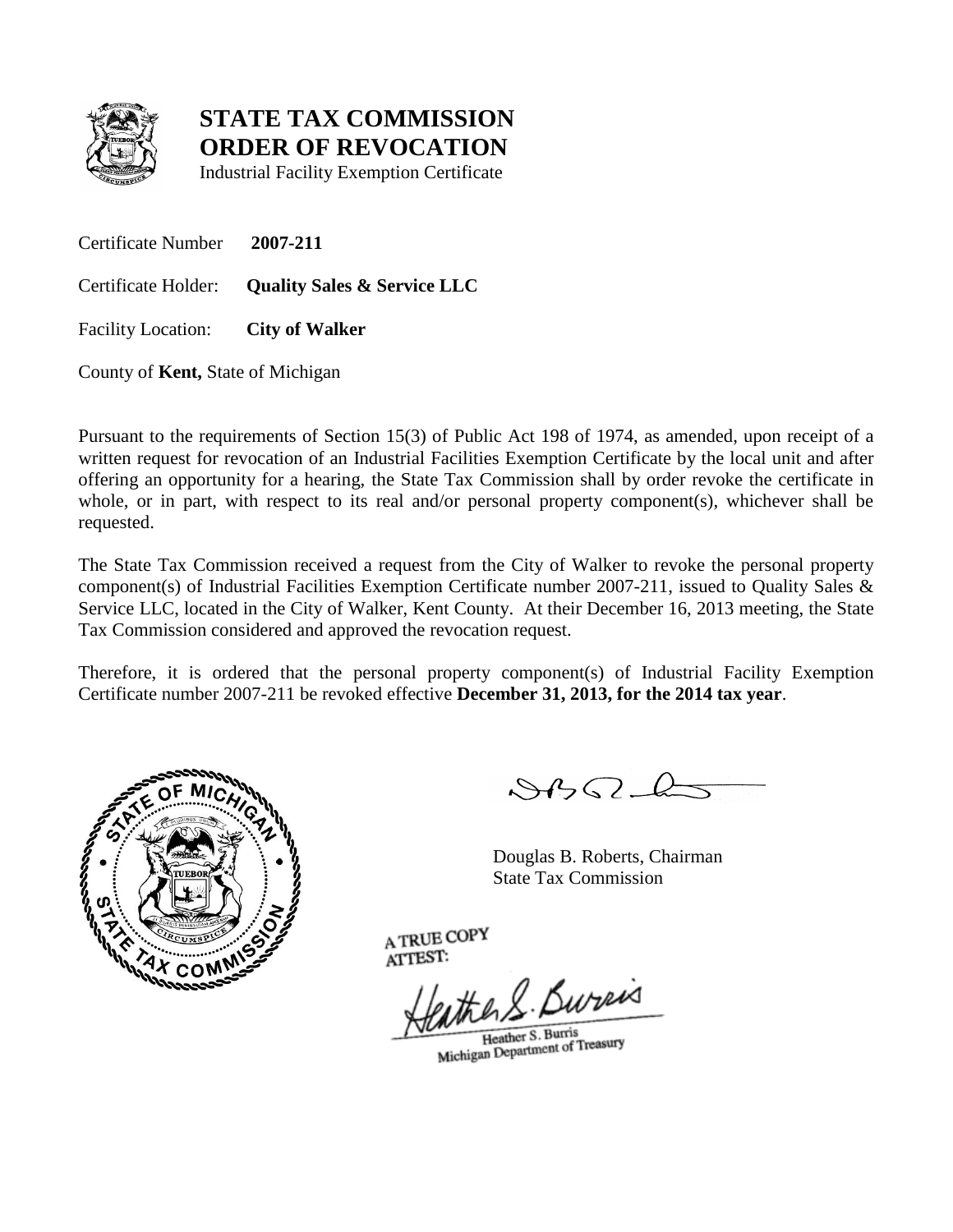

Industrial Facility Exemption Certificate

Certificate Number **2007-211**

Certificate Holder: **Quality Sales & Service LLC**

Facility Location: **City of Walker**

County of **Kent,** State of Michigan

Pursuant to the requirements of Section 15(3) of Public Act 198 of 1974, as amended, upon receipt of a written request for revocation of an Industrial Facilities Exemption Certificate by the local unit and after offering an opportunity for a hearing, the State Tax Commission shall by order revoke the certificate in whole, or in part, with respect to its real and/or personal property component(s), whichever shall be requested.

The State Tax Commission received a request from the City of Walker to revoke the personal property component(s) of Industrial Facilities Exemption Certificate number 2007-211, issued to Quality Sales & Service LLC, located in the City of Walker, Kent County. At their December 16, 2013 meeting, the State Tax Commission considered and approved the revocation request.

Therefore, it is ordered that the personal property component(s) of Industrial Facility Exemption Certificate number 2007-211 be revoked effective **December 31, 2013, for the 2014 tax year**.



 $882L$ 

Douglas B. Roberts, Chairman State Tax Commission

eather S. Bureas

Heather S. Burris Heather S. Burris<br>Michigan Department of Treasury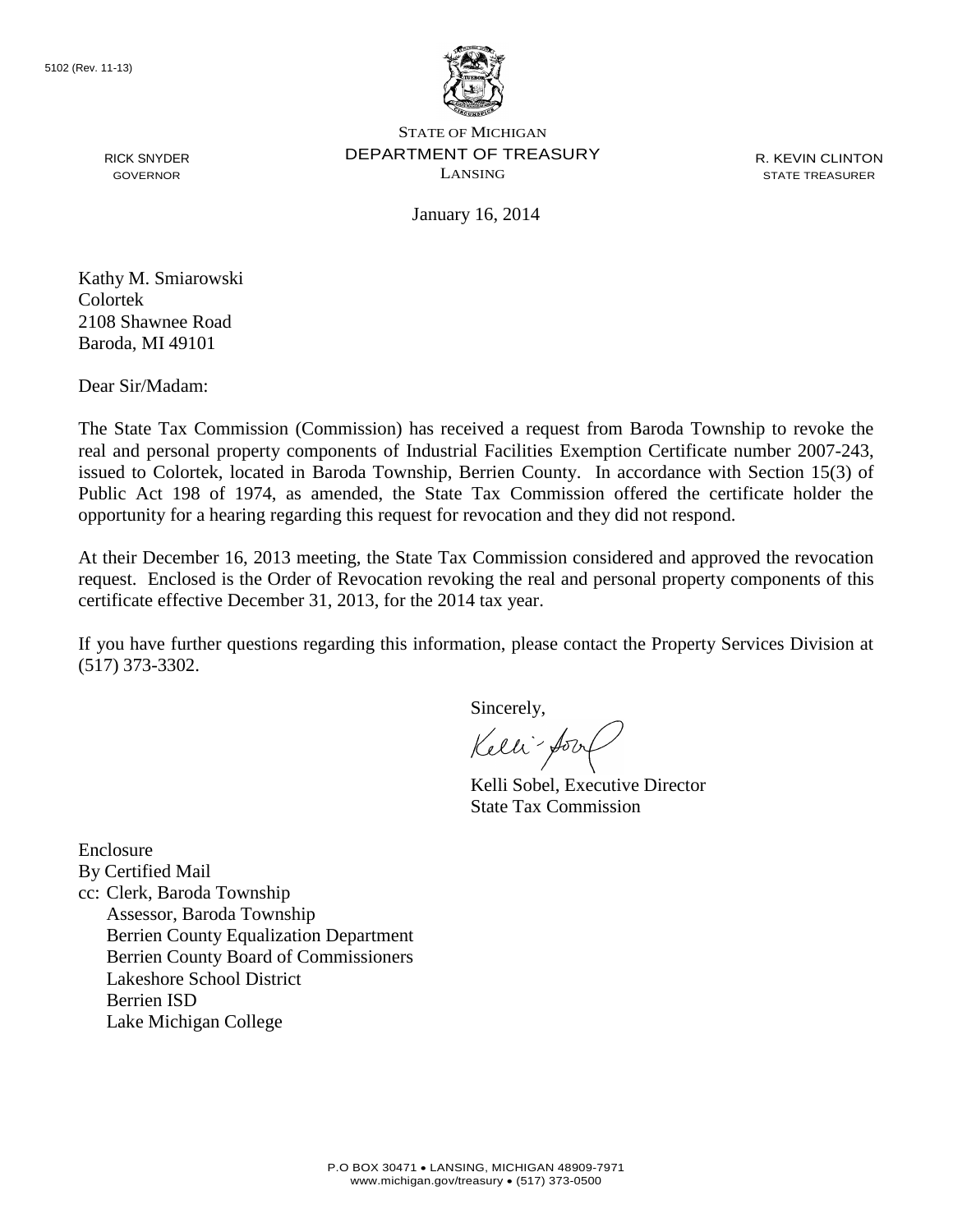

R. KEVIN CLINTON STATE TREASURER

January 16, 2014

GOVERNOR

RICK SNYDER

Kathy M. Smiarowski Colortek 2108 Shawnee Road Baroda, MI 49101

Dear Sir/Madam:

The State Tax Commission (Commission) has received a request from Baroda Township to revoke the real and personal property components of Industrial Facilities Exemption Certificate number 2007-243, issued to Colortek, located in Baroda Township, Berrien County. In accordance with Section 15(3) of Public Act 198 of 1974, as amended, the State Tax Commission offered the certificate holder the opportunity for a hearing regarding this request for revocation and they did not respond.

At their December 16, 2013 meeting, the State Tax Commission considered and approved the revocation request. Enclosed is the Order of Revocation revoking the real and personal property components of this certificate effective December 31, 2013, for the 2014 tax year.

If you have further questions regarding this information, please contact the Property Services Division at (517) 373-3302.

Sincerely,

Kelli-fort

Kelli Sobel, Executive Director State Tax Commission

Enclosure By Certified Mail cc: Clerk, Baroda Township Assessor, Baroda Township Berrien County Equalization Department Berrien County Board of Commissioners Lakeshore School District Berrien ISD Lake Michigan College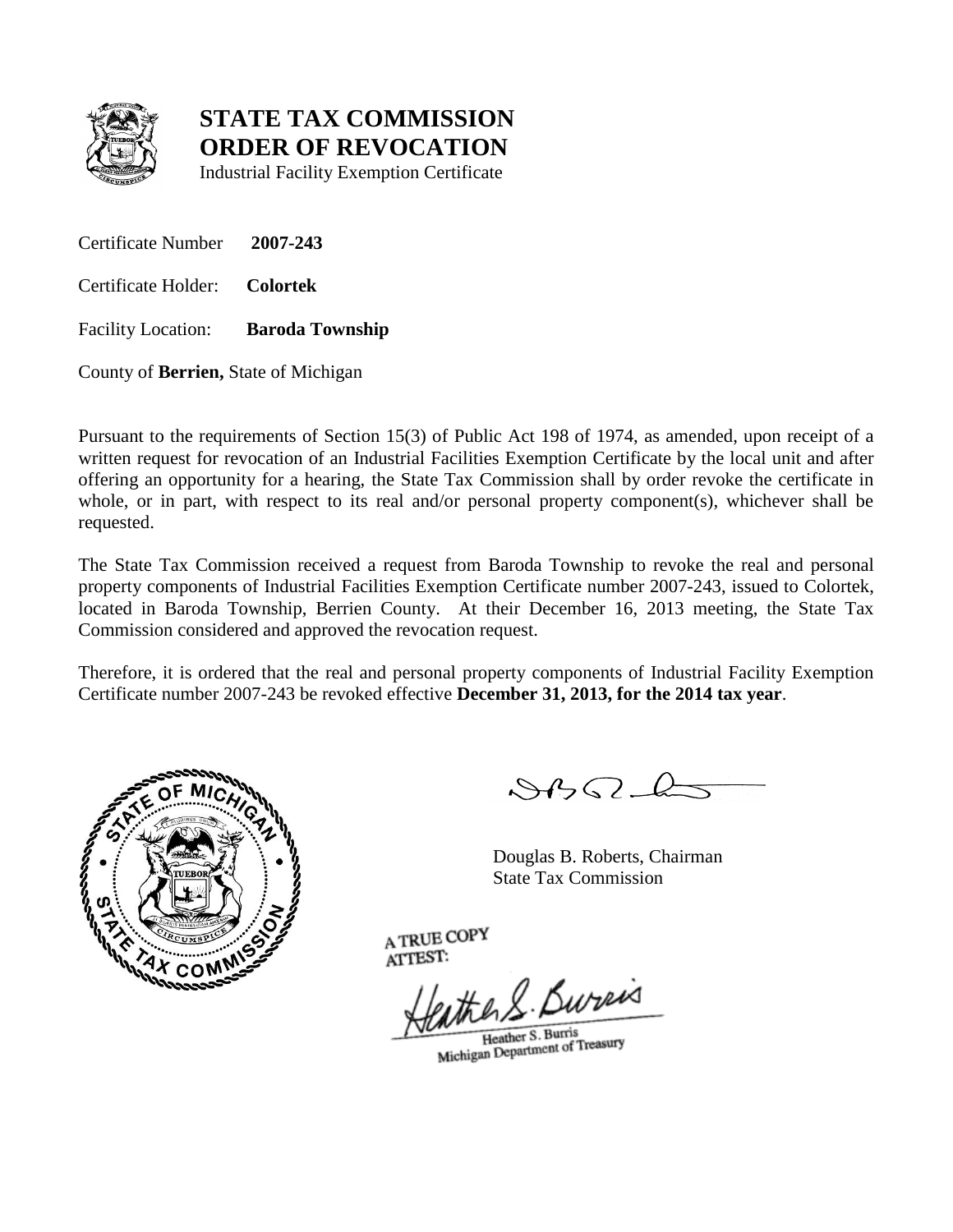

Industrial Facility Exemption Certificate

Certificate Number **2007-243**

Certificate Holder: **Colortek**

Facility Location: **Baroda Township**

County of **Berrien,** State of Michigan

Pursuant to the requirements of Section 15(3) of Public Act 198 of 1974, as amended, upon receipt of a written request for revocation of an Industrial Facilities Exemption Certificate by the local unit and after offering an opportunity for a hearing, the State Tax Commission shall by order revoke the certificate in whole, or in part, with respect to its real and/or personal property component(s), whichever shall be requested.

The State Tax Commission received a request from Baroda Township to revoke the real and personal property components of Industrial Facilities Exemption Certificate number 2007-243, issued to Colortek, located in Baroda Township, Berrien County. At their December 16, 2013 meeting, the State Tax Commission considered and approved the revocation request.

Therefore, it is ordered that the real and personal property components of Industrial Facility Exemption Certificate number 2007-243 be revoked effective **December 31, 2013, for the 2014 tax year**.



 $882L$ 

Douglas B. Roberts, Chairman State Tax Commission

eather S. Bureas

Heather S. Burris Heather S. Burris<br>Michigan Department of Treasury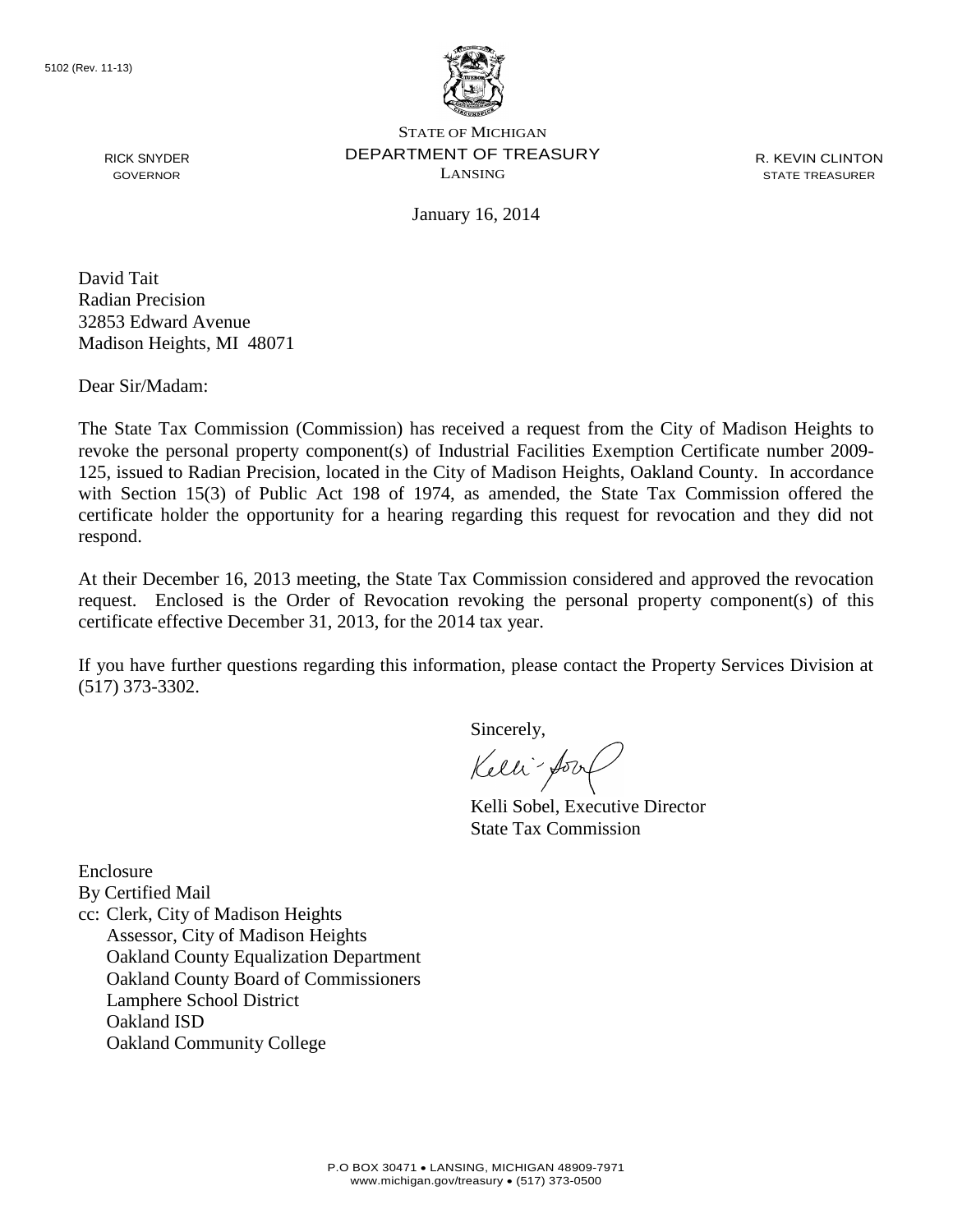

R. KEVIN CLINTON STATE TREASURER

January 16, 2014

David Tait Radian Precision 32853 Edward Avenue Madison Heights, MI 48071

Dear Sir/Madam:

RICK SNYDER GOVERNOR

The State Tax Commission (Commission) has received a request from the City of Madison Heights to revoke the personal property component(s) of Industrial Facilities Exemption Certificate number 2009- 125, issued to Radian Precision, located in the City of Madison Heights, Oakland County. In accordance with Section 15(3) of Public Act 198 of 1974, as amended, the State Tax Commission offered the certificate holder the opportunity for a hearing regarding this request for revocation and they did not respond.

At their December 16, 2013 meeting, the State Tax Commission considered and approved the revocation request. Enclosed is the Order of Revocation revoking the personal property component(s) of this certificate effective December 31, 2013, for the 2014 tax year.

If you have further questions regarding this information, please contact the Property Services Division at (517) 373-3302.

Sincerely,

Kelli-Soort

Kelli Sobel, Executive Director State Tax Commission

Enclosure By Certified Mail cc: Clerk, City of Madison Heights Assessor, City of Madison Heights Oakland County Equalization Department Oakland County Board of Commissioners Lamphere School District Oakland ISD Oakland Community College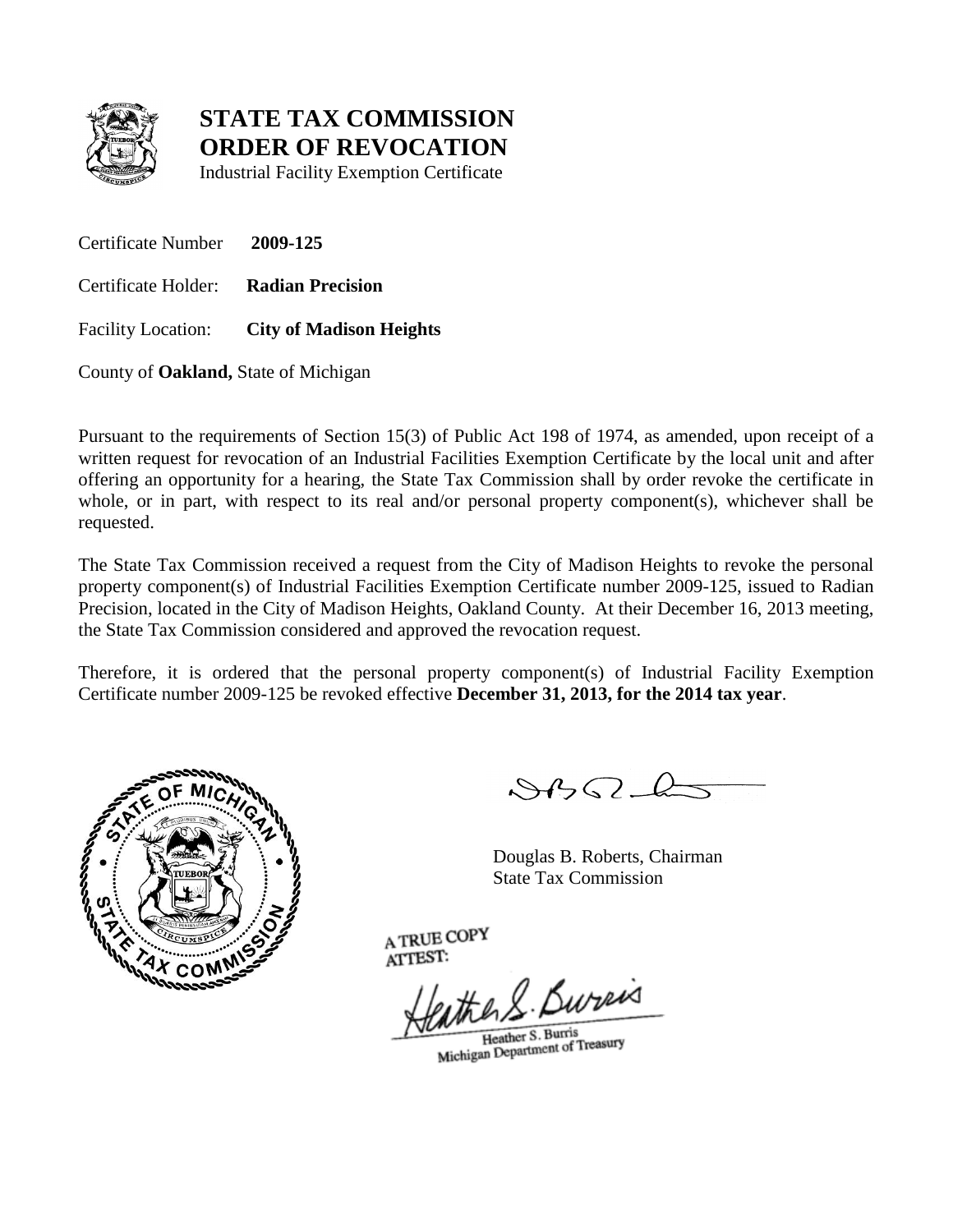

Industrial Facility Exemption Certificate

Certificate Number **2009-125** Certificate Holder: **Radian Precision** Facility Location: **City of Madison Heights**

County of **Oakland,** State of Michigan

Pursuant to the requirements of Section 15(3) of Public Act 198 of 1974, as amended, upon receipt of a written request for revocation of an Industrial Facilities Exemption Certificate by the local unit and after offering an opportunity for a hearing, the State Tax Commission shall by order revoke the certificate in whole, or in part, with respect to its real and/or personal property component(s), whichever shall be requested.

The State Tax Commission received a request from the City of Madison Heights to revoke the personal property component(s) of Industrial Facilities Exemption Certificate number 2009-125, issued to Radian Precision, located in the City of Madison Heights, Oakland County. At their December 16, 2013 meeting, the State Tax Commission considered and approved the revocation request.

Therefore, it is ordered that the personal property component(s) of Industrial Facility Exemption Certificate number 2009-125 be revoked effective **December 31, 2013, for the 2014 tax year**.



 $882L$ 

Douglas B. Roberts, Chairman State Tax Commission

eather S. Bureas

Heather S. Burris Heather S. Burris<br>Michigan Department of Treasury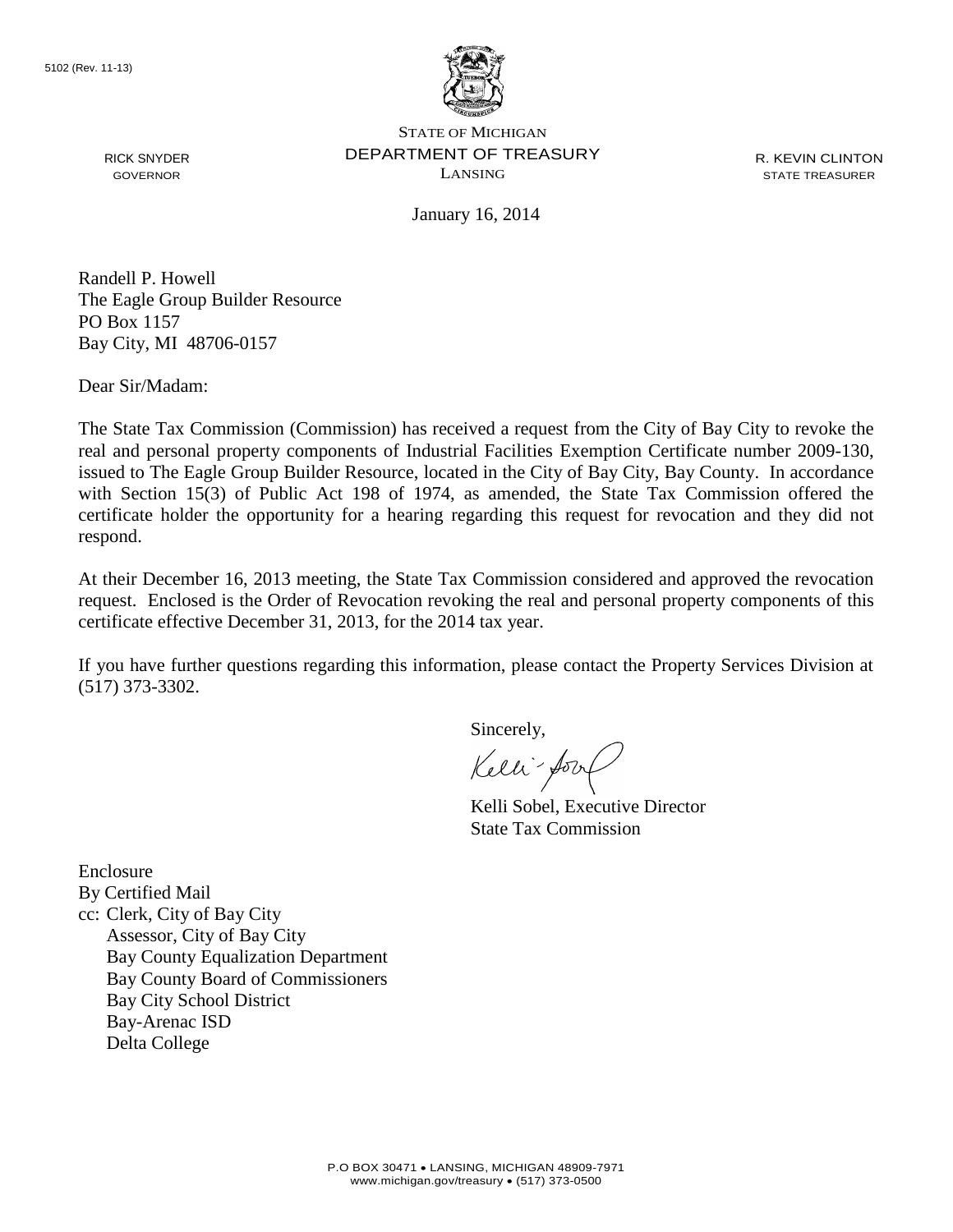

RICK SNYDER GOVERNOR

STATE OF MICHIGAN DEPARTMENT OF TREASURY LANSING

R. KEVIN CLINTON STATE TREASURER

January 16, 2014

Randell P. Howell The Eagle Group Builder Resource PO Box 1157 Bay City, MI 48706-0157

Dear Sir/Madam:

The State Tax Commission (Commission) has received a request from the City of Bay City to revoke the real and personal property components of Industrial Facilities Exemption Certificate number 2009-130, issued to The Eagle Group Builder Resource, located in the City of Bay City, Bay County. In accordance with Section 15(3) of Public Act 198 of 1974, as amended, the State Tax Commission offered the certificate holder the opportunity for a hearing regarding this request for revocation and they did not respond.

At their December 16, 2013 meeting, the State Tax Commission considered and approved the revocation request. Enclosed is the Order of Revocation revoking the real and personal property components of this certificate effective December 31, 2013, for the 2014 tax year.

If you have further questions regarding this information, please contact the Property Services Division at (517) 373-3302.

Sincerely,

Kelli-Sort

Kelli Sobel, Executive Director State Tax Commission

Enclosure By Certified Mail cc: Clerk, City of Bay City Assessor, City of Bay City Bay County Equalization Department Bay County Board of Commissioners Bay City School District Bay-Arenac ISD Delta College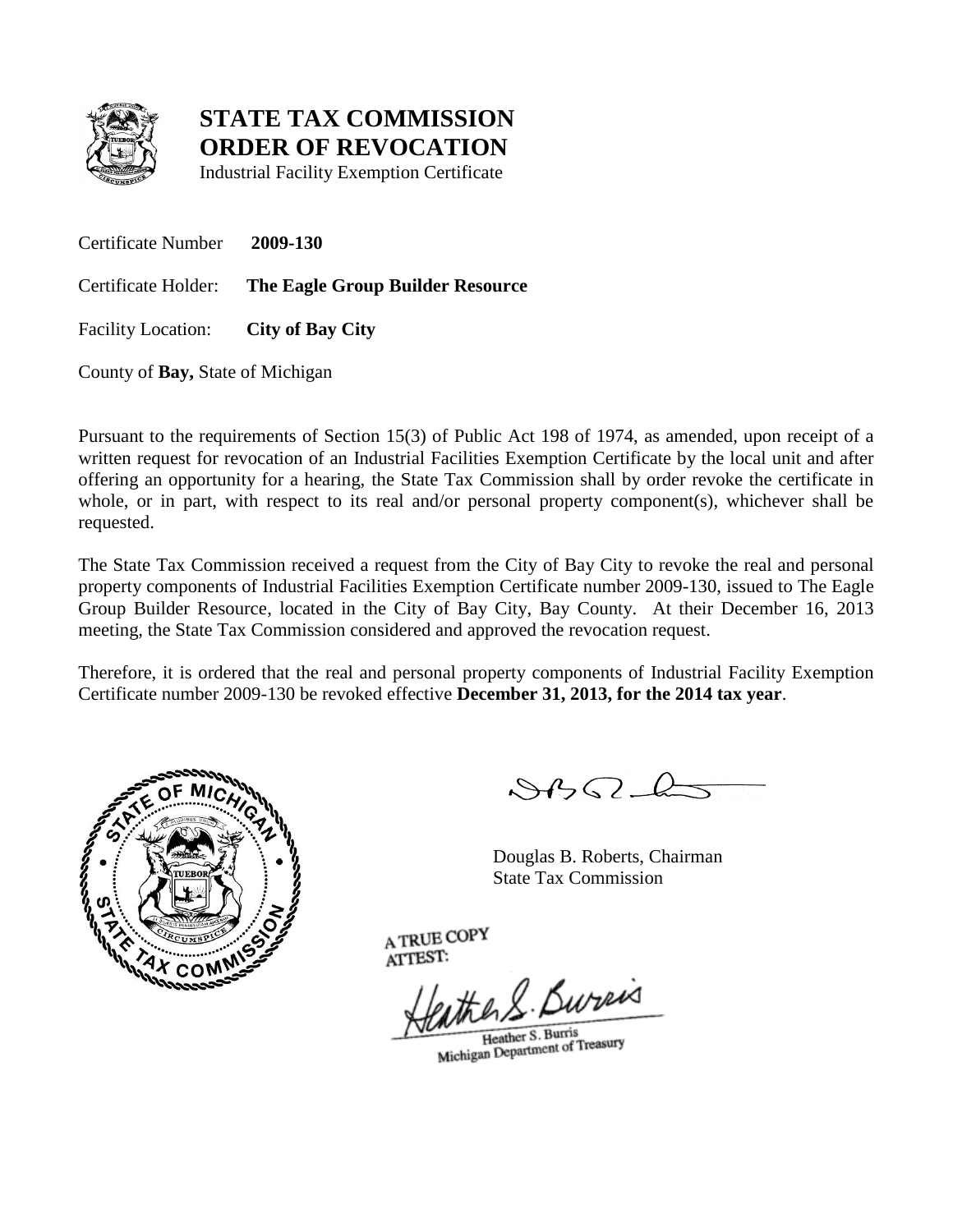

Industrial Facility Exemption Certificate

Certificate Number **2009-130**

Certificate Holder: **The Eagle Group Builder Resource**

Facility Location: **City of Bay City**

County of **Bay,** State of Michigan

Pursuant to the requirements of Section 15(3) of Public Act 198 of 1974, as amended, upon receipt of a written request for revocation of an Industrial Facilities Exemption Certificate by the local unit and after offering an opportunity for a hearing, the State Tax Commission shall by order revoke the certificate in whole, or in part, with respect to its real and/or personal property component(s), whichever shall be requested.

The State Tax Commission received a request from the City of Bay City to revoke the real and personal property components of Industrial Facilities Exemption Certificate number 2009-130, issued to The Eagle Group Builder Resource, located in the City of Bay City, Bay County. At their December 16, 2013 meeting, the State Tax Commission considered and approved the revocation request.

Therefore, it is ordered that the real and personal property components of Industrial Facility Exemption Certificate number 2009-130 be revoked effective **December 31, 2013, for the 2014 tax year**.



 $882L$ 

Douglas B. Roberts, Chairman State Tax Commission

eather S. Bureas

Heather S. Burris Heather S. Burris<br>Michigan Department of Treasury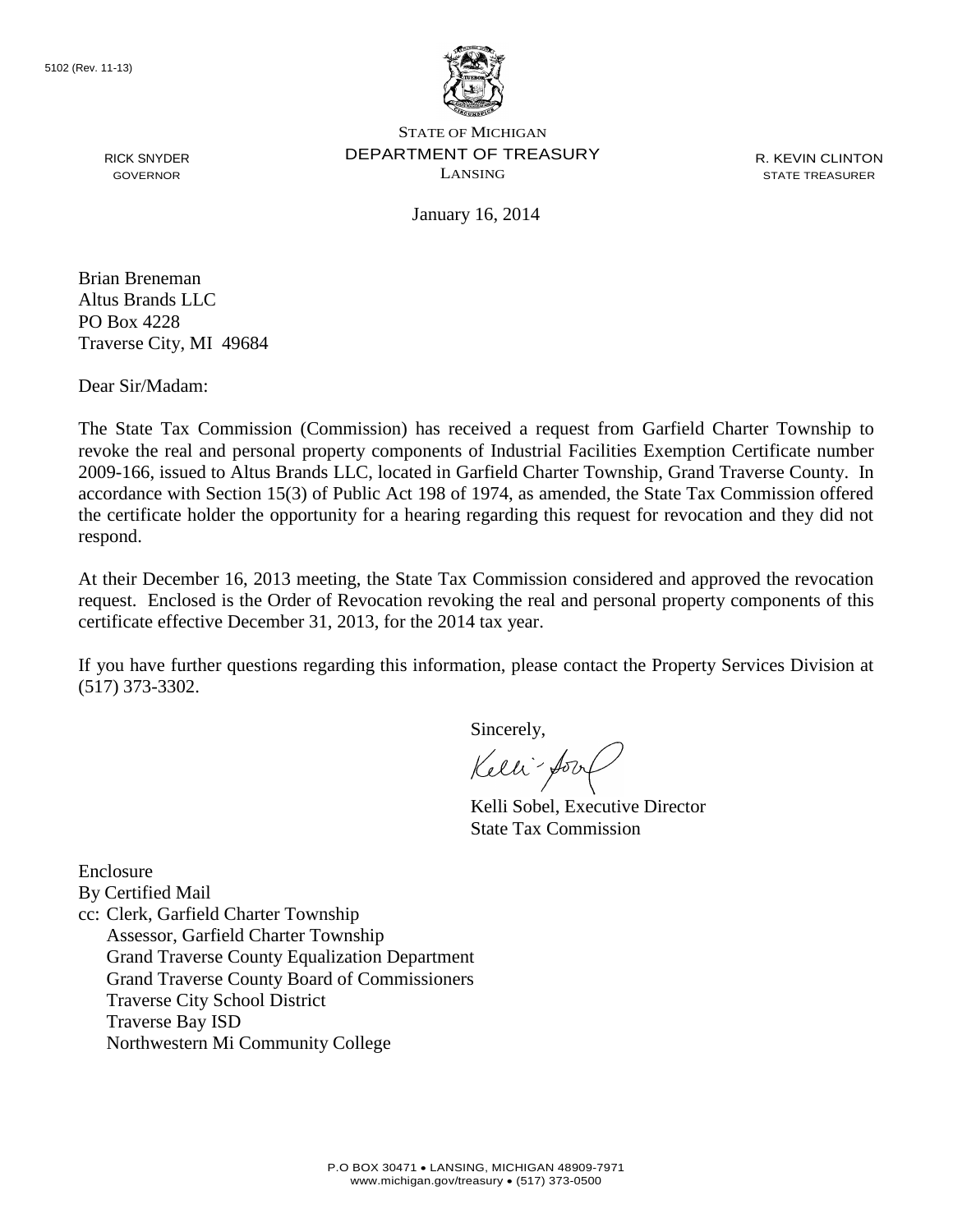

R. KEVIN CLINTON STATE TREASURER

January 16, 2014

RICK SNYDER GOVERNOR

Brian Breneman Altus Brands LLC PO Box 4228 Traverse City, MI 49684

Dear Sir/Madam:

The State Tax Commission (Commission) has received a request from Garfield Charter Township to revoke the real and personal property components of Industrial Facilities Exemption Certificate number 2009-166, issued to Altus Brands LLC, located in Garfield Charter Township, Grand Traverse County. In accordance with Section 15(3) of Public Act 198 of 1974, as amended, the State Tax Commission offered the certificate holder the opportunity for a hearing regarding this request for revocation and they did not respond.

At their December 16, 2013 meeting, the State Tax Commission considered and approved the revocation request. Enclosed is the Order of Revocation revoking the real and personal property components of this certificate effective December 31, 2013, for the 2014 tax year.

If you have further questions regarding this information, please contact the Property Services Division at (517) 373-3302.

Sincerely,

Kelli-Sort

Kelli Sobel, Executive Director State Tax Commission

Enclosure By Certified Mail cc: Clerk, Garfield Charter Township Assessor, Garfield Charter Township Grand Traverse County Equalization Department Grand Traverse County Board of Commissioners Traverse City School District Traverse Bay ISD Northwestern Mi Community College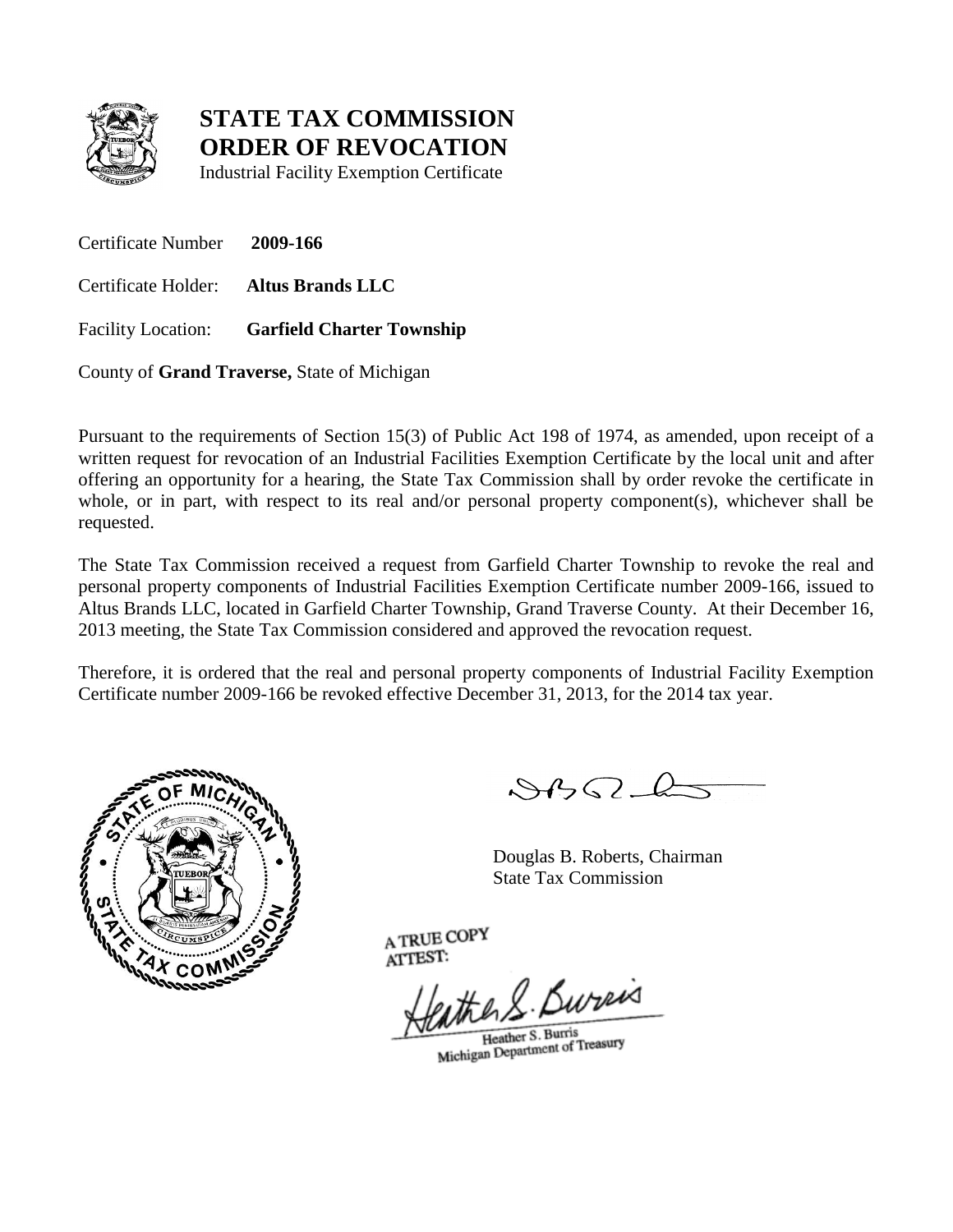

Industrial Facility Exemption Certificate

Certificate Number **2009-166** Certificate Holder: **Altus Brands LLC** Facility Location: **Garfield Charter Township**

County of **Grand Traverse,** State of Michigan

Pursuant to the requirements of Section 15(3) of Public Act 198 of 1974, as amended, upon receipt of a written request for revocation of an Industrial Facilities Exemption Certificate by the local unit and after offering an opportunity for a hearing, the State Tax Commission shall by order revoke the certificate in whole, or in part, with respect to its real and/or personal property component(s), whichever shall be requested.

The State Tax Commission received a request from Garfield Charter Township to revoke the real and personal property components of Industrial Facilities Exemption Certificate number 2009-166, issued to Altus Brands LLC, located in Garfield Charter Township, Grand Traverse County. At their December 16, 2013 meeting, the State Tax Commission considered and approved the revocation request.

Therefore, it is ordered that the real and personal property components of Industrial Facility Exemption Certificate number 2009-166 be revoked effective December 31, 2013, for the 2014 tax year.



 $882L$ 

Douglas B. Roberts, Chairman State Tax Commission

eather S. Bureas

Heather S. Burris Heather S. Burris<br>Michigan Department of Treasury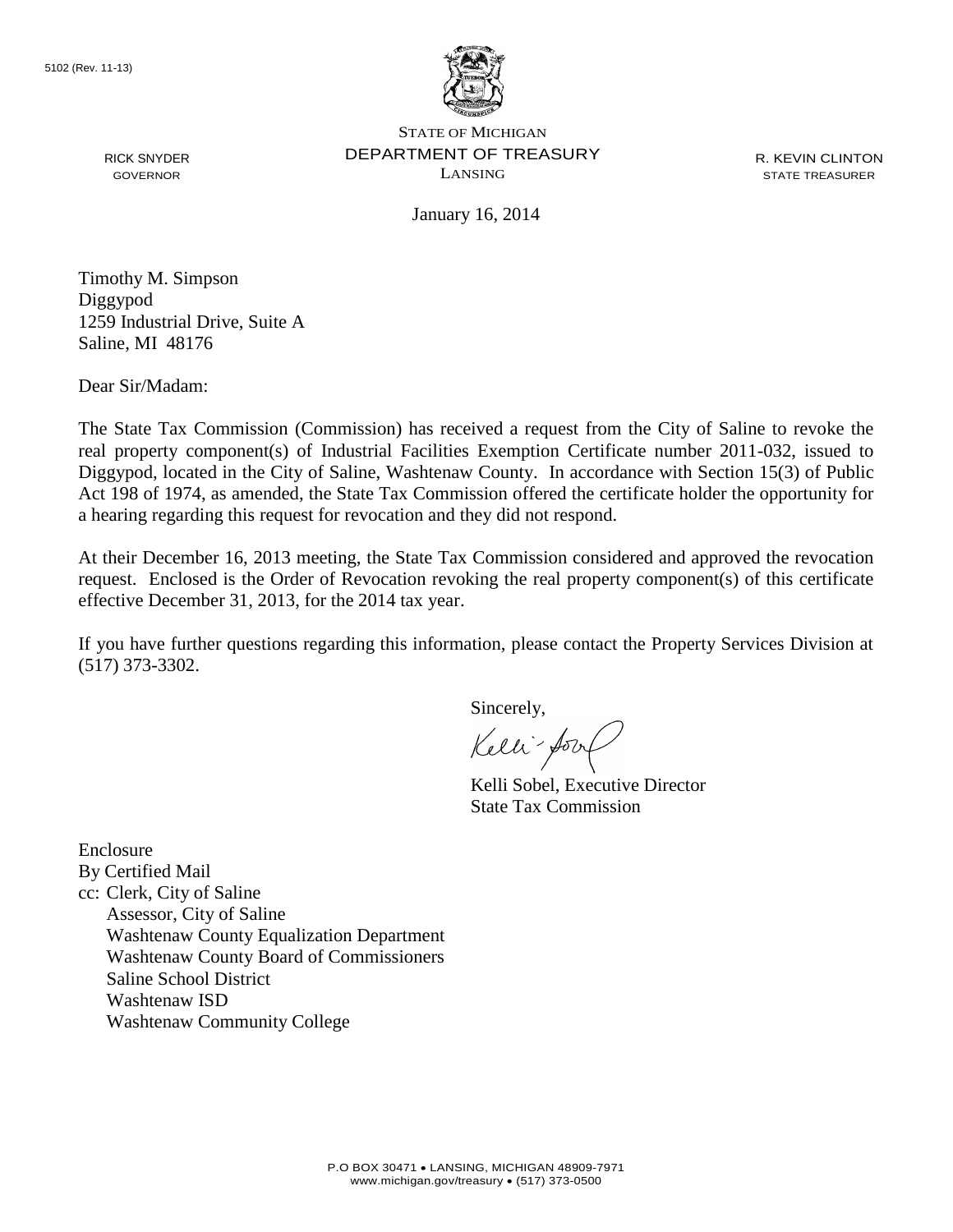

RICK SNYDER GOVERNOR

STATE OF MICHIGAN DEPARTMENT OF TREASURY LANSING

R. KEVIN CLINTON STATE TREASURER

January 16, 2014

Timothy M. Simpson Diggypod 1259 Industrial Drive, Suite A Saline, MI 48176

Dear Sir/Madam:

The State Tax Commission (Commission) has received a request from the City of Saline to revoke the real property component(s) of Industrial Facilities Exemption Certificate number 2011-032, issued to Diggypod, located in the City of Saline, Washtenaw County. In accordance with Section 15(3) of Public Act 198 of 1974, as amended, the State Tax Commission offered the certificate holder the opportunity for a hearing regarding this request for revocation and they did not respond.

At their December 16, 2013 meeting, the State Tax Commission considered and approved the revocation request. Enclosed is the Order of Revocation revoking the real property component(s) of this certificate effective December 31, 2013, for the 2014 tax year.

If you have further questions regarding this information, please contact the Property Services Division at (517) 373-3302.

Sincerely,

Kelli-Sort

Kelli Sobel, Executive Director State Tax Commission

Enclosure By Certified Mail cc: Clerk, City of Saline Assessor, City of Saline Washtenaw County Equalization Department Washtenaw County Board of Commissioners Saline School District Washtenaw ISD Washtenaw Community College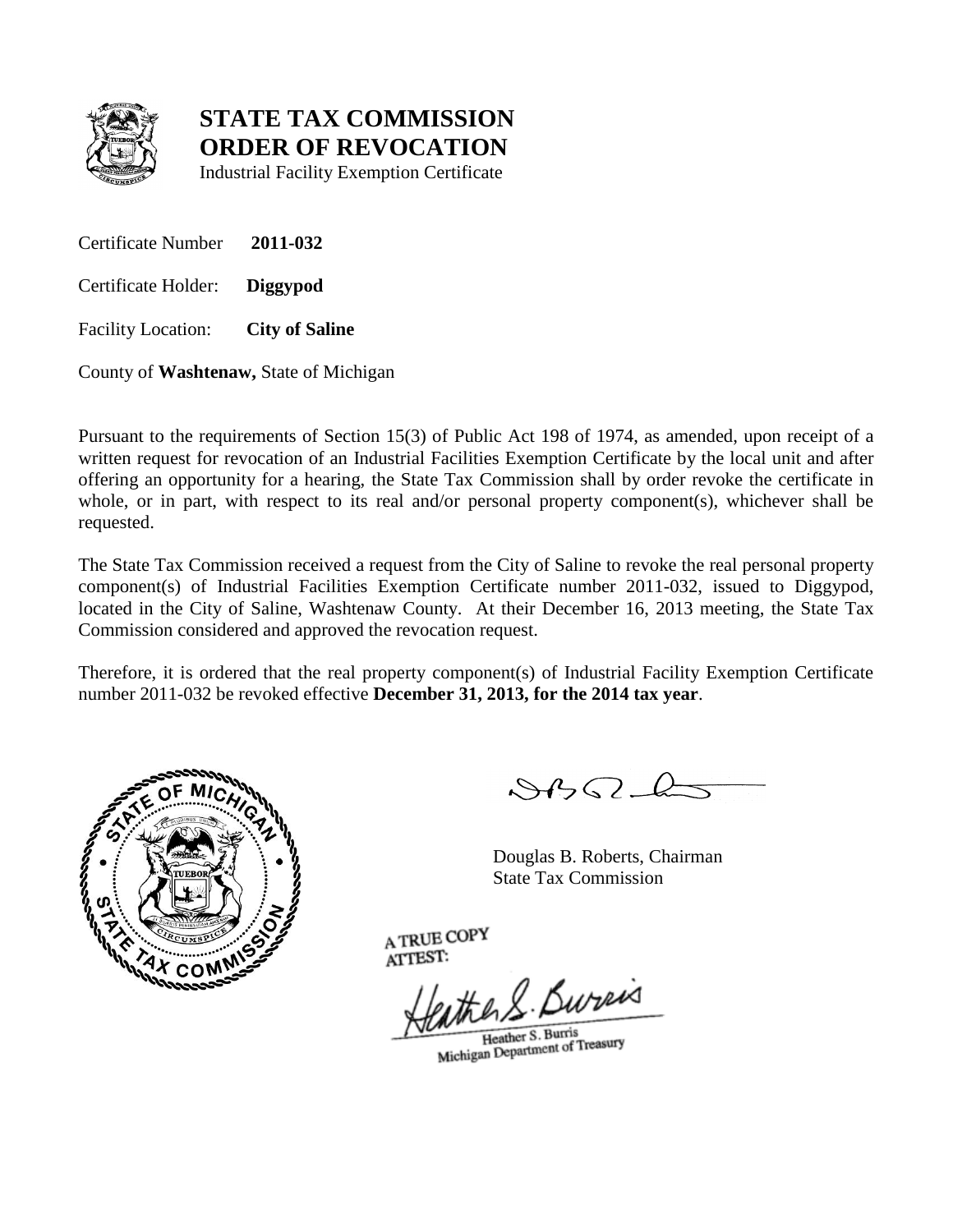

Industrial Facility Exemption Certificate

Certificate Number **2011-032**

Certificate Holder: **Diggypod**

Facility Location: **City of Saline**

County of **Washtenaw,** State of Michigan

Pursuant to the requirements of Section 15(3) of Public Act 198 of 1974, as amended, upon receipt of a written request for revocation of an Industrial Facilities Exemption Certificate by the local unit and after offering an opportunity for a hearing, the State Tax Commission shall by order revoke the certificate in whole, or in part, with respect to its real and/or personal property component(s), whichever shall be requested.

The State Tax Commission received a request from the City of Saline to revoke the real personal property component(s) of Industrial Facilities Exemption Certificate number 2011-032, issued to Diggypod, located in the City of Saline, Washtenaw County. At their December 16, 2013 meeting, the State Tax Commission considered and approved the revocation request.

Therefore, it is ordered that the real property component(s) of Industrial Facility Exemption Certificate number 2011-032 be revoked effective **December 31, 2013, for the 2014 tax year**.



 $882 - 6$ 

Douglas B. Roberts, Chairman State Tax Commission

eather S. Bureas

Heather S. Burris Heather S. Burris<br>Michigan Department of Treasury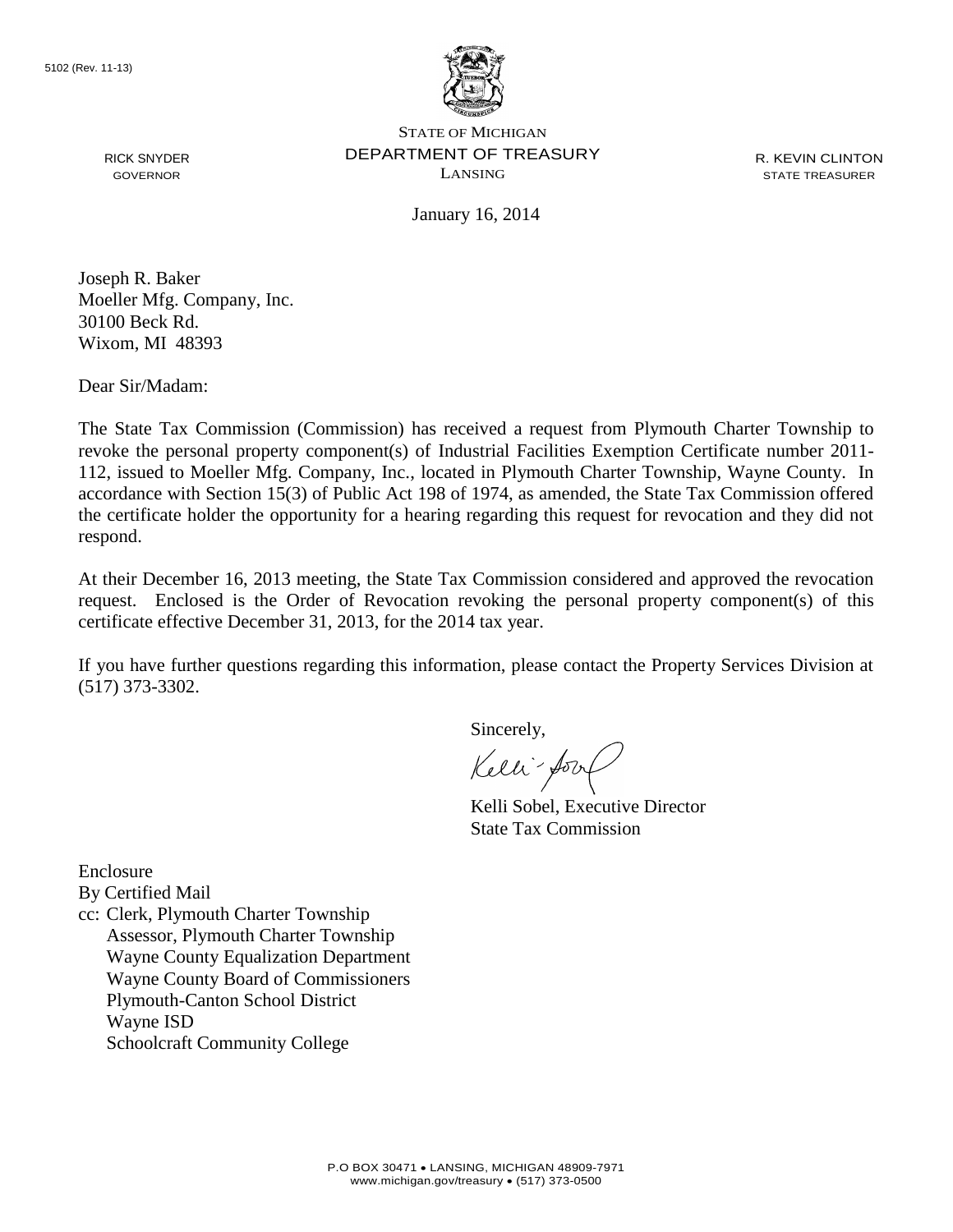

R. KEVIN CLINTON STATE TREASURER

January 16, 2014

Joseph R. Baker Moeller Mfg. Company, Inc. 30100 Beck Rd. Wixom, MI 48393

Dear Sir/Madam:

RICK SNYDER GOVERNOR

The State Tax Commission (Commission) has received a request from Plymouth Charter Township to revoke the personal property component(s) of Industrial Facilities Exemption Certificate number 2011- 112, issued to Moeller Mfg. Company, Inc., located in Plymouth Charter Township, Wayne County. In accordance with Section 15(3) of Public Act 198 of 1974, as amended, the State Tax Commission offered the certificate holder the opportunity for a hearing regarding this request for revocation and they did not respond.

At their December 16, 2013 meeting, the State Tax Commission considered and approved the revocation request. Enclosed is the Order of Revocation revoking the personal property component(s) of this certificate effective December 31, 2013, for the 2014 tax year.

If you have further questions regarding this information, please contact the Property Services Division at (517) 373-3302.

Sincerely,

Kelli-Soort

Kelli Sobel, Executive Director State Tax Commission

Enclosure

By Certified Mail

cc: Clerk, Plymouth Charter Township Assessor, Plymouth Charter Township Wayne County Equalization Department Wayne County Board of Commissioners Plymouth-Canton School District Wayne ISD Schoolcraft Community College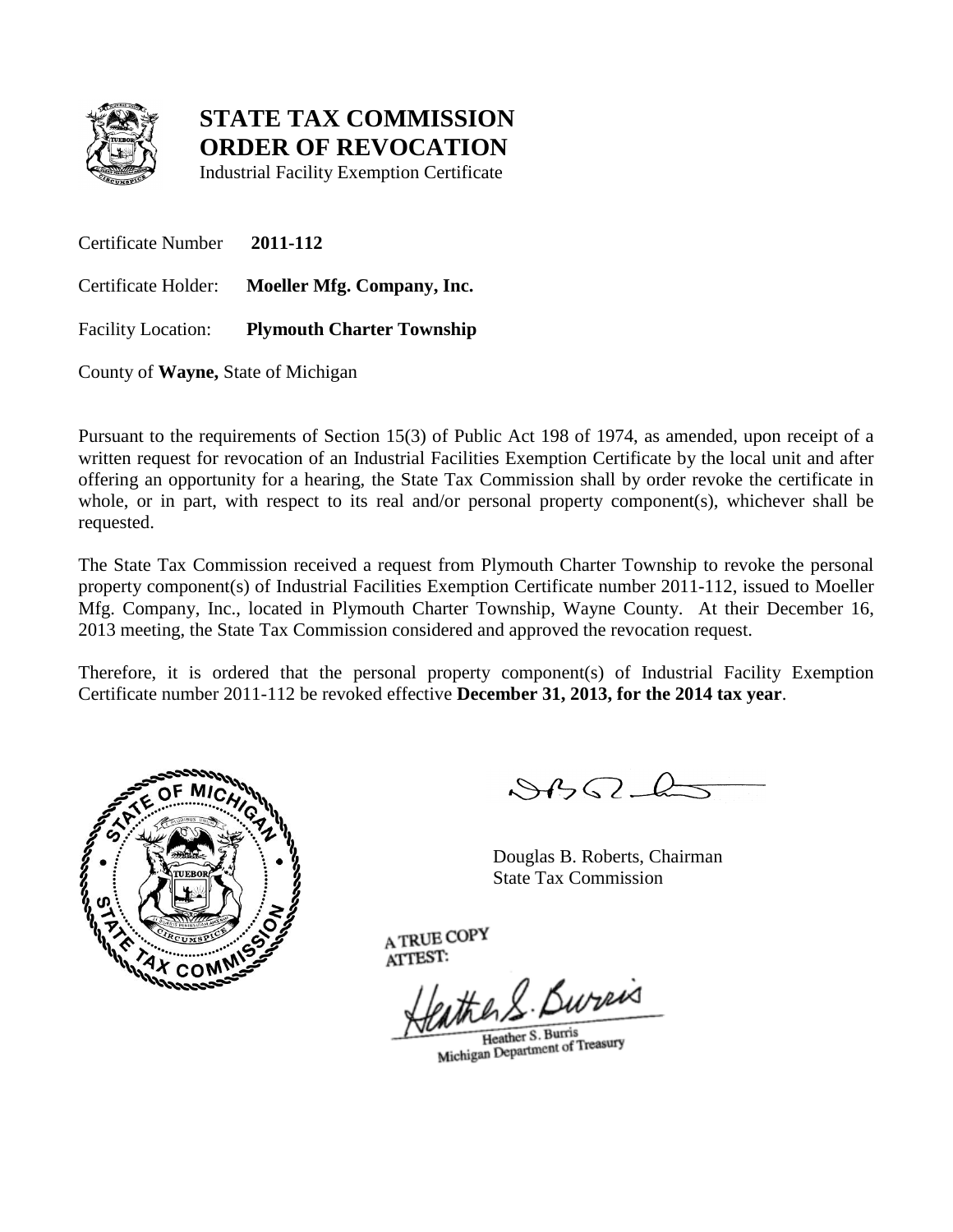

Industrial Facility Exemption Certificate

Certificate Number **2011-112** Certificate Holder: **Moeller Mfg. Company, Inc.** Facility Location: **Plymouth Charter Township**

County of **Wayne,** State of Michigan

Pursuant to the requirements of Section 15(3) of Public Act 198 of 1974, as amended, upon receipt of a written request for revocation of an Industrial Facilities Exemption Certificate by the local unit and after offering an opportunity for a hearing, the State Tax Commission shall by order revoke the certificate in whole, or in part, with respect to its real and/or personal property component(s), whichever shall be requested.

The State Tax Commission received a request from Plymouth Charter Township to revoke the personal property component(s) of Industrial Facilities Exemption Certificate number 2011-112, issued to Moeller Mfg. Company, Inc., located in Plymouth Charter Township, Wayne County. At their December 16, 2013 meeting, the State Tax Commission considered and approved the revocation request.

Therefore, it is ordered that the personal property component(s) of Industrial Facility Exemption Certificate number 2011-112 be revoked effective **December 31, 2013, for the 2014 tax year**.



 $882L$ 

Douglas B. Roberts, Chairman State Tax Commission

eather S. Bureas

Heather S. Burris Heather S. Burris<br>Michigan Department of Treasury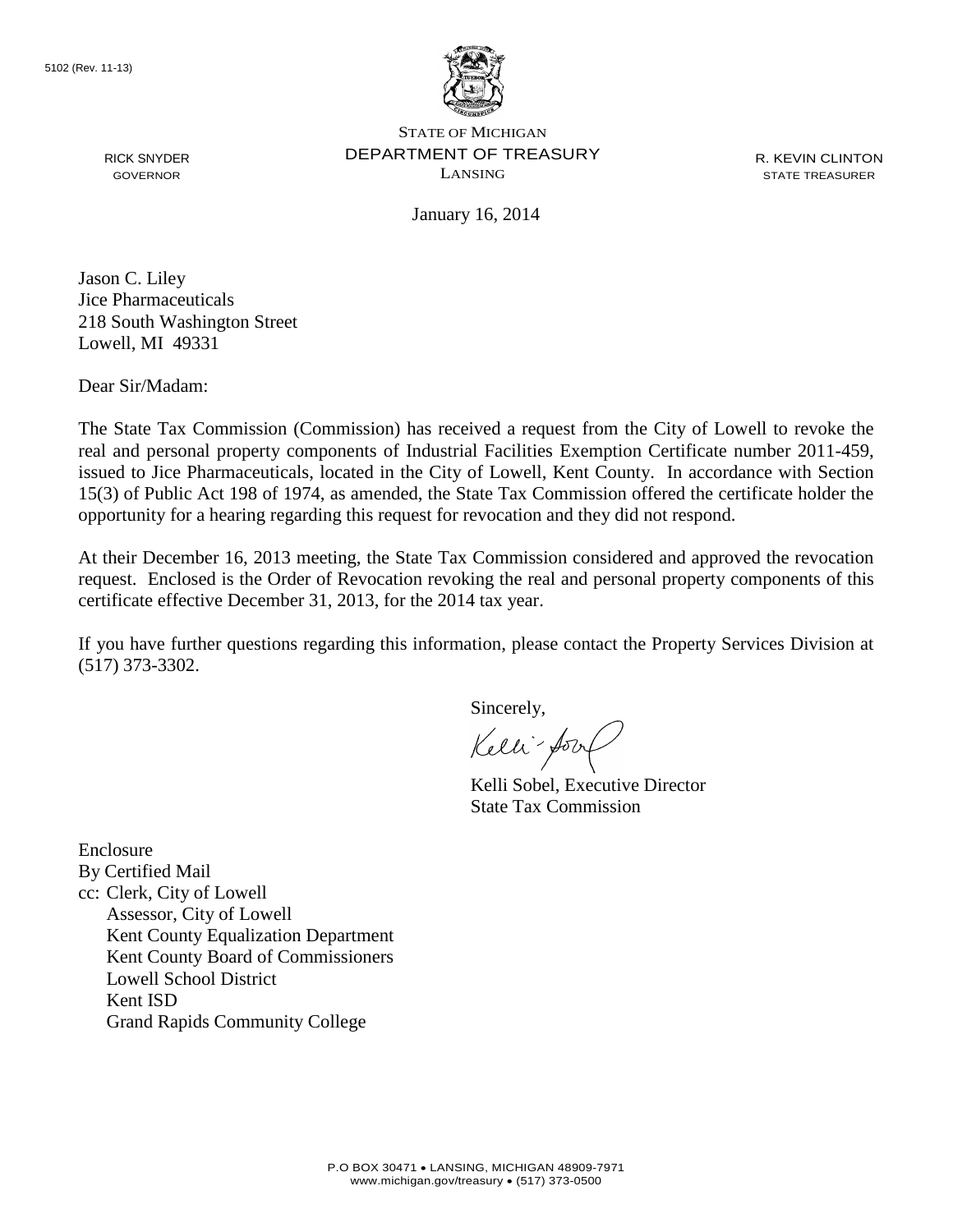

R. KEVIN CLINTON STATE TREASURER

January 16, 2014

Jason C. Liley Jice Pharmaceuticals 218 South Washington Street Lowell, MI 49331

Dear Sir/Madam:

RICK SNYDER GOVERNOR

The State Tax Commission (Commission) has received a request from the City of Lowell to revoke the real and personal property components of Industrial Facilities Exemption Certificate number 2011-459, issued to Jice Pharmaceuticals, located in the City of Lowell, Kent County. In accordance with Section 15(3) of Public Act 198 of 1974, as amended, the State Tax Commission offered the certificate holder the opportunity for a hearing regarding this request for revocation and they did not respond.

At their December 16, 2013 meeting, the State Tax Commission considered and approved the revocation request. Enclosed is the Order of Revocation revoking the real and personal property components of this certificate effective December 31, 2013, for the 2014 tax year.

If you have further questions regarding this information, please contact the Property Services Division at (517) 373-3302.

Sincerely,

Kelli-Sort

Kelli Sobel, Executive Director State Tax Commission

Enclosure By Certified Mail cc: Clerk, City of Lowell Assessor, City of Lowell Kent County Equalization Department Kent County Board of Commissioners Lowell School District Kent ISD Grand Rapids Community College